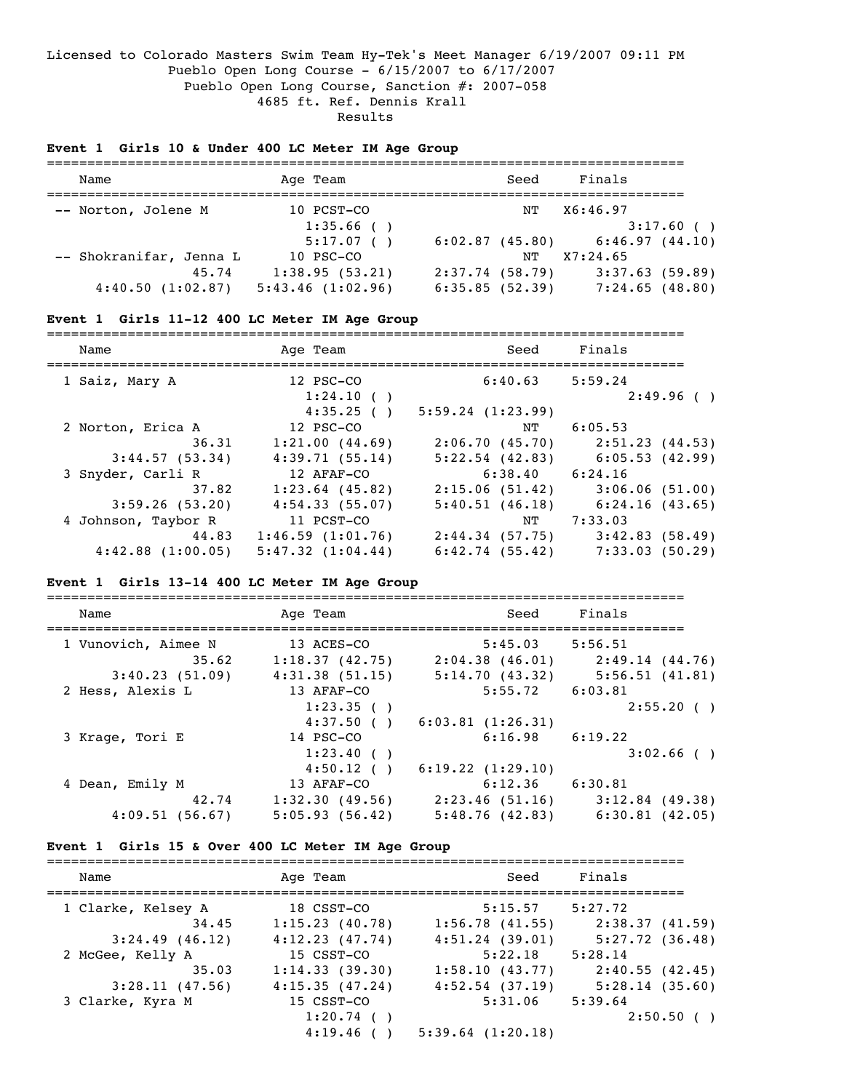### Licensed to Colorado Masters Swim Team Hy-Tek's Meet Manager 6/19/2007 09:11 PM Pueblo Open Long Course - 6/15/2007 to 6/17/2007 Pueblo Open Long Course, Sanction #: 2007-058 4685 ft. Ref. Dennis Krall Results

#### **Event 1 Girls 10 & Under 400 LC Meter IM Age Group**

| Name                    | Age Team         |                   | Seed | Finals         |
|-------------------------|------------------|-------------------|------|----------------|
| -- Norton, Jolene M     | 10 PCST-CO       |                   | NΤ   | X6:46.97       |
|                         | 1:35.66()        |                   |      | 3:17.60(       |
|                         | 5:17.07()        | $6:02.87$ (45.80) |      | 6:46.97(44.10) |
| -- Shokranifar, Jenna L | 10 PSC-CO        |                   | NТ   | X7:24.65       |
| 45.74                   | 1:38.95(53.21)   | $2:37.74$ (58.79) |      | 3:37.63(59.89) |
| 4:40.50(1:02.87)        | 5:43.46(1:02.96) | 6:35.85(52.39)    |      | 7:24.65(48.80) |

#### **Event 1 Girls 11-12 400 LC Meter IM Age Group**

=============================================================================== Name **Age Team** Age Team Seed Finals =============================================================================== 1 Saiz, Mary A 12 PSC-CO 6:40.63 5:59.24  $1:24.10$  ( )  $2:49.96$  ( )  $1:35.25$  ( )  $5:59.24$  (1:23.99)  $4:35.25$  ( )  $5:59.24$  (1:23.99) 2 Norton, Erica A 12 PSC-CO NT 6:05.53 36.31 1:21.00 (44.69) 2:06.70 (45.70) 2:51.23 (44.53) 3:44.57 (53.34) 4:39.71 (55.14) 5:22.54 (42.83) 6:05.53 (42.99) 3 Snyder, Carli R 12 AFAF-CO 6:38.40 6:24.16 37.82 1:23.64 (45.82) 2:15.06 (51.42) 3:06.06 (51.00) 3:59.26 (53.20) 4:54.33 (55.07) 5:40.51 (46.18) 6:24.16 (43.65) 4 Johnson, Taybor R 11 PCST-CO NT 7:33.03 44.83 1:46.59 (1:01.76) 2:44.34 (57.75) 3:42.83 (58.49) 4:42.88 (1:00.05) 5:47.32 (1:04.44) 6:42.74 (55.42) 7:33.03 (50.29)

#### **Event 1 Girls 13-14 400 LC Meter IM Age Group**

=============================================================================== Name **Age Team** Age Team Seed Finals =============================================================================== 1 Vunovich, Aimee N 13 ACES-CO 5:45.03 5:56.51 35.62 1:18.37 (42.75) 2:04.38 (46.01) 2:49.14 (44.76) 3:40.23 (51.09) 4:31.38 (51.15) 5:14.70 (43.32) 5:56.51 (41.81) 2 Hess, Alexis L 13 AFAF-CO 5:55.72 6:03.81  $1:23.35$  ( )  $2:55.20$  ( )  $4:37.50$  ( )  $6:03.81$  (1:26.31) 3 Krage, Tori E 14 PSC-CO 6:16.98 6:19.22<br>3 1:23.40 ( )  $1:23.40$  ( )  $3:02.66$  ( )  $4:50.12$  ( )  $6:19.22$  (1:29.10) 4 Dean, Emily M 13 AFAF-CO 6:12.36 6:30.81 42.74 1:32.30 (49.56) 2:23.46 (51.16) 3:12.84 (49.38) 4:09.51 (56.67) 5:05.93 (56.42) 5:48.76 (42.83) 6:30.81 (42.05)

#### **Event 1 Girls 15 & Over 400 LC Meter IM Age Group**

| Name               | Age Team       | Seed                  | Finals              |
|--------------------|----------------|-----------------------|---------------------|
| 1 Clarke, Kelsey A | 18 CSST-CO     | 5:15.57               | 5:27.72             |
| 34.45              | 1:15.23(40.78) | 1:56.78(41.55)        | 2:38.37(41.59)      |
| $3:24.49$ (46.12)  | 4:12.23(47.74) | $4:51.24$ (39.01)     | $5:27.72$ $(36.48)$ |
| 2 McGee, Kelly A   | 15 CSST-CO     | 5:22.18               | 5:28.14             |
| 35.03              | 1:14.33(39.30) | 1:58.10(43.77)        | 2:40.55(42.45)      |
| 3:28.11(47.56)     | 4:15.35(47.24) | $4:52.54$ (37.19)     | 5:28.14(35.60)      |
| 3 Clarke, Kyra M   | 15 CSST-CO     | 5:31.06               | 5:39.64             |
|                    | 1:20.74()      |                       | 2:50.50()           |
|                    | 4:19.46(       | $5:39.64$ $(1:20.18)$ |                     |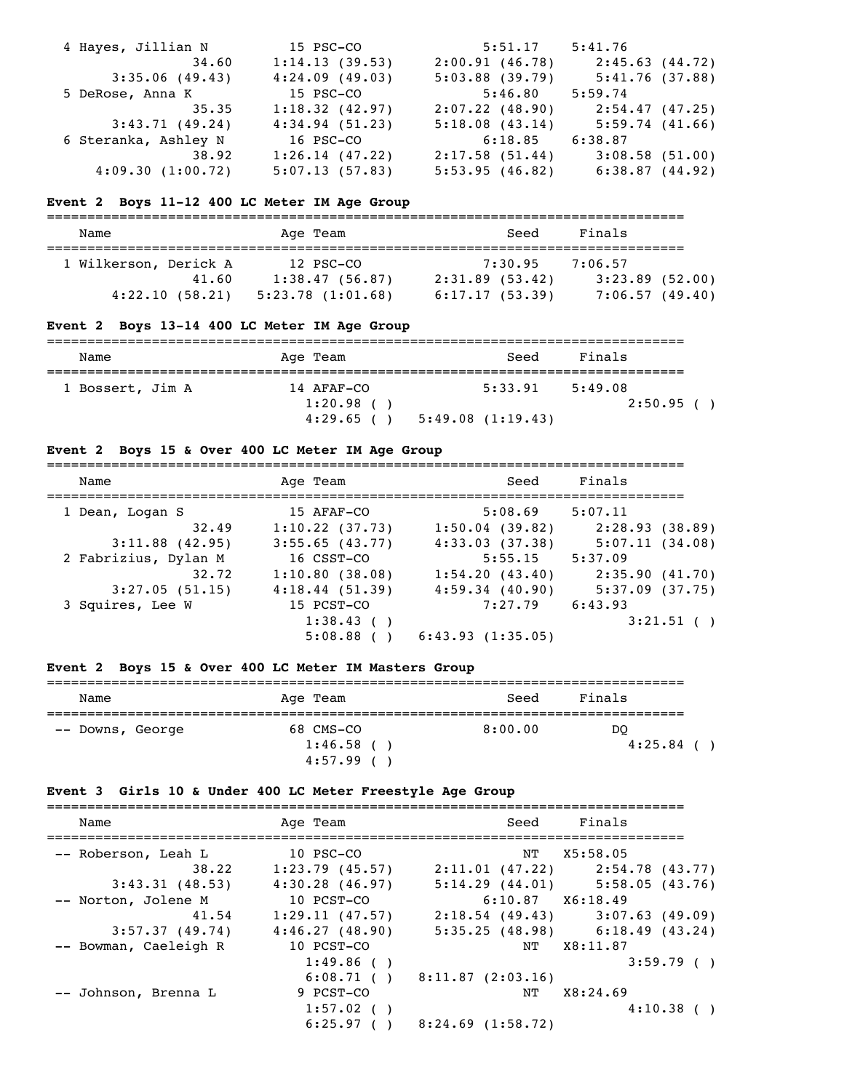| 4 Hayes, Jillian N   | 15 PSC-CO      | 5:51.17           | 5:41.76         |
|----------------------|----------------|-------------------|-----------------|
| 34.60                | 1:14.13(39.53) | 2:00.91(46.78)    | 2:45.63 (44.72) |
| 3:35.06(49.43)       | 4:24.09(49.03) | $5:03.88$ (39.79) | 5:41.76(37.88)  |
| 5 DeRose, Anna K     | 15 PSC-CO      | 5:46.80           | 5:59.74         |
| 35.35                | 1:18.32(42.97) | 2:07.22(48.90)    | 2:54.47 (47.25) |
| 3:43.71(49.24)       | 4:34.94(51.23) | 5:18.08(43.14)    | 5:59.74(41.66)  |
| 6 Steranka, Ashley N | 16 PSC-CO      | 6:18.85           | 6:38.87         |
| 38.92                | 1:26.14(47.22) | 2:17.58(51.44)    | 3:08.58(51.00)  |
| 4:09.30(1:00.72)     | 5:07.13(57.83) | 5:53.95(46.82)    | 6:38.87(44.92)  |

### **Event 2 Boys 11-12 400 LC Meter IM Age Group**

| Name                  | Age Team              | Seed           | Finals            |  |  |
|-----------------------|-----------------------|----------------|-------------------|--|--|
| 1 Wilkerson, Derick A | 12 PSC-CO             | 7:30.95        | 7:06.57           |  |  |
| 41.60                 | 1:38.47(56.87)        | 2:31.89(53.42) | $3:23.89$ (52.00) |  |  |
| 4:22.10(58.21)        | $5:23.78$ $(1:01.68)$ | 6:17.17(53.39) | 7:06.57(49.40)    |  |  |

# **Event 2 Boys 13-14 400 LC Meter IM Age Group**

| Name             | Age Team    | Seed             | Finals    |  |  |
|------------------|-------------|------------------|-----------|--|--|
|                  |             |                  |           |  |  |
| 1 Bossert, Jim A | 14 AFAF-CO  | 5:33.91          | 5:49.08   |  |  |
|                  | $1:20.98$ ( |                  | 2:50.95() |  |  |
|                  | $4:29.65$ ( | 5:49.08(1:19.43) |           |  |  |

# **Event 2 Boys 15 & Over 400 LC Meter IM Age Group**

| Name                 | Age Team          | Seed                | Finals         |
|----------------------|-------------------|---------------------|----------------|
| 1 Dean, Logan S      | 15 AFAF-CO        | 5:08.69             | 5:07.11        |
| 32.49                | $1:10.22$ (37.73) | 1:50.04(39.82)      | 2:28.93(38.89) |
| $3:11.88$ (42.95)    | $3:55.65$ (43.77) | 4:33.03(37.38)      | 5:07.11(34.08) |
| 2 Fabrizius, Dylan M | 16 CSST-CO        | 5:55.15             | 5:37.09        |
| 32.72                | 1:10.80(38.08)    | 1:54.20(43.40)      | 2:35.90(41.70) |
| 3:27.05(51.15)       | 4:18.44(51.39)    | $4:59.34$ (40.90)   | 5:37.09(37.75) |
| 3 Squires, Lee W     | 15 PCST-CO        | $7:27.79$ $6:43.93$ |                |
|                      | 1:38.43()         |                     | $3:21.51$ ()   |
|                      | 5:08.88()         | 6:43.93(1:35.05)    |                |
|                      |                   |                     |                |

# **Event 2 Boys 15 & Over 400 LC Meter IM Masters Group**

| Name             | Age Team                 | Seed    | Finals        |  |  |
|------------------|--------------------------|---------|---------------|--|--|
| -- Downs, George | 68 CMS-CO<br>$1:46.58$ ( | 8:00.00 | DO<br>4:25.84 |  |  |
|                  | 4:57.99                  |         |               |  |  |

# **Event 3 Girls 10 & Under 400 LC Meter Freestyle Age Group**

| Name                  | Age Team            | Seed                 | Finals                              |
|-----------------------|---------------------|----------------------|-------------------------------------|
| -- Roberson, Leah L   | 10 PSC-CO           |                      | NT X5:58.05                         |
| 38.22                 | $1:23.79$ (45.57)   |                      | $2:11.01$ (47.22) $2:54.78$ (43.77) |
| 3:43.31(48.53)        | $4:30.28$ $(46.97)$ |                      | $5:14.29$ (44.01) $5:58.05$ (43.76) |
| -- Norton, Jolene M   | 10 PCST-CO          | $6:10.87$ $X6:18.49$ |                                     |
| 41.54                 | 1:29.11(47.57)      |                      | $2:18.54$ (49.43) 3:07.63 (49.09)   |
| 3:57.37(49.74)        | 4:46.27(48.90)      |                      | $5:35.25(48.98)$ $6:18.49(43.24)$   |
| -- Bowman, Caeleigh R | 10 PCST-CO          | NT                   | X8:11.87                            |
|                       | 1:49.86(            |                      | 3:59.79()                           |
|                       | 6:08.71()           | 8:11.87(2:03.16)     |                                     |
| -- Johnson, Brenna L  | 9 PCST-CO           | NT                   | X8:24.69                            |
|                       | $1:57.02$ ()        |                      | 4:10.38()                           |
|                       | 6:25.97()           | 8:24.69(1:58.72)     |                                     |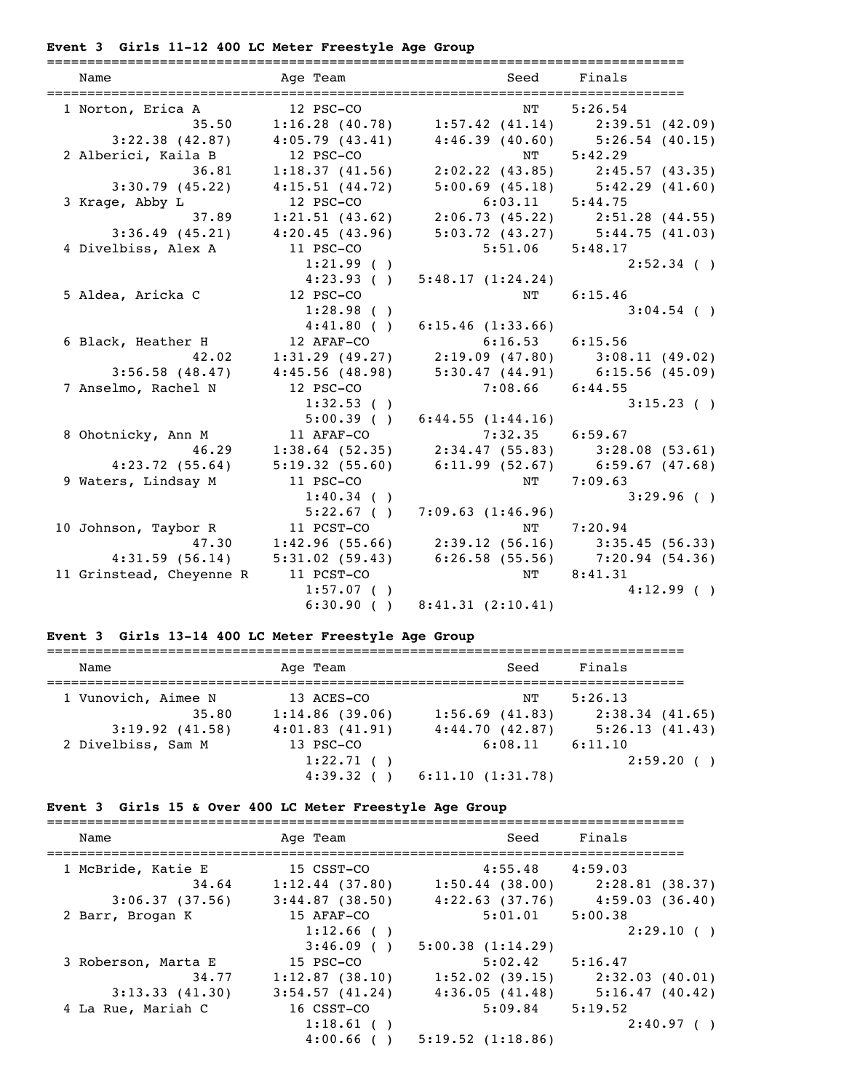# **Event 3 Girls 11-12 400 LC Meter Freestyle Age Group**

| Name                       | Age Team       |                                                                                                                                                                      | Seed Finals                         |
|----------------------------|----------------|----------------------------------------------------------------------------------------------------------------------------------------------------------------------|-------------------------------------|
|                            | 12 PSC-CO      |                                                                                                                                                                      | 5:26.54                             |
| 1 Norton, Erica A<br>35.50 |                | NT<br>$1:16.28$ (40.78) $1:57.42$ (41.14) $2:39.51$ (42.09)                                                                                                          |                                     |
| 3:22.38(42.87)             | 4:05.79(43.41) | $4:46.39$ (40.60) $5:26.54$ (40.15)                                                                                                                                  |                                     |
| 2 Alberici, Kaila B        | 12 PSC-CO      |                                                                                                                                                                      | NT 5:42.29                          |
| 36.81                      | 1:18.37(41.56) |                                                                                                                                                                      | $2:02.22$ (43.85) $2:45.57$ (43.35) |
| 3:30.79(45.22)             | 4:15.51(44.72) |                                                                                                                                                                      | $5:00.69$ (45.18) $5:42.29$ (41.60) |
| 3 Krage, Abby L            | 12 PSC-CO      | $6:03.11$ $5:44.75$                                                                                                                                                  |                                     |
|                            |                |                                                                                                                                                                      |                                     |
|                            |                |                                                                                                                                                                      |                                     |
| 4 Divelbiss, Alex A        |                | 37.89 1:21.51 (43.62) 2:06.73 (45.22) 2:51.28 (44.55)<br>3:36.49 (45.21) 4:20.45 (43.96) 5:03.72 (43.27) 5:44.75 (41.03)<br>elbiss, Alex A 11 PSC-CO 5:51.06 5:48.17 |                                     |
|                            | $1:21.99$ ()   |                                                                                                                                                                      | $2:52.34$ ()                        |
|                            | 4:23.93( )     | 5:48.17(1:24.24)                                                                                                                                                     |                                     |
| 5 Aldea, Aricka C          | 12 PSC-CO      | NT                                                                                                                                                                   | 6:15.46                             |
|                            | 1:28.98( )     |                                                                                                                                                                      | $3:04.54$ ()                        |
|                            | 4:41.80(       | 6:15.46(1:33.66)                                                                                                                                                     |                                     |
| 6 Black, Heather H         | 12 AFAF-CO     | $6:16.53$ $6:15.56$                                                                                                                                                  |                                     |
| 42.02                      |                | $1:31.29$ (49.27) $2:19.09$ (47.80) $3:08.11$ (49.02)                                                                                                                |                                     |
| 3:56.58(48.47)             |                | $4:45.56$ (48.98) $5:30.47$ (44.91) $6:15.56$ (45.09)                                                                                                                |                                     |
| 7 Anselmo, Rachel N        | 12 PSC-CO      | $7:08.66$ $6:44.55$                                                                                                                                                  |                                     |
|                            | 1:32.53( )     |                                                                                                                                                                      | $3:15.23$ ()                        |
|                            |                | $5:00.39$ () $6:44.55$ (1:44.16)                                                                                                                                     |                                     |
| 8 Ohotnicky, Ann M         | 11 AFAF-CO     | $7:32.35$ $6:59.67$                                                                                                                                                  |                                     |
| 46.29                      | 1:38.64(52.35) |                                                                                                                                                                      | $2:34.47$ (55.83) 3:28.08 (53.61)   |
| 4:23.72(55.64)             | 5:19.32(55.60) |                                                                                                                                                                      | $6:11.99$ (52.67) $6:59.67$ (47.68) |
| 9 Waters, Lindsay M        | 11 PSC-CO      | NT                                                                                                                                                                   | 7:09.63                             |
|                            | $1:40.34$ ()   |                                                                                                                                                                      | 3:29.96( )                          |
|                            | 5:22.67(       | 7:09.63(1:46.96)                                                                                                                                                     |                                     |
| 10 Johnson, Taybor R       | 11 PCST-CO     |                                                                                                                                                                      | NT 7:20.94                          |
| 47.30                      |                | $1:42.96$ (55.66) 2:39.12 (56.16) 3:35.45 (56.33)                                                                                                                    |                                     |
| 4:31.59(56.14)             |                | 5:31.02 (59.43) 6:26.58 (55.56) 7:20.94 (54.36)                                                                                                                      |                                     |
| 11 Grinstead, Cheyenne R   | 11 PCST-CO     |                                                                                                                                                                      | NT 8:41.31                          |
|                            | $1:57.07$ ()   |                                                                                                                                                                      | 4:12.99(                            |
|                            |                | $6:30.90$ () $8:41.31$ $(2:10.41)$                                                                                                                                   |                                     |

# **Event 3 Girls 13-14 400 LC Meter Freestyle Age Group**

| Name                | Age Team       | Seed              | Finals              |
|---------------------|----------------|-------------------|---------------------|
| 1 Vunovich, Aimee N | 13 ACES-CO     | NΤ                | 5:26.13             |
| 35.80               | 1:14.86(39.06) | $1:56.69$ (41.83) | $2:38.34$ $(41.65)$ |
| $3:19.92$ $(41.58)$ | 4:01.83(41.91) | 4:44.70(42.87)    | 5:26.13(41.43)      |
| 2 Divelbiss, Sam M  | 13 PSC-CO      | 6:08.11           | 6:11.10             |
|                     | 1:22.71()      |                   | 2:59.20()           |
|                     | $4:39.32$ (    | 6:11.10(1:31.78)  |                     |

# **Event 3 Girls 15 & Over 400 LC Meter Freestyle Age Group**

| Name                        | Age Team                     | Seed                      | Finals                              |
|-----------------------------|------------------------------|---------------------------|-------------------------------------|
| 1 McBride, Katie E<br>34.64 | 15 CSST-CO<br>1:12.44(37.80) | 4:55.48<br>1:50.44(38.00) | 4:59.03<br>2:28.81 (38.37)          |
| 3:06.37(37.56)              | 3:44.87(38.50)               |                           | $4:22.63$ (37.76) $4:59.03$ (36.40) |
| 2 Barr, Brogan K            | 15 AFAF-CO                   | 5:01.01                   | 5:00.38                             |
|                             | 1:12.66(<br>3:46.09(         | 5:00.38(1:14.29)          | 2:29.10()                           |
| 3 Roberson, Marta E         | 15 PSC-CO                    | 5:02.42                   | 5:16.47                             |
| 34.77                       | 1:12.87(38.10)               | $1:52.02$ (39.15)         | 2:32.03 (40.01)                     |
| 3:13.33(41.30)              | $3:54.57$ $(41.24)$          | 4:36.05(41.48)            | 5:16.47(40.42)                      |
| 4 La Rue, Mariah C          | 16 CSST-CO                   | 5:09.84                   | 5:19.52                             |
|                             | $1:18.61$ ()                 |                           | 2:40.97()                           |
|                             | $4:00.66$ ( )                | $5:19.52$ $(1:18.86)$     |                                     |
|                             |                              |                           |                                     |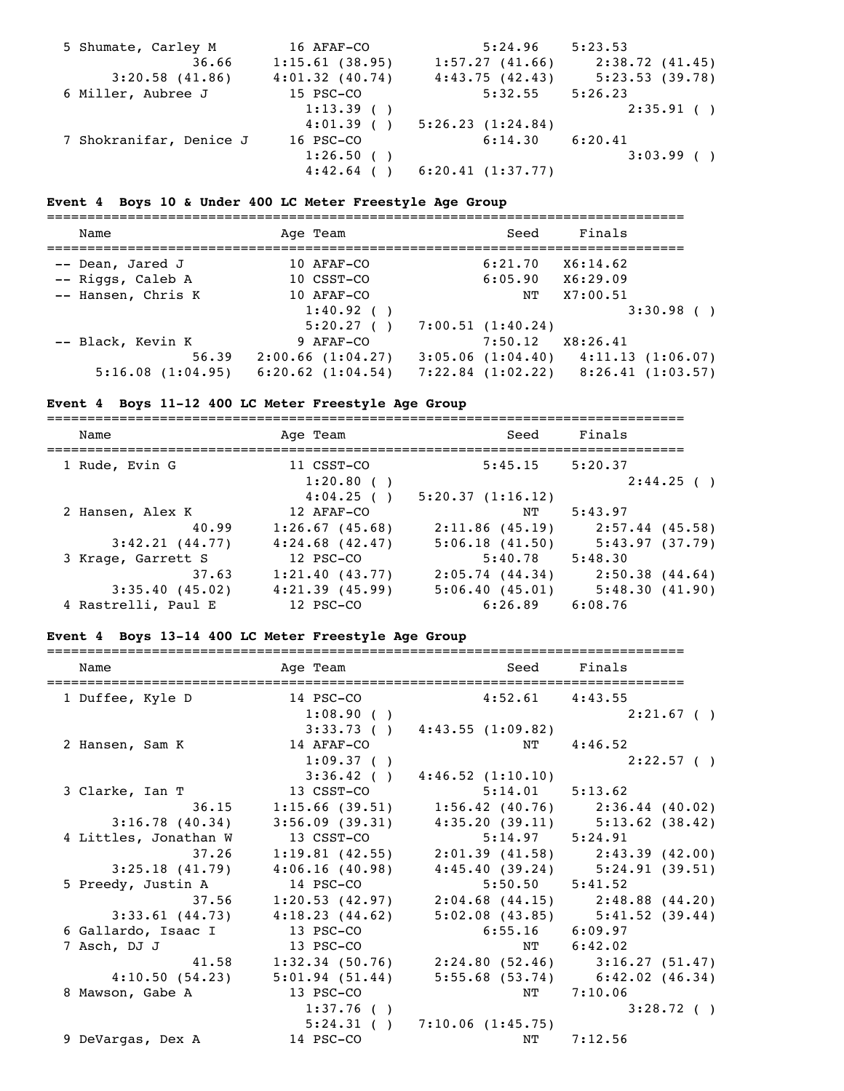| 5 Shumate, Carley M     | 16 AFAF-CO     | 5:24.96          | 5:23.53        |
|-------------------------|----------------|------------------|----------------|
| 36.66                   | 1:15.61(38.95) | 1:57.27(41.66)   | 2:38.72(41.45) |
| 3:20.58(41.86)          | 4:01.32(40.74) | 4:43.75(42.43)   | 5:23.53(39.78) |
| 6 Miller, Aubree J      | 15 PSC-CO      | 5:32.55          | 5:26.23        |
|                         | 1:13.39()      |                  | 2:35.91()      |
|                         | 4:01.39()      | 5:26.23(1:24.84) |                |
| 7 Shokranifar, Denice J | 16 PSC-CO      | 6:14.30          | 6:20.41        |
|                         | 1:26.50(       |                  | 3:03.99()      |
|                         | $4:42.64$ (    | 6:20.41(1:37.77) |                |

# **Event 4 Boys 10 & Under 400 LC Meter Freestyle Age Group**

| Name               | Age Team              | Seed                  | Finals           |
|--------------------|-----------------------|-----------------------|------------------|
| -- Dean, Jared J   | 10 AFAF-CO            | 6:21.70               | X6:14.62         |
| -- Riggs, Caleb A  | 10 CSST-CO            | 6:05.90               | X6:29.09         |
| -- Hansen, Chris K | 10 AFAF-CO            | NΤ                    | X7:00.51         |
|                    | 1:40.92( )            |                       | 3:30.98()        |
|                    | 5:20.27()             | 7:00.51(1:40.24)      |                  |
| -- Black, Kevin K  | 9 AFAF-CO             | 7:50.12               | X8:26.41         |
| 56.39              | 2:00.66(1:04.27)      | $3:05.06$ $(1:04.40)$ | 4:11.13(1:06.07) |
| 5:16.08(1:04.95)   | $6:20.62$ $(1:04.54)$ | $7:22.84$ $(1:02.22)$ | 8:26.41(1:03.57) |

# **Event 4 Boys 11-12 400 LC Meter Freestyle Age Group**

| Name                | Age Team                | Seed                   | Finals               |
|---------------------|-------------------------|------------------------|----------------------|
| 1 Rude, Evin G      | 11 CSST-CO<br>1:20.80() | 5:45.15                | 5:20.37<br>2:44.25() |
| 2 Hansen, Alex K    | 4:04.25()<br>12 AFAF-CO | 5:20.37(1:16.12)<br>NΤ | 5:43.97              |
| 40.99               | 1:26.67(45.68)          | 2:11.86(45.19)         | $2:57.44$ (45.58)    |
| 3:42.21(44.77)      | $4:24.68$ $(42.47)$     | 5:06.18(41.50)         | 5:43.97(37.79)       |
| 3 Krage, Garrett S  | 12 PSC-CO               | 5:40.78                | 5:48.30              |
| 37.63               | 1:21.40(43.77)          | 2:05.74(44.34)         | $2:50.38$ $(44.64)$  |
| 3:35.40(45.02)      | $4:21.39$ $(45.99)$     | 5:06.40(45.01)         | 5:48.30(41.90)       |
| 4 Rastrelli, Paul E | 12 PSC-CO               | 6:26.89                | 6:08.76              |

# **Event 4 Boys 13-14 400 LC Meter Freestyle Age Group**

| Name                  | Age Team          |                                                       | Seed Finals                         |
|-----------------------|-------------------|-------------------------------------------------------|-------------------------------------|
| 1 Duffee, Kyle D      | 14 PSC-CO         | $4:52.61$ $4:43.55$                                   |                                     |
|                       | 1:08.90( )        |                                                       | $2:21.67$ ()                        |
|                       |                   | $3:33.73$ ( ) $4:43.55$ (1:09.82)                     |                                     |
| 2 Hansen, Sam K       | 14 AFAF-CO        | NT                                                    | 4:46.52                             |
|                       | 1:09.37( )        |                                                       | 2:22.57( )                          |
|                       | 3:36.42( )        | 4:46.52(1:10.10)                                      |                                     |
| 3 Clarke, Ian T       | 13 CSST-CO        | $5:14.01$ $5:13.62$                                   |                                     |
| 36.15                 |                   | $1:15.66$ (39.51) $1:56.42$ (40.76) $2:36.44$ (40.02) |                                     |
| 3:16.78(40.34)        |                   | $3:56.09$ (39.31) $4:35.20$ (39.11) $5:13.62$ (38.42) |                                     |
| 4 Littles, Jonathan W | 13 CSST-CO        | $5:14.97$ $5:24.91$                                   |                                     |
| 37.26                 |                   | 1:19.81 (42.55) 2:01.39 (41.58) 2:43.39 (42.00)       |                                     |
| 3:25.18(41.79)        | 4:06.16(40.98)    | $4:45.40(39.24)$ $5:24.91(39.51)$                     |                                     |
| 5 Preedy, Justin A    | 14 PSC-CO         | $5:50.50$ $5:41.52$                                   |                                     |
| 37.56                 | 1:20.53(42.97)    |                                                       | $2:04.68$ (44.15) $2:48.88$ (44.20) |
| $3:33.61$ (44.73)     | 4:18.23(44.62)    |                                                       | $5:02.08$ (43.85) $5:41.52$ (39.44) |
| 6 Gallardo, Isaac I   | 13 PSC-CO         | $6:55.16$ $6:09.97$                                   |                                     |
| 7 Asch, DJ J          | 13 PSC-CO         | $\mathrm{NT}$                                         | 6:42.02                             |
| 41.58                 | $1:32.34$ (50.76) |                                                       | $2:24.80(52.46)$ $3:16.27(51.47)$   |
| 4:10.50(54.23)        | 5:01.94(51.44)    |                                                       | $5:55.68$ (53.74) $6:42.02$ (46.34) |
| 8 Mawson, Gabe A      | 13 PSC-CO         |                                                       | NT 7:10.06                          |
|                       | 1:37.76( )        |                                                       | 3:28.72()                           |
|                       | 5:24.31()         | 7:10.06 (1:45.75)                                     |                                     |
| 9 DeVargas, Dex A     | 14 PSC-CO         | NΤ                                                    | 7:12.56                             |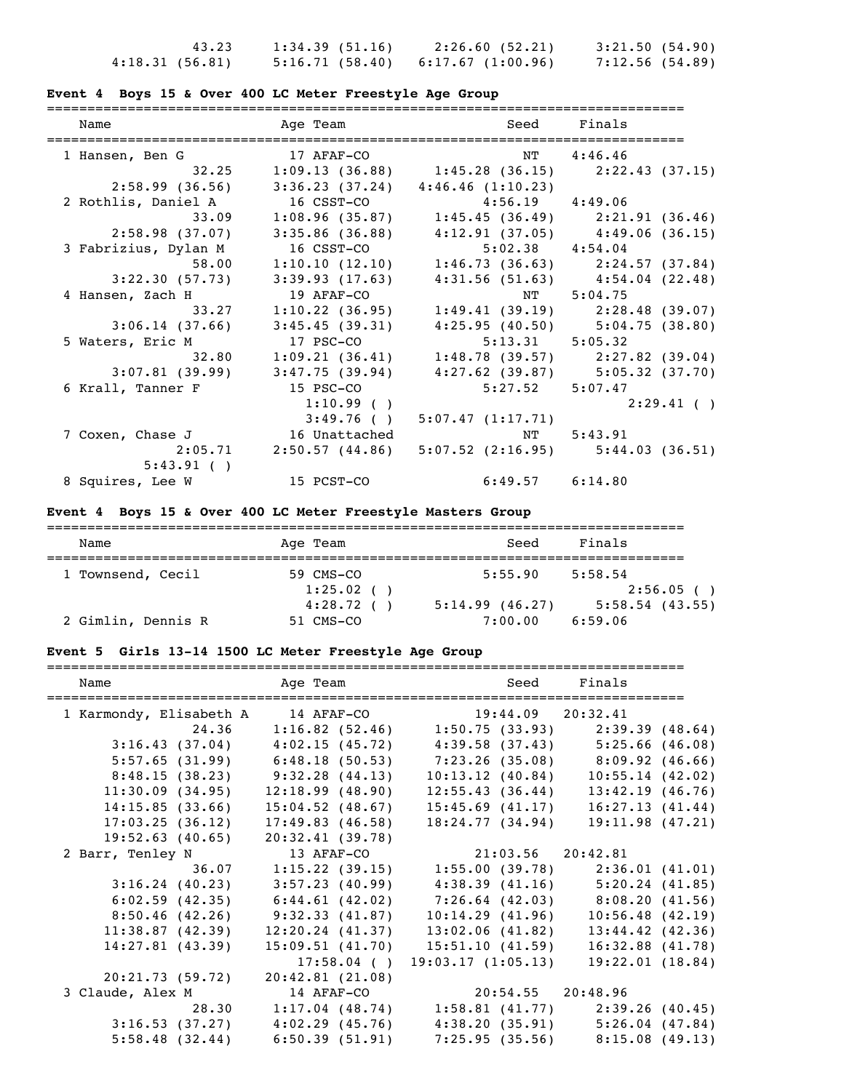|                | 43.23 | 1:34.39(51.16) |                                | 2:26.60(52.21) | 3:21.50(54.90) |  |
|----------------|-------|----------------|--------------------------------|----------------|----------------|--|
| 4:18.31(56.81) |       |                | 5:16.71(58.40)6:17.67(1:00.96) |                | 7:12.56(54.89) |  |

### **Event 4 Boys 15 & Over 400 LC Meter Freestyle Age Group**

===============================================================================

| Name                 | Age Team          |                                                             | Seed Finals                         |
|----------------------|-------------------|-------------------------------------------------------------|-------------------------------------|
| 1 Hansen, Ben G      | 17 AFAF-CO        | NT 4:46.46                                                  |                                     |
| 32.25                |                   | $1:09.13$ (36.88) $1:45.28$ (36.15) $2:22.43$ (37.15)       |                                     |
| 2:58.99(36.56)       | 3:36.23(37.24)    | 4:46.46(1:10.23)                                            |                                     |
| 2 Rothlis, Daniel A  | 16 CSST-CO        | $4:56.19$ $4:49.06$                                         |                                     |
| 33.09                | 1:08.96(35.87)    |                                                             | $1:45.45(36.49)$ $2:21.91(36.46)$   |
| 2:58.98(37.07)       | $3:35.86$ (36.88) | $4:12.91(37.05)$ $4:49.06(36.15)$                           |                                     |
| 3 Fabrizius, Dylan M | 16 CSST-CO        | $5:02.38$ $4:54.04$                                         |                                     |
| 58.00                |                   | $1:10.10$ $(12.10)$ $1:46.73$ $(36.63)$ $2:24.57$ $(37.84)$ |                                     |
| 3:22.30(57.73)       | 3:39.93(17.63)    |                                                             | $4:31.56$ (51.63) $4:54.04$ (22.48) |
| 4 Hansen, Zach H     | 19 AFAF-CO        | NT                                                          | 5:04.75                             |
| 33.27                | 1:10.22(36.95)    |                                                             | $1:49.41(39.19)$ $2:28.48(39.07)$   |
| 3:06.14(37.66)       | 3:45.45(39.31)    |                                                             | $4:25.95(40.50)$ $5:04.75(38.80)$   |
| 5 Waters, Eric M     | 17 PSC-CO         | $5:13.31$ $5:05.32$                                         |                                     |
| 32.80                | 1:09.21(36.41)    |                                                             | $1:48.78(39.57)$ $2:27.82(39.04)$   |
| 3:07.81(39.99)       | 3:47.75(39.94)    |                                                             | $4:27.62$ (39.87) $5:05.32$ (37.70) |
| 6 Krall, Tanner F    | 15 PSC-CO         | $5:27.52$ $5:07.47$                                         |                                     |
|                      | $1:10.99$ ()      |                                                             | 2:29.41( )                          |
|                      | 3:49.76(          | 5:07.47(1:17.71)                                            |                                     |
| 7 Coxen, Chase J     | 16 Unattached     | NT                                                          | 5:43.91                             |
| 2:05.71              |                   | $2:50.57$ (44.86) $5:07.52$ (2:16.95) $5:44.03$ (36.51)     |                                     |
| 5:43.91( )           |                   |                                                             |                                     |
| 8 Squires, Lee W     | 15 PCST-CO        | $6:49.57$ $6:14.80$                                         |                                     |

### **Event 4 Boys 15 & Over 400 LC Meter Freestyle Masters Group**

| Name               | Age Team     | Seed           | Finals            |
|--------------------|--------------|----------------|-------------------|
|                    |              |                |                   |
| 1 Townsend, Cecil  | 59 CMS-CO    | 5:55.90        | 5:58.54           |
|                    | $1:25.02$ () |                | 2:56.05( )        |
|                    | 4:28.72()    | 5:14.99(46.27) | $5:58.54$ (43.55) |
| 2 Gimlin, Dennis R | 51 CMS-CO    | 7:00.00        | 6:59.06           |

# **Event 5 Girls 13-14 1500 LC Meter Freestyle Age Group**

| Name                    | Age Team           | Seed                                                            | Finals                              |
|-------------------------|--------------------|-----------------------------------------------------------------|-------------------------------------|
| 1 Karmondy, Elisabeth A |                    | 14 AFAF-CO 19:44.09 20:32.41                                    |                                     |
| 24.36                   |                    | $1:16.82$ (52.46) 1:50.75 (33.93) 2:39.39 (48.64)               |                                     |
| 3:16.43(37.04)          |                    | $4:02.15$ (45.72) $4:39.58$ (37.43) $5:25.66$ (46.08)           |                                     |
|                         |                    | 5:57.65 (31.99) 6:48.18 (50.53) 7:23.26 (35.08) 8:09.92 (46.66) |                                     |
| 8:48.15(38.23)          | 9:32.28(44.13)     | 10:13.12(40.84)                                                 | 10:55.14(42.02)                     |
| 11:30.09(34.95)         | 12:18.99(48.90)    | 12:55.43(36.44)                                                 | 13:42.19(46.76)                     |
| 14:15.85(33.66)         | $15:04.52$ (48.67) | 15:45.69(41.17)                                                 | 16:27.13(41.44)                     |
| 17:03.25(36.12)         | 17:49.83(46.58)    | 18:24.77(34.94)                                                 | 19:11.98(47.21)                     |
| $19:52.63$ (40.65)      | 20:32.41(39.78)    |                                                                 |                                     |
| 2 Barr, Tenley N        | 13 AFAF-CO         | 21:03.56 20:42.81                                               |                                     |
| 36.07                   |                    | $1:15.22$ (39.15) $1:55.00$ (39.78) $2:36.01$ (41.01)           |                                     |
| 3:16.24(40.23)          | 3:57.23 (40.99)    |                                                                 | $4:38.39$ (41.16) $5:20.24$ (41.85) |
| 6:02.59(42.35)          | 6:44.61(42.02)     |                                                                 | $7:26.64$ (42.03) 8:08.20 (41.56)   |
| 8:50.46(42.26)          | 9:32.33(41.87)     | 10:14.29(41.96)                                                 | $10:56.48$ (42.19)                  |
| 11:38.87(42.39)         | 12:20.24(41.37)    | 13:02.06(41.82)                                                 | $13:44.42$ $(42.36)$                |
| 14:27.81(43.39)         | 15:09.51(41.70)    | 15:51.10 (41.59)                                                | $16:32.88$ $(41.78)$                |
|                         | 17:58.04()         | 19:03.17(1:05.13)                                               | 19:22.01(18.84)                     |
| 20:21.73(59.72)         | 20:42.81(21.08)    |                                                                 |                                     |
| 3 Claude, Alex M        | 14 AFAF-CO         | 20:54.55 20:48.96                                               |                                     |
| 28.30                   |                    | $1:17.04$ (48.74) $1:58.81$ (41.77) $2:39.26$ (40.45)           |                                     |
| 3:16.53(37.27)          |                    | $4:02.29$ (45.76) $4:38.20$ (35.91) $5:26.04$ (47.84)           |                                     |
| 5:58.48(32.44)          | 6:50.39(51.91)     |                                                                 | $7:25.95(35.56)$ 8:15.08 (49.13)    |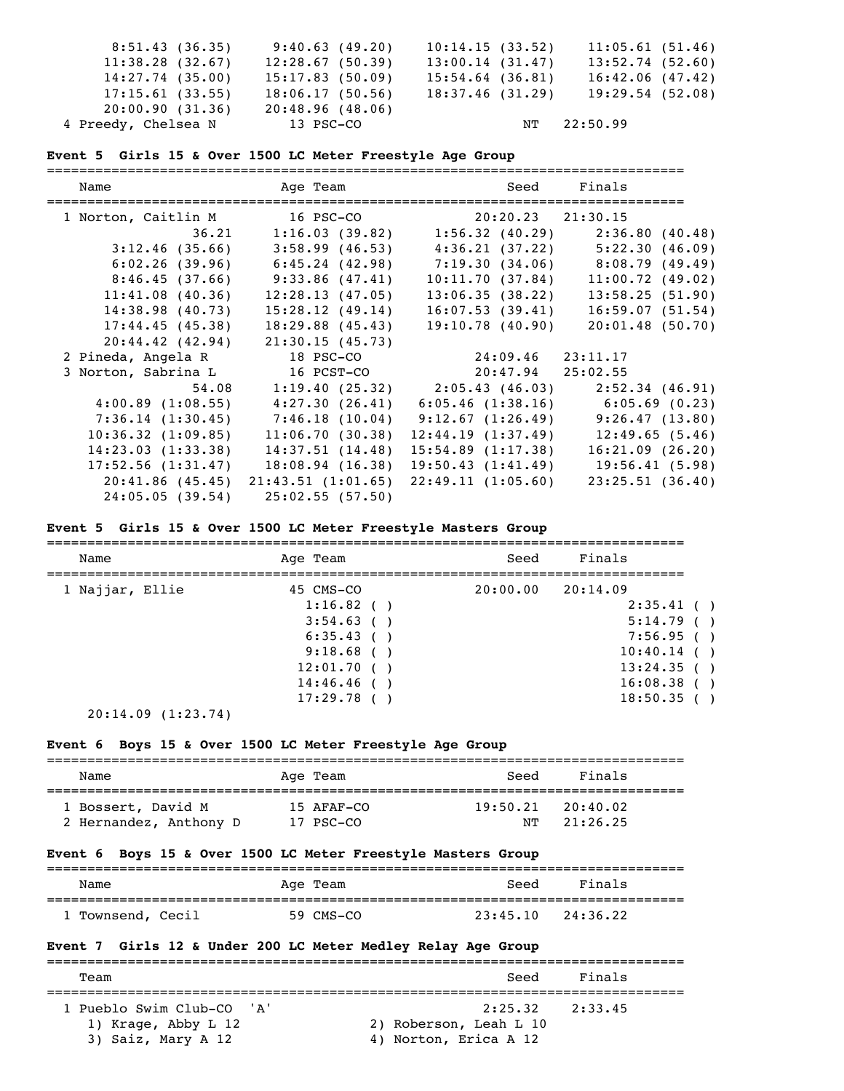| 8:51.43(36.35)      | 9:40.63(49.20)  | 10:14.15(33.52)    | 11:05.61(51.46) |  |
|---------------------|-----------------|--------------------|-----------------|--|
| 11:38.28(32.67)     | 12:28.67(50.39) | 13:00.14(31.47)    | 13:52.74(52.60) |  |
| $14:27.74$ (35.00)  | 15:17.83(50.09) | $15:54.64$ (36.81) | 16:42.06(47.42) |  |
| 17:15.61(33.55)     | 18:06.17(50.56) | 18:37.46 (31.29)   | 19:29.54(52.08) |  |
| 20:00.90(31.36)     | 20:48.96(48.06) |                    |                 |  |
| 4 Preedy, Chelsea N | 13 PSC-CO       |                    | NT 22:50.99     |  |

#### **Event 5 Girls 15 & Over 1500 LC Meter Freestyle Age Group**

| Name                | Age Team and the state of the state of the state of the state of the state of the state of the state of the sta | Seed                              | Finals<br>======================                    |
|---------------------|-----------------------------------------------------------------------------------------------------------------|-----------------------------------|-----------------------------------------------------|
| 1 Norton, Caitlin M | 16 PSC-CO                                                                                                       | 20:20.23 21:30.15                 |                                                     |
| 36.21               |                                                                                                                 | $1:16.03(39.82)$ $1:56.32(40.29)$ | 2:36.80(40.48)                                      |
| 3:12.46(35.66)      | 3:58.99(46.53)                                                                                                  |                                   | $4:36.21(37.22)$ $5:22.30(46.09)$                   |
| 6:02.26(39.96)      | $6:45.24$ (42.98)                                                                                               |                                   | $7:19.30(34.06)$ $8:08.79(49.49)$                   |
| 8:46.45(37.66)      | 9:33.86 (47.41)                                                                                                 | 10:11.70(37.84)                   | 11:00.72(49.02)                                     |
| 11:41.08(40.36)     | 12:28.13(47.05)                                                                                                 | 13:06.35(38.22)                   | 13:58.25(51.90)                                     |
| 14:38.98(40.73)     | 15:28.12(49.14)                                                                                                 | 16:07.53(39.41)                   | 16:59.07(51.54)                                     |
| 17:44.45(45.38)     | 18:29.88(45.43)                                                                                                 | $19:10.78$ (40.90)                | $20:01.48$ (50.70)                                  |
| 20:44.42(42.94)     | 21:30.15(45.73)                                                                                                 |                                   |                                                     |
| 2 Pineda, Angela R  | 18 PSC-CO                                                                                                       | 24:09.46 23:11.17                 |                                                     |
| 3 Norton, Sabrina L | 16 PCST-CO                                                                                                      | $20:47.94$ $25:02.55$             |                                                     |
| 54.08               |                                                                                                                 | $1:19.40(25.32)$ $2:05.43(46.03)$ | 2:52.34(46.91)                                      |
| 4:00.89(1:08.55)    |                                                                                                                 |                                   | $4:27.30$ (26.41) 6:05.46 (1:38.16) 6:05.69 (0.23)  |
| 7:36.14(1:30.45)    |                                                                                                                 |                                   | $7:46.18$ (10.04) 9:12.67 (1:26.49) 9:26.47 (13.80) |
| 10:36.32(1:09.85)   | 11:06.70(30.38)                                                                                                 | 12:44.19(1:37.49)                 | 12:49.65(5.46)                                      |
| 14:23.03(1:33.38)   | 14:37.51(14.48)                                                                                                 | 15:54.89(1:17.38)                 | 16:21.09(26.20)                                     |
| 17:52.56(1:31.47)   | 18:08.94(16.38)                                                                                                 | 19:50.43(1:41.49)                 | 19:56.41(5.98)                                      |
| 20:41.86(45.45)     | 21:43.51(1:01.65)                                                                                               | 22:49.11(1:05.60)                 | 23:25.51(36.40)                                     |
| 24:05.05(39.54)     | 25:02.55(57.50)                                                                                                 |                                   |                                                     |

#### **Event 5 Girls 15 & Over 1500 LC Meter Freestyle Masters Group**

| Name            | Age Team   | Seed                  | Finals     |  |
|-----------------|------------|-----------------------|------------|--|
| 1 Najjar, Ellie | 45 CMS-CO  | $20:00.00$ $20:14.09$ |            |  |
|                 | 1:16.82()  |                       | 2:35.41( ) |  |
|                 | 3:54.63()  |                       | 5:14.79()  |  |
|                 | 6:35.43()  |                       | 7:56.95( ) |  |
|                 | 9:18.68()  |                       | 10:40.14() |  |
|                 | 12:01.70(  |                       | 13:24.35() |  |
|                 | 14:46.46(  |                       | 16:08.38() |  |
|                 | 17:29.78() |                       | 18:50.35() |  |
|                 |            |                       |            |  |

20:14.09 (1:23.74)

#### **Event 6 Boys 15 & Over 1500 LC Meter Freestyle Age Group**

| Name                   | Age Team     | Seed     | Finals   |
|------------------------|--------------|----------|----------|
| 1 Bossert, David M     | $15$ AFAF-CO | 19:50.21 | 20:40.02 |
| 2 Hernandez, Anthony D | 17 PSC-CO    | NT       | 21:26.25 |

#### **Event 6 Boys 15 & Over 1500 LC Meter Freestyle Masters Group**

| Name              | Age Team  | Finals<br>Seed       |  |
|-------------------|-----------|----------------------|--|
| 1 Townsend, Cecil | 59 CMS-CO | 23:45.10<br>24:36.22 |  |

### **Event 7 Girls 12 & Under 200 LC Meter Medley Relay Age Group**

=============================================================================== Team Seed Finals =============================================================================== 1 Pueblo Swim Club-CO 'A' 2:25.32 2:33.45 1) Krage, Abby L 12 2) Roberson, Leah L 10 3) Saiz, Mary A 12 4) Norton, Erica A 12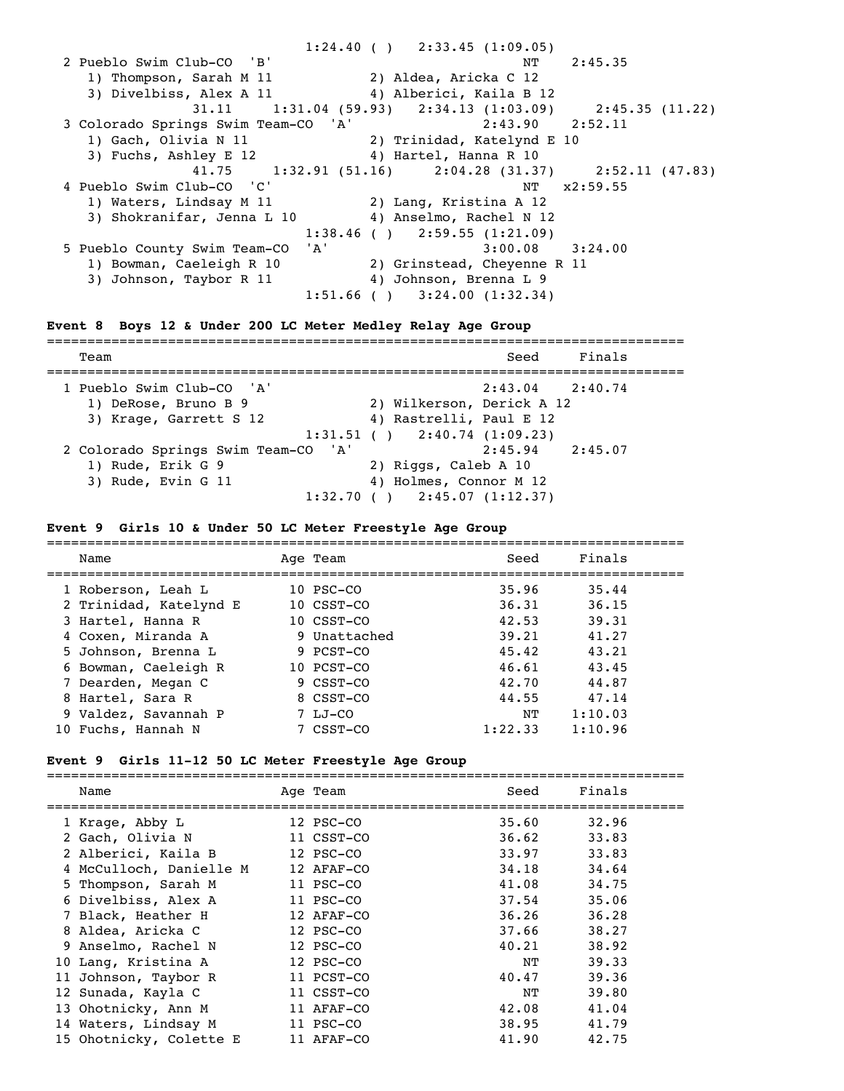1:24.40 ( ) 2:33.45 (1:09.05) 2 Pueblo Swim Club-CO 'B' NT 2:45.35 1) Thompson, Sarah M 11 2) Aldea, Aricka C 12 3) Divelbiss, Alex A 11 4) Alberici, Kaila B 12 31.11 1:31.04 (59.93) 2:34.13 (1:03.09) 2:45.35 (11.22) 3 Colorado Springs Swim Team-CO 'A' 2:43.90 2:52.11 1) Gach, Olivia N 11 2) Trinidad, Katelynd E 10 3) Fuchs, Ashley E 12  $\hskip 1.5cm$  4) Hartel, Hanna R 10 41.75 1:32.91 (51.16) 2:04.28 (31.37) 2:52.11 (47.83)<br>
ub-CO 'C' NT x2:59.55 4 Pueblo Swim Club-CO 'C' 1) Waters, Lindsay M 11 2) Lang, Kristina A 12 3) Shokranifar, Jenna L 10 4) Anselmo, Rachel N 12  $1:38.46$  ( )  $2:59.55$  (1:21.09) 5 Pueblo County Swim Team-CO 'A' 3:00.08 3:24.00 1) Bowman, Caeleigh R 10 2) Grinstead, Cheyenne R 11 3) Johnson, Taybor R 11 4) Johnson, Brenna L 9  $1:51.66$  ( )  $3:24.00$  (1:32.34)

#### **Event 8 Boys 12 & Under 200 LC Meter Medley Relay Age Group**

=============================================================================== Team Seed Finals =============================================================================== 1 Pueblo Swim Club-CO 'A' 2:43.04 2:40.74 1) DeRose, Bruno B 9 2) Wilkerson, Derick A 12 3) Krage, Garrett S 12 4) Rastrelli, Paul E 12  $1:31.51$  ( )  $2:40.74$  (1:09.23) 2 Colorado Springs Swim Team-CO 'A' 2:45.94 2:45.07 1) Rude, Erik G 9 2) Riggs, Caleb A 10 3) Rude, Evin G 11 4) Holmes, Connor M 12  $1:32.70$  ( )  $2:45.07$  (1:12.37)

#### **Event 9 Girls 10 & Under 50 LC Meter Freestyle Age Group**

| Name                   | Age Team               | Seed    | Finals  |
|------------------------|------------------------|---------|---------|
| 1 Roberson, Leah L     | $10$ PSC $-$ CO        | 35.96   | 35.44   |
| 2 Trinidad, Katelynd E | $10 \text{ CSST} - CQ$ | 36.31   | 36.15   |
| 3 Hartel, Hanna R      | 10 CSST-CO             | 42.53   | 39.31   |
| 4 Coxen, Miranda A     | 9 Unattached           | 39.21   | 41.27   |
| 5 Johnson, Brenna L    | 9 PCST-CO              | 45.42   | 43.21   |
| 6 Bowman, Caeleigh R   | 10 PCST-CO             | 46.61   | 43.45   |
| 7 Dearden, Megan C     | 9 CSST-CO              | 42.70   | 44.87   |
| 8 Hartel, Sara R       | 8 CSST-CO              | 44.55   | 47.14   |
| 9 Valdez, Savannah P   | $7 LJ-CO$              | NΤ      | 1:10.03 |
| 10 Fuchs, Hannah N     | 7 CSST-CO              | 1:22.33 | 1:10.96 |

#### **Event 9 Girls 11-12 50 LC Meter Freestyle Age Group**

=============================================================================== Age Team Seed Finals =============================================================================== 1 Krage, Abby L 12 PSC-CO 35.60 32.96 2 Gach, Olivia N 11 CSST-CO 36.62 33.83 2 Alberici, Kaila B 12 PSC-CO 33.97 33.83 4 McCulloch, Danielle M 12 AFAF-CO 34.18 34.64 5 Thompson, Sarah M 11 PSC-CO 41.08 34.75 6 Divelbiss, Alex A 11 PSC-CO 37.54 35.06 7 Black, Heather H 12 AFAF-CO 36.26 36.28 8 Aldea, Aricka C 12 PSC-CO 37.66 38.27 9 Anselmo, Rachel N 12 PSC-CO 40.21 38.92 10 Lang, Kristina A 12 PSC-CO NT 39.33 11 Johnson, Taybor R 11 PCST-CO 40.47 39.36 12 Sunada, Kayla C 11 CSST-CO NT 39.80 13 Ohotnicky, Ann M 11 AFAF-CO 42.08 41.04 14 Waters, Lindsay M 11 PSC-CO 38.95 41.79 15 Ohotnicky, Colette E 11 AFAF-CO 41.90 42.75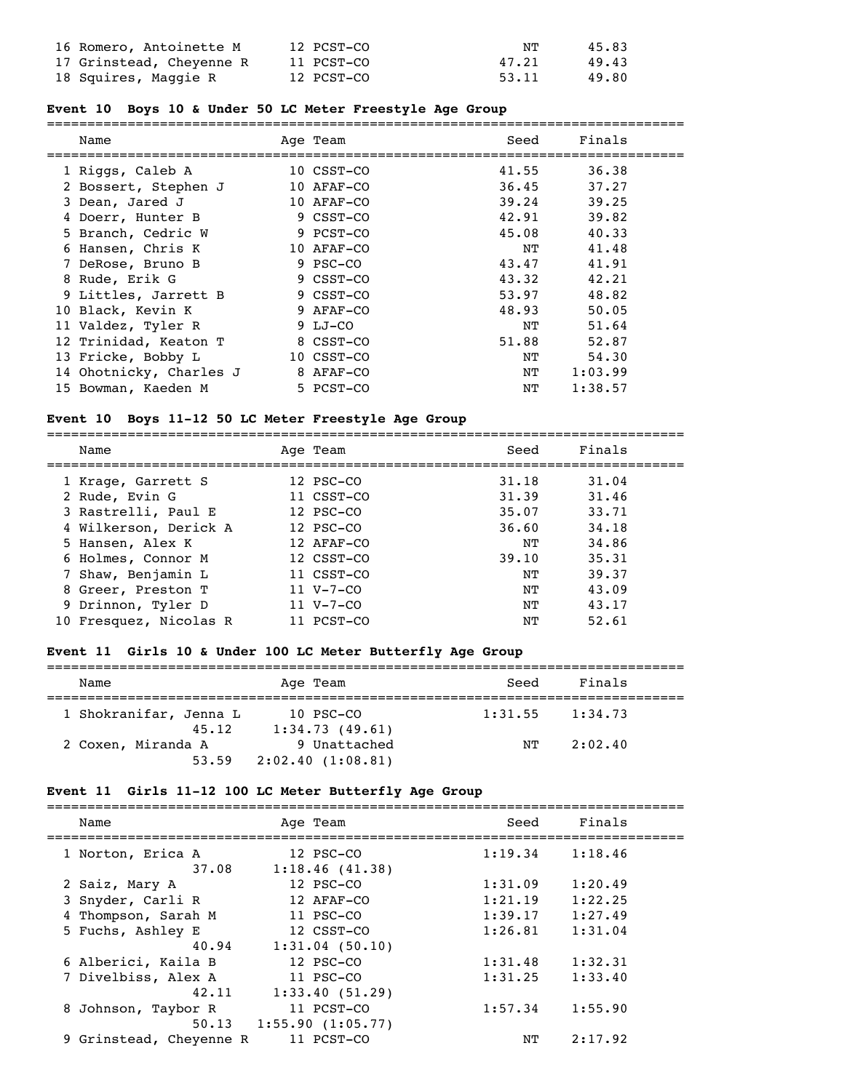| 16 Romero, Antoinette M  | 12 PCST-CO | NT    | 45.83 |
|--------------------------|------------|-------|-------|
| 17 Grinstead, Cheyenne R | 11 PCST-CO | 47.21 | 49.43 |
| 18 Squires, Maggie R     | 12 PCST-CO | 53.11 | 49.80 |

# **Event 10 Boys 10 & Under 50 LC Meter Freestyle Age Group**

| Name                    | Age Team   | Seed  | Finals  |
|-------------------------|------------|-------|---------|
| 1 Riggs, Caleb A        | 10 CSST-CO | 41.55 | 36.38   |
| 2 Bossert, Stephen J    | 10 AFAF-CO | 36.45 | 37.27   |
| 3 Dean, Jared J         | 10 AFAF-CO | 39.24 | 39.25   |
| 4 Doerr, Hunter B       | 9 CSST-CO  | 42.91 | 39.82   |
| 5 Branch, Cedric W      | 9 PCST-CO  | 45.08 | 40.33   |
| 6 Hansen, Chris K       | 10 AFAF-CO | NT    | 41.48   |
| 7 DeRose, Bruno B       | 9 PSC-CO   | 43.47 | 41.91   |
| 8 Rude, Erik G          | 9 CSST-CO  | 43.32 | 42.21   |
| 9 Littles, Jarrett B    | 9 CSST-CO  | 53.97 | 48.82   |
| 10 Black, Kevin K       | 9 AFAF-CO  | 48.93 | 50.05   |
| 11 Valdez, Tyler R      | 9 LJ-CO    | NT    | 51.64   |
| 12 Trinidad, Keaton T   | 8 CSST-CO  | 51.88 | 52.87   |
| 13 Fricke, Bobby L      | 10 CSST-CO | NT    | 54.30   |
| 14 Ohotnicky, Charles J | 8 AFAF-CO  | NT    | 1:03.99 |
| 15 Bowman, Kaeden M     | 5 PCST-CO  | ΝT    | 1:38.57 |

## **Event 10 Boys 11-12 50 LC Meter Freestyle Age Group**

| Name                   | Age Team        | Seed  | Finals |
|------------------------|-----------------|-------|--------|
| 1 Krage, Garrett S     | 12 PSC-CO       | 31.18 | 31.04  |
| 2 Rude, Evin G         | 11 CSST-CO      | 31.39 | 31.46  |
| 3 Rastrelli, Paul E    | 12 PSC-CO       | 35.07 | 33.71  |
| 4 Wilkerson, Derick A  | 12 PSC-CO       | 36.60 | 34.18  |
| 5 Hansen, Alex K       | 12 AFAF-CO      | NΤ    | 34.86  |
| 6 Holmes, Connor M     | 12 CSST-CO      | 39.10 | 35.31  |
| 7 Shaw, Benjamin L     | 11 CSST-CO      | NΤ    | 39.37  |
| 8 Greer, Preston T     | $11 V - 7 - CO$ | NΤ    | 43.09  |
| 9 Drinnon, Tyler D     | $11 V - 7 - CO$ | NΤ    | 43.17  |
| 10 Fresquez, Nicolas R | 11 PCST-CO      | NΤ    | 52.61  |

# **Event 11 Girls 10 & Under 100 LC Meter Butterfly Age Group**

| Name                            | Age Team                         | Seed    | Finals  |  |  |
|---------------------------------|----------------------------------|---------|---------|--|--|
| 1 Shokranifar, Jenna L<br>45.12 | $10$ PSC-CO<br>1:34.73(49.61)    | 1:31.55 | 1:34.73 |  |  |
| 2 Coxen, Miranda A<br>53.59     | 9 Unattached<br>2:02.40(1:08.81) | NΤ      | 2:02.40 |  |  |

# **Event 11 Girls 11-12 100 LC Meter Butterfly Age Group**

| Name                       | Age Team                    | Seed    | Finals  |  |
|----------------------------|-----------------------------|---------|---------|--|
| 1 Norton, Erica A<br>37.08 | 12 PSC-CO<br>1:18.46(41.38) | 1:19.34 | 1:18.46 |  |
| 2 Saiz, Mary A             | 12 PSC-CO                   | 1:31.09 | 1:20.49 |  |
| 3 Snyder, Carli R          | 12 AFAF-CO                  | 1:21.19 | 1:22.25 |  |
| 4 Thompson, Sarah M        | 11 PSC-CO                   | 1:39.17 | 1:27.49 |  |
| 5 Fuchs, Ashley E          | 12 CSST-CO                  | 1:26.81 | 1:31.04 |  |
| 40.94                      | $1:31.04$ (50.10)           |         |         |  |
| 6 Alberici, Kaila B        | 12 PSC-CO                   | 1:31.48 | 1:32.31 |  |
| 7 Divelbiss, Alex A        | 11 PSC-CO                   | 1:31.25 | 1:33.40 |  |
| 42.11                      | 1:33.40(51.29)              |         |         |  |
| 8 Johnson, Taybor R        | 11 PCST-CO                  | 1:57.34 | 1:55.90 |  |
| 50.13                      | 1:55.90(1:05.77)            |         |         |  |
| 9 Grinstead, Cheyenne R    | 11 PCST-CO                  | NΤ      | 2:17.92 |  |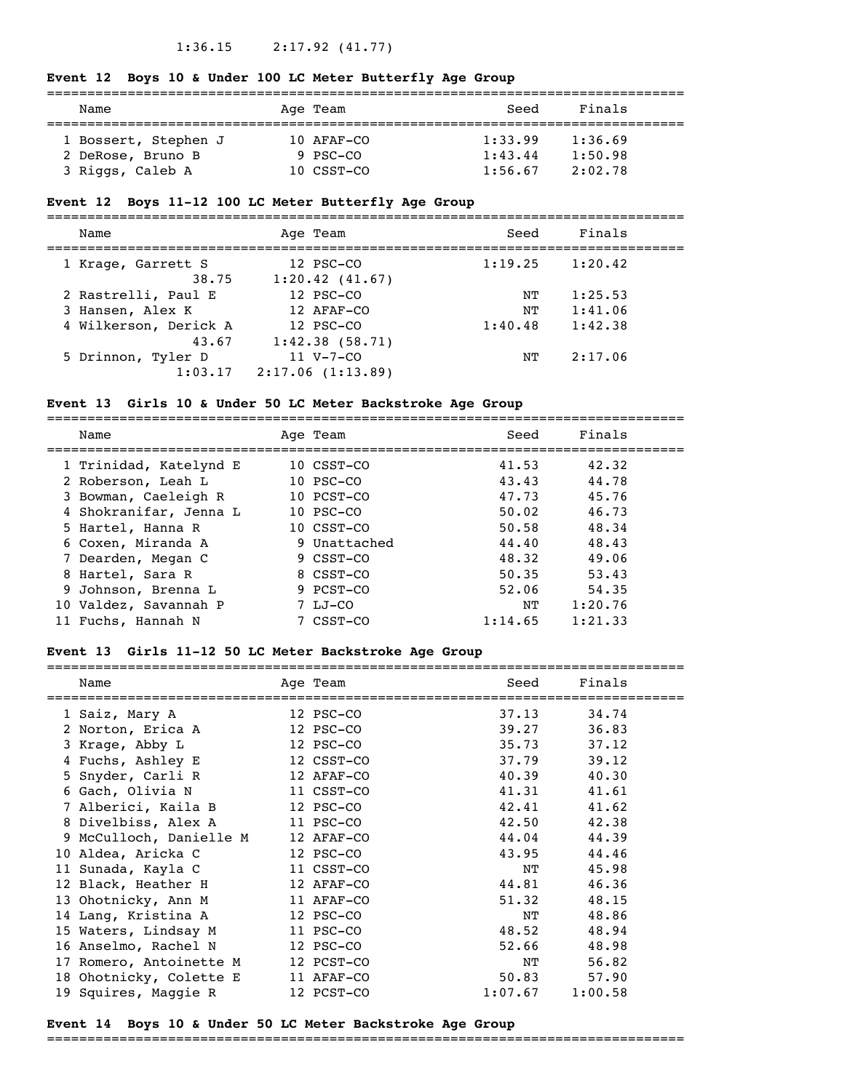#### 1:36.15 2:17.92 (41.77)

#### **Event 12 Boys 10 & Under 100 LC Meter Butterfly Age Group**

| Name                                  | Age Team               | Seed               | Finals             |  |
|---------------------------------------|------------------------|--------------------|--------------------|--|
| 1 Bossert, Stephen J                  | 10 AFAF-CO             | 1:33.99            | 1:36.69            |  |
| 2 DeRose, Bruno B<br>3 Riggs, Caleb A | 9 PSC-CO<br>10 CSST-CO | 1:43.44<br>1:56.67 | 1:50.98<br>2:02.78 |  |

#### **Event 12 Boys 11-12 100 LC Meter Butterfly Age Group**

=============================================================================== Name **Age Team** Seed Finals =============================================================================== 1 Krage, Garrett S 12 PSC-CO 1:19.25 1:20.42 38.75 1:20.42 (41.67) 2 Rastrelli, Paul E 12 PSC-CO NT 1:25.53 3 Hansen, Alex K 12 AFAF-CO NT 1:41.06 4 Wilkerson, Derick A 12 PSC-CO 1:40.48 1:42.38 43.67 1:42.38 (58.71) 5 Drinnon, Tyler D 11 V-7-CO NT 2:17.06 1:03.17 2:17.06 (1:13.89)

#### **Event 13 Girls 10 & Under 50 LC Meter Backstroke Age Group**

=============================================================================== Name Age Team Seed Finals

|                        | $-20$          |         |         |
|------------------------|----------------|---------|---------|
| 1 Trinidad, Katelynd E | 10 CSST-CO     | 41.53   | 42.32   |
| 2 Roberson, Leah L     | $10$ PSC $-CO$ | 43.43   | 44.78   |
| 3 Bowman, Caeleigh R   | 10 PCST-CO     | 47.73   | 45.76   |
| 4 Shokranifar, Jenna L | $10$ PSC $-CO$ | 50.02   | 46.73   |
| 5 Hartel, Hanna R      | 10 CSST-CO     | 50.58   | 48.34   |
| 6 Coxen, Miranda A     | 9 Unattached   | 44.40   | 48.43   |
| 7 Dearden, Megan C     | 9 CSST-CO      | 48.32   | 49.06   |
| 8 Hartel, Sara R       | 8 CSST-CO      | 50.35   | 53.43   |
| 9 Johnson, Brenna L    | 9 PCST-CO      | 52.06   | 54.35   |
| 10 Valdez, Savannah P  | 7 LJ-CO        | NΤ      | 1:20.76 |
| 11 Fuchs, Hannah N     | 7 CSST-CO      | 1:14.65 | 1:21.33 |

#### **Event 13 Girls 11-12 50 LC Meter Backstroke Age Group**

=============================================================================== Name **Age Team** Age Team Seed Finals =============================================================================== 1 Saiz, Mary A 12 PSC-CO 37.13 34.74 2 Norton, Erica A 12 PSC-CO 39.27 36.83 3 Krage, Abby L 12 PSC-CO 35.73 37.12 4 Fuchs, Ashley E 12 CSST-CO 37.79 39.12 5 Snyder, Carli R 12 AFAF-CO 40.39 40.30 6 Gach, Olivia N 11 CSST-CO 41.31 41.61 7 Alberici, Kaila B 12 PSC-CO 42.41 41.62 8 Divelbiss, Alex A 11 PSC-CO 42.50 42.38 9 McCulloch, Danielle M 12 AFAF-CO 44.04 44.39 10 Aldea, Aricka C 12 PSC-CO 43.95 44.46 11 Sunada, Kayla C 11 CSST-CO NT 45.98 12 Black, Heather H 12 AFAF-CO 44.81 46.36 13 Ohotnicky, Ann M 11 AFAF-CO 51.32 48.15 14 Lang, Kristina A 12 PSC-CO NT 48.86 15 Waters, Lindsay M 11 PSC-CO 48.52 48.94 16 Anselmo, Rachel N 12 PSC-CO 52.66 48.98 17 Romero, Antoinette M 12 PCST-CO NT 56.82 18 Ohotnicky, Colette E 11 AFAF-CO 50.83 57.90 19 Squires, Maggie R 12 PCST-CO 1:07.67 1:00.58

#### **Event 14 Boys 10 & Under 50 LC Meter Backstroke Age Group**

===============================================================================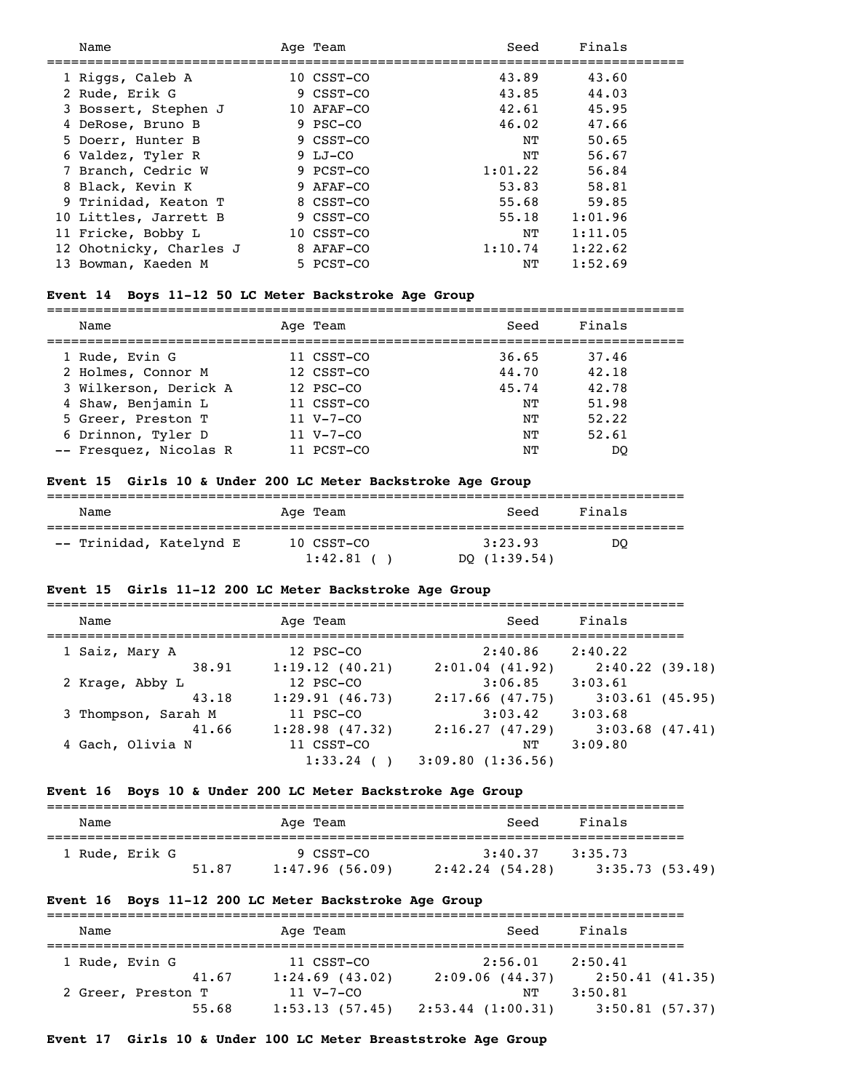| Name                    | Age Team   | Seed    | Finals  |
|-------------------------|------------|---------|---------|
| 1 Riggs, Caleb A        | 10 CSST-CO | 43.89   | 43.60   |
| 2 Rude, Erik G          | 9 CSST-CO  | 43.85   | 44.03   |
| 3 Bossert, Stephen J    | 10 AFAF-CO | 42.61   | 45.95   |
| 4 DeRose, Bruno B       | 9 PSC-CO   | 46.02   | 47.66   |
| 5 Doerr, Hunter B       | 9 CSST-CO  | NΤ      | 50.65   |
| 6 Valdez, Tyler R       | 9 LJ-CO    | NΤ      | 56.67   |
| 7 Branch, Cedric W      | 9 PCST-CO  | 1:01.22 | 56.84   |
| 8 Black, Kevin K        | 9 AFAF-CO  | 53.83   | 58.81   |
| 9 Trinidad, Keaton T    | 8 CSST-CO  | 55.68   | 59.85   |
| 10 Littles, Jarrett B   | 9 CSST-CO  | 55.18   | 1:01.96 |
| 11 Fricke, Bobby L      | 10 CSST-CO | NΤ      | 1:11.05 |
| 12 Ohotnicky, Charles J | 8 AFAF-CO  | 1:10.74 | 1:22.62 |
| 13 Bowman, Kaeden M     | 5 PCST-CO  | NΤ      | 1:52.69 |

#### **Event 14 Boys 11-12 50 LC Meter Backstroke Age Group**

=============================================================================== Name Age Team Seed Finals =============================================================================== 1 Rude, Evin G 11 CSST-CO 36.65 37.46 2 Holmes, Connor M 12 CSST-CO 44.70 42.18 3 Wilkerson, Derick A 12 PSC-CO 45.74 42.78 4 Shaw, Benjamin L 11 CSST-CO NT 51.98 5 Greer, Preston T 11 V-7-CO NT 52.22 6 Drinnon, Tyler D 11 V-7-CO NT 52.61 -- Fresquez, Nicolas R 11 PCST-CO NT DQ

#### **Event 15 Girls 10 & Under 200 LC Meter Backstroke Age Group**

| Name                    | Age Team              | Seed                      | Finals |
|-------------------------|-----------------------|---------------------------|--------|
| -- Trinidad, Katelynd E | 10 CSST-CO<br>1:42.81 | 3:23.93<br>DO $(1:39.54)$ | DO     |

#### **Event 15 Girls 11-12 200 LC Meter Backstroke Age Group**

| Name                | Age Team       | Seed              | Finals            |
|---------------------|----------------|-------------------|-------------------|
| 1 Saiz, Mary A      | 12 PSC-CO      | 2:40.86           | 2:40.22           |
| 38.91               | 1:19.12(40.21) | $2:01.04$ (41.92) | 2:40.22(39.18)    |
| 2 Krage, Abby L     | 12 PSC-CO      | 3:06.85           | 3:03.61           |
| 43.18               | 1:29.91(46.73) | $2:17.66$ (47.75) | $3:03.61$ (45.95) |
| 3 Thompson, Sarah M | 11 PSC-CO      | 3:03.42           | 3:03.68           |
| 41.66               | 1:28.98(47.32) | 2:16.27(47.29)    | $3:03.68$ (47.41) |
| 4 Gach, Olivia N    | 11 CSST-CO     | NΤ                | 3:09.80           |
|                     | $1:33.24$ (    | 3:09.80(1:36.56)  |                   |

#### **Event 16 Boys 10 & Under 200 LC Meter Backstroke Age Group**

| Name           |       | Age Team                    | Seed                         | Finals                    |  |  |  |
|----------------|-------|-----------------------------|------------------------------|---------------------------|--|--|--|
| 1 Rude, Erik G | 51.87 | 9 CSST-CO<br>1:47.96(56.09) | 3:40.37<br>$2:42.24$ (54.28) | 3:35.73<br>3:35.73(53.49) |  |  |  |

#### **Event 16 Boys 11-12 200 LC Meter Backstroke Age Group**

| Name               | Age Team          | Seed             | Finals         |
|--------------------|-------------------|------------------|----------------|
| 1 Rude, Evin G     | 11 CSST-CO        | 2:56.01          | 2:50.41        |
| 41.67              | $1:24.69$ (43.02) | 2:09.06(44.37)   | 2:50.41(41.35) |
| 2 Greer, Preston T | $11 V - 7 - CQ$   | NТ               | 3:50.81        |
| 55.68              | 1:53.13(57.45)    | 2:53.44(1:00.31) | 3:50.81(57.37) |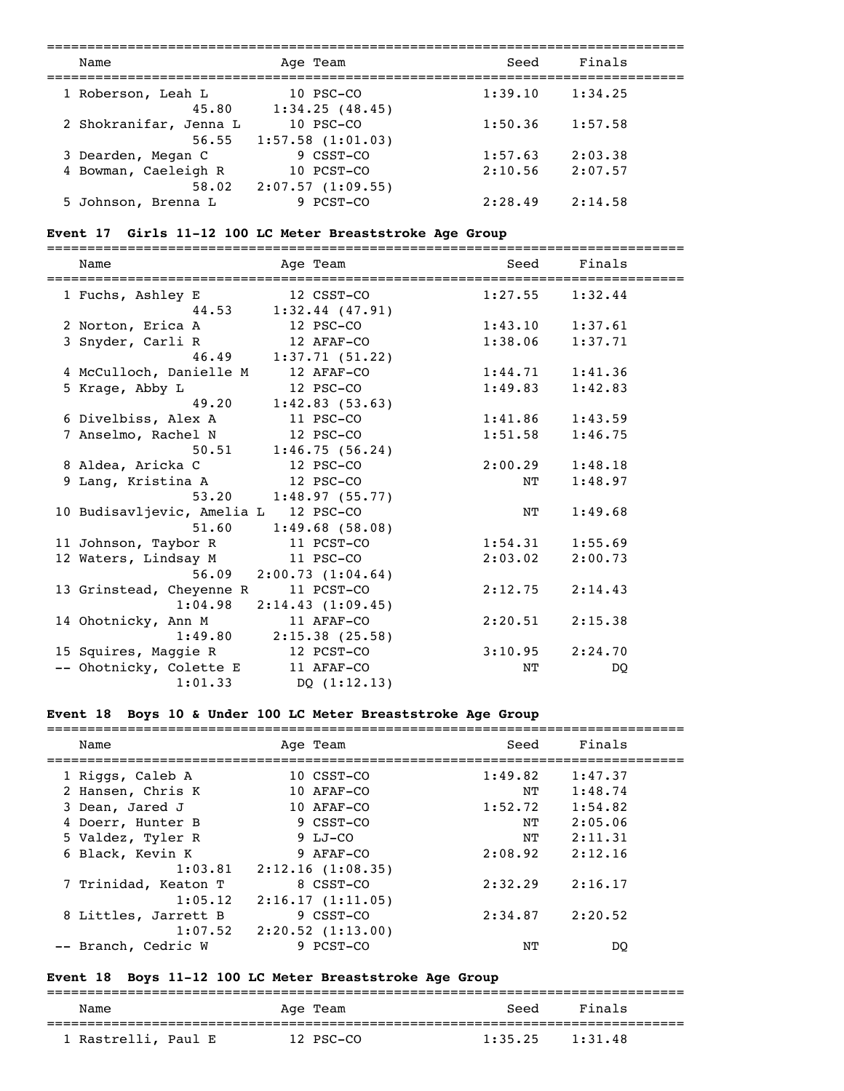| Name                   |       | Age Team                                | Seed    | Finals  |  |
|------------------------|-------|-----------------------------------------|---------|---------|--|
| 1 Roberson, Leah L     | 45.80 | $10$ PSC-CO<br>1:34.25(48.45)           | 1:39.10 | 1:34.25 |  |
| 2 Shokranifar, Jenna L | 56.55 | $10$ PSC $-CO$<br>$1:57.58$ $(1:01.03)$ | 1:50.36 | 1:57.58 |  |
| 3 Dearden, Megan C     |       | 9 CSST-CO                               | 1:57.63 | 2:03.38 |  |
| 4 Bowman, Caeleigh R   |       | 10 PCST-CO                              | 2:10.56 | 2:07.57 |  |
|                        | 58.02 | 2:07.57(1:09.55)                        |         |         |  |
| 5 Johnson, Brenna L    |       | 9 PCST-CO                               | 2:28.49 | 2:14.58 |  |

# **Event 17 Girls 11-12 100 LC Meter Breaststroke Age Group**

| Name                                 | Age Team                            | Seed    | Finals              |
|--------------------------------------|-------------------------------------|---------|---------------------|
| 1 Fuchs, Ashley E                    | 12 CSST-CO<br>44.53 1:32.44 (47.91) |         | $1:27.55$ $1:32.44$ |
| 2 Norton, Erica A                    | 12 PSC-CO                           |         | $1:43.10$ $1:37.61$ |
| 3 Snyder, Carli R                    | 12 AFAF-CO                          | 1:38.06 | 1:37.71             |
|                                      | 46.49 1:37.71 (51.22)               |         |                     |
| 4 McCulloch, Danielle M              | 12 AFAF-CO                          |         | $1:44.71$ $1:41.36$ |
| 5 Krage, Abby L                      | 12 PSC-CO                           | 1:49.83 | 1:42.83             |
|                                      | 49.20 1:42.83 (53.63)               |         |                     |
| 6 Divelbiss, Alex A                  | 11 PSC-CO                           |         | $1:41.86$ $1:43.59$ |
| 7 Anselmo, Rachel N                  | 12 PSC-CO                           | 1:51.58 | 1:46.75             |
|                                      | $50.51$ 1:46.75 (56.24)             |         |                     |
| 8 Aldea, Aricka C                    | 12 PSC-CO                           |         | $2:00.29$ $1:48.18$ |
| 9 Lang, Kristina A                   | 12 PSC-CO                           | NΤ      | 1:48.97             |
| 53.20                                | 1:48.97(55.77)                      |         |                     |
| 10 Budisavljevic, Amelia L 12 PSC-CO |                                     | ΝT      | 1:49.68             |
| 51.60                                | 1:49.68(58.08)                      |         |                     |
| 11 Johnson, Taybor R                 | 11 PCST-CO                          |         | $1:54.31$ $1:55.69$ |
| 12 Waters, Lindsay M                 | 11 PSC-CO                           | 2:03.02 | 2:00.73             |
|                                      | $56.09$ $2:00.73$ $(1:04.64)$       |         |                     |
| 13 Grinstead, Cheyenne R             | 11 PCST-CO                          | 2:12.75 | 2:14.43             |
| 1:04.98                              | 2:14.43(1:09.45)                    |         |                     |
| 14 Ohotnicky, Ann M                  | 11 AFAF-CO                          | 2:20.51 | 2:15.38             |
|                                      | $1:49.80$ $2:15.38$ (25.58)         |         |                     |
| 15 Squires, Maggie R                 | 12 PCST-CO                          | 3:10.95 | 2:24.70             |
| -- Ohotnicky, Colette E 11 AFAF-CO   |                                     | NΤ      | DQ                  |
| 1:01.33                              | DQ(1:12.13)                         |         |                     |

# **Event 18 Boys 10 & Under 100 LC Meter Breaststroke Age Group**

| Name                 | Age Team              | Seed    | Finals  |  |
|----------------------|-----------------------|---------|---------|--|
| 1 Riggs, Caleb A     | 10 CSST-CO            | 1:49.82 | 1:47.37 |  |
| 2 Hansen, Chris K    | 10 AFAF-CO            | NΤ      | 1:48.74 |  |
| 3 Dean, Jared J      | 10 AFAF-CO            | 1:52.72 | 1:54.82 |  |
| 4 Doerr, Hunter B    | 9 CSST-CO             | NΤ      | 2:05.06 |  |
| 5 Valdez, Tyler R    | $9 LJ-CO$             | NΤ      | 2:11.31 |  |
| 6 Black, Kevin K     | 9 AFAF-CO             | 2:08.92 | 2:12.16 |  |
| 1:03.81              | 2:12.16(1:08.35)      |         |         |  |
| 7 Trinidad, Keaton T | 8 CSST-CO             | 2:32.29 | 2:16.17 |  |
| 1:05.12              | 2:16.17(1:11.05)      |         |         |  |
| 8 Littles, Jarrett B | 9 CSST-CO             | 2:34.87 | 2:20.52 |  |
| 1:07.52              | $2:20.52$ $(1:13.00)$ |         |         |  |
| -- Branch, Cedric W  | 9 PCST-CO             | NΤ      | DO      |  |
|                      |                       |         |         |  |

# **Event 18 Boys 11-12 100 LC Meter Breaststroke Age Group**

| Name                | Age Team  | Seed    | Finals  |
|---------------------|-----------|---------|---------|
| 1 Rastrelli, Paul E | 12 PSC-CO | 1:35.25 | 1:31.48 |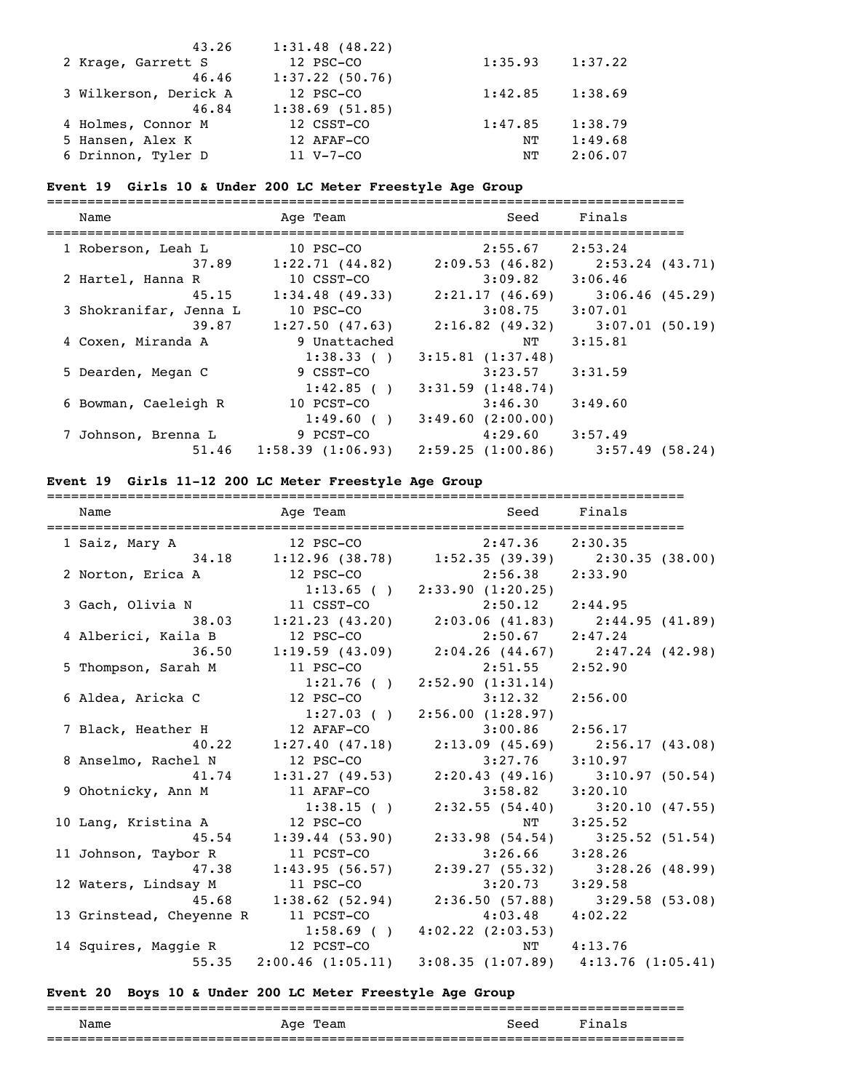| 43.26                 | $1:31.48$ (48.22) |         |         |
|-----------------------|-------------------|---------|---------|
| 2 Krage, Garrett S    | 12 PSC-CO         | 1:35.93 | 1:37.22 |
| 46.46                 | $1:37.22$ (50.76) |         |         |
| 3 Wilkerson, Derick A | 12 PSC-CO         | 1:42.85 | 1:38.69 |
| 46.84                 | 1:38.69(51.85)    |         |         |
| 4 Holmes, Connor M    | 12 CSST-CO        | 1:47.85 | 1:38.79 |
| 5 Hansen, Alex K      | 12 AFAF-CO        | NΤ      | 1:49.68 |
| 6 Drinnon, Tyler D    | $11 V - 7 - CO$   | NΤ      | 2:06.07 |

# **Event 19 Girls 10 & Under 200 LC Meter Freestyle Age Group**

| Name                   | Age Team          | Seed                | Finals          |
|------------------------|-------------------|---------------------|-----------------|
| 1 Roberson, Leah L     | 10 PSC-CO         | 2:55.67             | 2:53.24         |
| 37.89                  | 1:22.71(44.82)    | 2:09.53(46.82)      | 2:53.24 (43.71) |
| 2 Hartel, Hanna R      | 10 CSST-CO        | $3:09.82$ $3:06.46$ |                 |
| 45.15                  | $1:34.48$ (49.33) | 2:21.17(46.69)      | 3:06.46(45.29)  |
| 3 Shokranifar, Jenna L | $10$ PSC $-CO$    | 3:08.75             | 3:07.01         |
| 39.87                  | 1:27.50(47.63)    | 2:16.82(49.32)      | 3:07.01(50.19)  |
| 4 Coxen, Miranda A     | 9 Unattached      | NT                  | 3:15.81         |
|                        | 1:38.33()         | 3:15.81(1:37.48)    |                 |
| 5 Dearden, Megan C     | 9 CSST-CO         | 3:23.57             | 3:31.59         |
|                        | 1:42.85()         | 3:31.59(1:48.74)    |                 |
| 6 Bowman, Caeleigh R   | 10 PCST-CO        | 3:46.30             | 3:49.60         |
|                        | 1:49.60(          | 3:49.60(2:00.00)    |                 |
| 7 Johnson, Brenna L    | 9 PCST-CO         | $4:29.60$ $3:57.49$ |                 |
| 51.46                  | 1:58.39(1:06.93)  | 2:59.25 (1:00.86)   | 3:57.49(58.24)  |

# **Event 19 Girls 11-12 200 LC Meter Freestyle Age Group**

| Name                            | Age Team       |                                                                              | Seed Finals                         |
|---------------------------------|----------------|------------------------------------------------------------------------------|-------------------------------------|
| 1 Saiz, Mary A                  |                | 12 PSC-CO 2:47.36 2:30.35                                                    |                                     |
|                                 |                | 34.18 1:12.96 (38.78) 1:52.35 (39.39) 2:30.35 (38.00)                        |                                     |
| 2 Norton, Erica A               | 12 PSC-CO      | $2:56.38$ $2:33.90$                                                          |                                     |
|                                 |                | $1:13.65$ ( ) $2:33.90$ (1:20.25)                                            |                                     |
| 3 Gach, Olivia N                |                |                                                                              |                                     |
| 38.03                           |                | 11 CSST-CO<br>1:21.23 (43.20)<br>2:03.06 (41.83)<br>2:44.95 (41.89)          |                                     |
| 4 Alberici, Kaila B             | 12 PSC-CO      | $2:50.67$ $2:47.24$                                                          |                                     |
| 36.50                           |                | $1:19.59$ (43.09) $2:04.26$ (44.67) $2:47.24$ (42.98)                        |                                     |
| 5 Thompson, Sarah M             | 11 PSC-CO      | $2:51.55$ $2:52.90$                                                          |                                     |
|                                 | $1:21.76$ ( )  | 2:52.90(1:31.14)                                                             |                                     |
| 6 Aldea, Aricka C               | 12 PSC-CO      | 3:12.32                                                                      | 2:56.00                             |
|                                 | $1:27.03$ ()   | 2:56.00(1:28.97)                                                             |                                     |
| 7 Black, Heather H              | 12 AFAF-CO     | $3:00.86$ 2:56.17                                                            |                                     |
| 40.22                           |                | 1:27.40 (47.18) 2:13.09 (45.69) 2:56.17 (43.08)<br>12 PSC-CO 3:27.76 3:10.97 |                                     |
| 8 Anselmo, Rachel N             |                |                                                                              |                                     |
| 41.74                           |                | 1:31.27 (49.53) 2:20.43 (49.16) 3:10.97 (50.54)                              |                                     |
| 9 Ohotnicky, Ann M              | 11 AFAF-CO     | $3:58.82$ $3:20.10$                                                          |                                     |
|                                 | 1:38.15(       | $2:32.55(54.40)$ $3:20.10(47.55)$                                            |                                     |
| 10 Lang, Kristina A             | 12 PSC-CO      |                                                                              | NT 3:25.52                          |
| 45.54                           | 1:39.44(53.90) |                                                                              | $2:33.98$ (54.54) $3:25.52$ (51.54) |
| 11 Johnson, Taybor R            | 11 PCST-CO     | $3:26.66$ $3:28.26$                                                          |                                     |
| 47.38                           |                | $1:43.95(56.57)$ $2:39.27(55.32)$ $3:28.26(48.99)$                           |                                     |
| 12 Waters, Lindsay M            | 11 PSC-CO      | $3:20.73$ $3:29.58$                                                          |                                     |
| 45.68                           |                | 1:38.62 (52.94) 2:36.50 (57.88) 3:29.58 (53.08)                              |                                     |
| 13 Grinstead, Cheyenne R        | 11 PCST-CO     | 4:03.48                                                                      | 4:02.22                             |
|                                 |                | $1:58.69$ ( ) $4:02.22$ (2:03.53)                                            |                                     |
| 14 Squires, Maggie R 12 PCST-CO |                |                                                                              | NT 4:13.76                          |
|                                 |                | 55.35 2:00.46 (1:05.11) 3:08.35 (1:07.89) 4:13.76 (1:05.41)                  |                                     |

# **Event 20 Boys 10 & Under 200 LC Meter Freestyle Age Group**

| Name | Team<br>Aqe | Seed | Final<br>$\mathbf{S}$ |
|------|-------------|------|-----------------------|
|      |             |      |                       |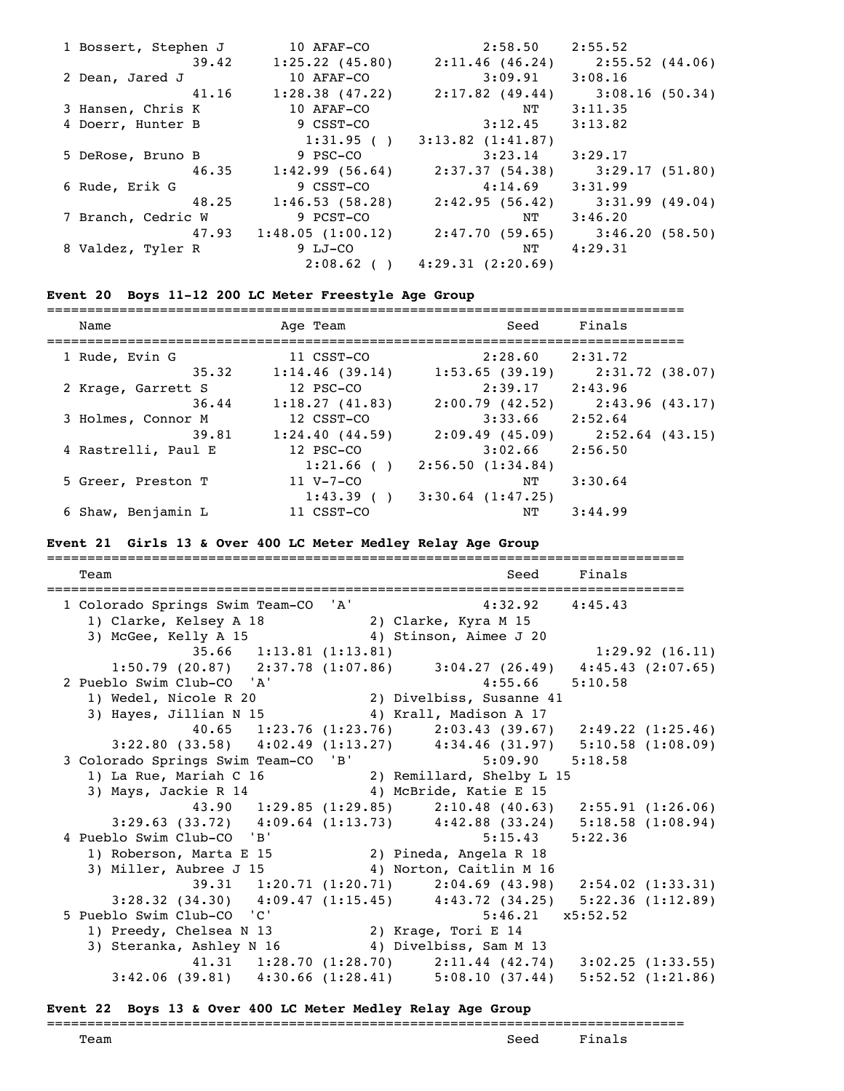| 1 Bossert, Stephen J | 10 AFAF-CO                | $2:58.50$ $2:55.52$               |                                   |
|----------------------|---------------------------|-----------------------------------|-----------------------------------|
| 39.42                | $1:25.22$ (45.80)         | 2:11.46(46.24)                    | 2:55.52(44.06)                    |
| 2 Dean, Jared J      | 10 AFAF-CO                | 3:09.91                           | 3:08.16                           |
| 41.16                | 1:28.38(47.22)            | 2:17.82(49.44)                    | 3:08.16(50.34)                    |
| 3 Hansen, Chris K    | 10 AFAF-CO                | NT                                | 3:11.35                           |
| 4 Doerr, Hunter B    | 9 CSST-CO                 | 3:12.45                           | 3:13.82                           |
|                      | 1:31.95()                 | $3:13.82$ $(1:41.87)$             |                                   |
| 5 DeRose, Bruno B    | 9 PSC-CO                  | $3:23.14$ $3:29.17$               |                                   |
| 46.35                | 1:42.99(56.64)            |                                   | 2:37.37 (54.38) 3:29.17 (51.80)   |
| 6 Rude, Erik G       | 9 CSST-CO                 | $4:14.69$ $3:31.99$               |                                   |
| 48.25                | 1:46.53(58.28)            |                                   | $2:42.95(56.42)$ $3:31.99(49.04)$ |
| 7 Branch, Cedric W   | 9 PCST-CO                 | NT                                | 3:46.20                           |
|                      | $47.93$ 1:48.05 (1:00.12) |                                   | 2:47.70 (59.65) 3:46.20 (58.50)   |
| 8 Valdez, Tyler R    | 9 LJ-CO                   | NT                                | 4:29.31                           |
|                      |                           | $2:08.62$ ( ) $4:29.31$ (2:20.69) |                                   |

# **Event 20 Boys 11-12 200 LC Meter Freestyle Age Group**

| Name                | Age Team        | Seed                  | Finals            |
|---------------------|-----------------|-----------------------|-------------------|
| 1 Rude, Evin G      | 11 CSST-CO      | 2:28.60               | 2:31.72           |
| 35.32               | 1:14.46(39.14)  | 1:53.65(39.19)        | 2:31.72 (38.07)   |
| 2 Krage, Garrett S  | 12 PSC-CO       | 2:39.17               | 2:43.96           |
| 36.44               | 1:18.27(41.83)  | 2:00.79(42.52)        | 2:43.96(43.17)    |
| 3 Holmes, Connor M  | 12 CSST-CO      | 3:33.66               | 2:52.64           |
| 39.81               | 1:24.40(44.59)  | 2:09.49(45.09)        | $2:52.64$ (43.15) |
| 4 Rastrelli, Paul E | 12 PSC-CO       | 3:02.66               | 2:56.50           |
|                     | 1:21.66()       | 2:56.50(1:34.84)      |                   |
| 5 Greer, Preston T  | $11 V - 7 - CO$ | NΤ                    | 3:30.64           |
|                     | 1:43.39()       | $3:30.64$ $(1:47.25)$ |                   |
| 6 Shaw, Benjamin L  | 11 CSST-CO      | NΤ                    | 3:44.99           |

### **Event 21 Girls 13 & Over 400 LC Meter Medley Relay Age Group**

| Team                                                                                                      | Seed<br>---------------------------------                       | Finals |                |
|-----------------------------------------------------------------------------------------------------------|-----------------------------------------------------------------|--------|----------------|
| 1 Colorado Springs Swim Team-CO 'A'                                                                       | $4:32.92$ $4:45.43$                                             |        |                |
|                                                                                                           |                                                                 |        |                |
| 1) Clarke, Kelsey A 18 (2) Clarke, Kyra M 15<br>3) McGee, Kelly A 15 (4) Stinson, Aimee J                 | 4) Stinson, Aimee J 20                                          |        |                |
| 35.66 1:13.81 (1:13.81)                                                                                   |                                                                 |        | 1:29.92(16.11) |
| 1:50.79 (20.87) 2:37.78 (1:07.86) 3:04.27 (26.49) 4:45.43 (2:07.65)                                       |                                                                 |        |                |
| 2 Pueblo Swim Club-CO 'A'                                                                                 | $4:55.66$ $5:10.58$                                             |        |                |
| Pueblo Swim Club-CO 'A' 4:55.66<br>1) Wedel, Nicole R 20 2) Divelbiss, Susanne 41                         |                                                                 |        |                |
| 3) Hayes, Jillian N 15 4) Krall, Madison A 17                                                             |                                                                 |        |                |
|                                                                                                           | 40.65 1:23.76 (1:23.76) 2:03.43 (39.67) 2:49.22 (1:25.46)       |        |                |
| $3:22.80$ (33.58) $4:02.49$ (1:13.27) $4:34.46$ (31.97) $5:10.58$ (1:08.09)                               |                                                                 |        |                |
| 3 Colorado Springs Swim Team-CO 'B' 5:09.90 5:18.58                                                       |                                                                 |        |                |
| 1) La Rue, Mariah C 16 (2) Remillard, Shelby L 15<br>3) Mays, Jackie R 14 (4) McBride, Katie E 15         |                                                                 |        |                |
|                                                                                                           |                                                                 |        |                |
|                                                                                                           | 43.90 1:29.85 (1:29.85) 2:10.48 (40.63) 2:55.91 (1:26.06)       |        |                |
| $3:29.63$ (33.72) $4:09.64$ (1:13.73) $4:42.88$ (33.24) $5:18.58$ (1:08.94)                               |                                                                 |        |                |
| 4 Pueblo Swim Club-CO 'B'                                                                                 | $5:15.43$ $5:22.36$                                             |        |                |
|                                                                                                           |                                                                 |        |                |
| 3) Miller, Aubree J 15 (4) Norton, Caitlin M 16                                                           |                                                                 |        |                |
|                                                                                                           | 39.31 1:20.71 (1:20.71) 2:04.69 (43.98) 2:54.02 (1:33.31)       |        |                |
| 3:28.32 (34.30) $4:09.47$ (1:15.45) $4:43.72$ (34.25) $5:22.36$ (1:12.89)                                 |                                                                 |        |                |
| 5 Pueblo Swim Club-CO 'C'<br>ueblo Swim Club-CO 'C' 5:46.2<br>1) Preedy, Chelsea N 13 2) Krage, Tori E 14 | $5:46.21 \quad x5:52.52$                                        |        |                |
|                                                                                                           |                                                                 |        |                |
| 3) Steranka, Ashley N 16 4) Divelbiss, Sam M 13                                                           |                                                                 |        |                |
|                                                                                                           | 41.31 1:28.70 $(1:28.70)$ 2:11.44 $(42.74)$ 3:02.25 $(1:33.55)$ |        |                |
| 3:42.06 (39.81) 4:30.66 (1:28.41) 5:08.10 (37.44) 5:52.52 (1:21.86)                                       |                                                                 |        |                |

### **Event 22 Boys 13 & Over 400 LC Meter Medley Relay Age Group**

# ===============================================================================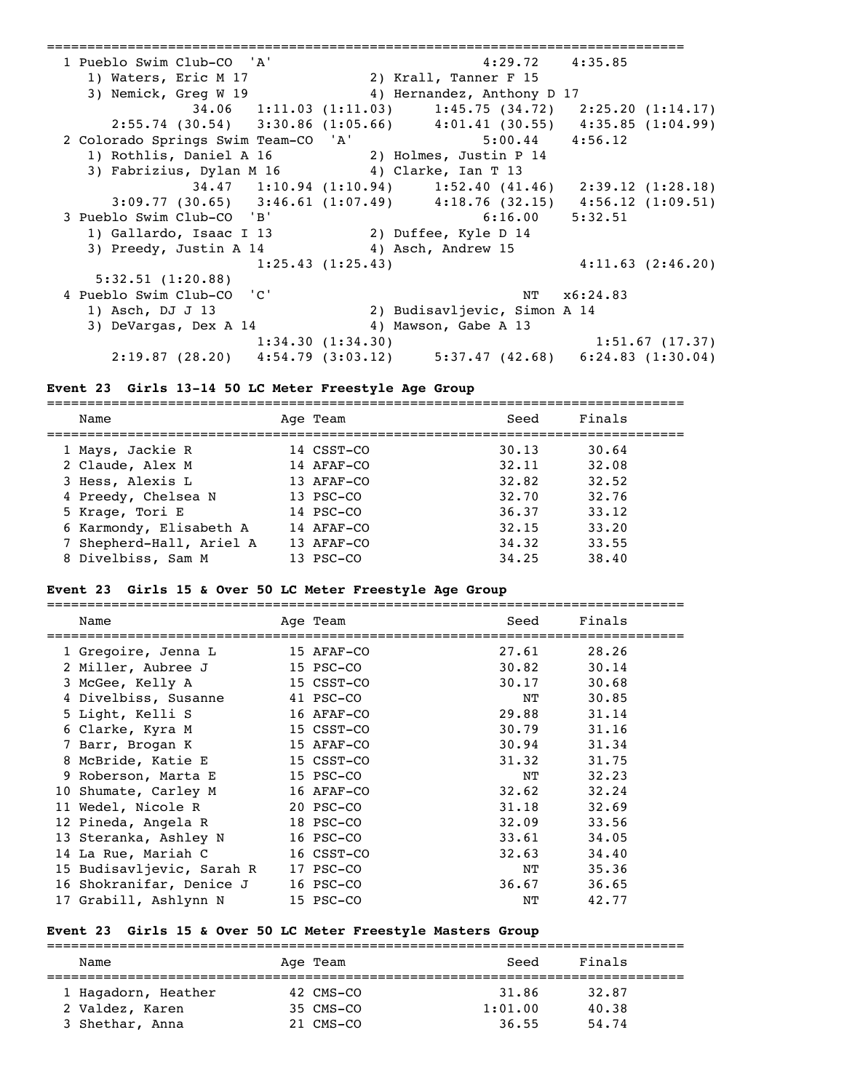=============================================================================== 1 Pueblo Swim Club-CO 'A' 4:29.72 4:35.85 1) Waters, Eric M 17 2) Krall, Tanner F 15 3) Nemick, Greg W 19 4) Hernandez, Anthony D 17 34.06 1:11.03 (1:11.03) 1:45.75 (34.72) 2:25.20 (1:14.17) 2:55.74 (30.54) 3:30.86 (1:05.66) 4:01.41 (30.55) 4:35.85 (1:04.99) 2 Colorado Springs Swim Team-CO 'A' 5:00.44 4:56.12 1) Rothlis, Daniel A 16 2) Holmes, Justin P 14 3) Fabrizius, Dylan M 16 4) Clarke, Ian T 13 34.47 1:10.94 (1:10.94) 1:52.40 (41.46) 2:39.12 (1:28.18) 3:09.77 (30.65) 3:46.61 (1:07.49) 4:18.76 (32.15) 4:56.12 (1:09.51) 3 Pueblo Swim Club-CO 'B' 6:16.00 5:32.51 1) Gallardo, Isaac I 13 2) Duffee, Kyle D 14 3) Preedy, Justin A 14 4) Asch, Andrew 15 1:25.43 (1:25.43) 4:11.63 (2:46.20) 5:32.51 (1:20.88) 4 Pueblo Swim Club-CO 'C' NT x6:24.83 1) Asch, DJ J 13 2) Budisavljevic, Simon A 14 3) DeVargas, Dex A 14 4) Mawson, Gabe A 13 1:34.30 (1:34.30) 1:51.67 (17.37) 2:19.87 (28.20) 4:54.79 (3:03.12) 5:37.47 (42.68) 6:24.83 (1:30.04)

#### **Event 23 Girls 13-14 50 LC Meter Freestyle Age Group**

=============================================================================== Name Age Team Seed Finals =============================================================================== 1 Mays, Jackie R 14 CSST-CO 30.13 30.64 2 Claude, Alex M 14 AFAF-CO 32.11 32.08 3 Hess, Alexis L 13 AFAF-CO 32.82 32.52 4 Preedy, Chelsea N 13 PSC-CO 32.70 32.76 5 Krage, Tori E 14 PSC-CO 36.37 33.12 6 Karmondy, Elisabeth A 14 AFAF-CO 32.15 33.20 7 Shepherd-Hall, Ariel A 13 AFAF-CO 34.32 33.55 8 Divelbiss, Sam M 13 PSC-CO 34.25 38.40

#### **Event 23 Girls 15 & Over 50 LC Meter Freestyle Age Group**

| Name                      | Age Team   | Seed  | Finals |
|---------------------------|------------|-------|--------|
| 1 Gregoire, Jenna L       | 15 AFAF-CO | 27.61 | 28.26  |
| 2 Miller, Aubree J        | 15 PSC-CO  | 30.82 | 30.14  |
| 3 McGee, Kelly A          | 15 CSST-CO | 30.17 | 30.68  |
| 4 Divelbiss, Susanne      | 41 PSC-CO  | NΤ    | 30.85  |
| 5 Light, Kelli S          | 16 AFAF-CO | 29.88 | 31.14  |
| 6 Clarke, Kyra M          | 15 CSST-CO | 30.79 | 31.16  |
| 7 Barr, Brogan K          | 15 AFAF-CO | 30.94 | 31.34  |
| 8 McBride, Katie E        | 15 CSST-CO | 31.32 | 31.75  |
| 9 Roberson, Marta E       | 15 PSC-CO  | NT    | 32.23  |
| 10 Shumate, Carley M      | 16 AFAF-CO | 32.62 | 32.24  |
| 11 Wedel, Nicole R        | 20 PSC-CO  | 31.18 | 32.69  |
| 12 Pineda, Angela R       | 18 PSC-CO  | 32.09 | 33.56  |
| 13 Steranka, Ashley N     | 16 PSC-CO  | 33.61 | 34.05  |
| 14 La Rue, Mariah C       | 16 CSST-CO | 32.63 | 34.40  |
| 15 Budisavljevic, Sarah R | 17 PSC-CO  | NT    | 35.36  |
| 16 Shokranifar, Denice J  | 16 PSC-CO  | 36.67 | 36.65  |
| 17 Grabill, Ashlynn N     | 15 PSC-CO  | ΝT    | 42.77  |

#### **Event 23 Girls 15 & Over 50 LC Meter Freestyle Masters Group**

| Name                | Age Team  | Seed    | Finals |
|---------------------|-----------|---------|--------|
| 1 Hagadorn, Heather | 42 CMS-CO | 31.86   | 32.87  |
| 2 Valdez, Karen     | 35 CMS-CO | 1:01.00 | 40.38  |
| 3 Shethar, Anna     | 21 CMS-CO | 36.55   | 54.74  |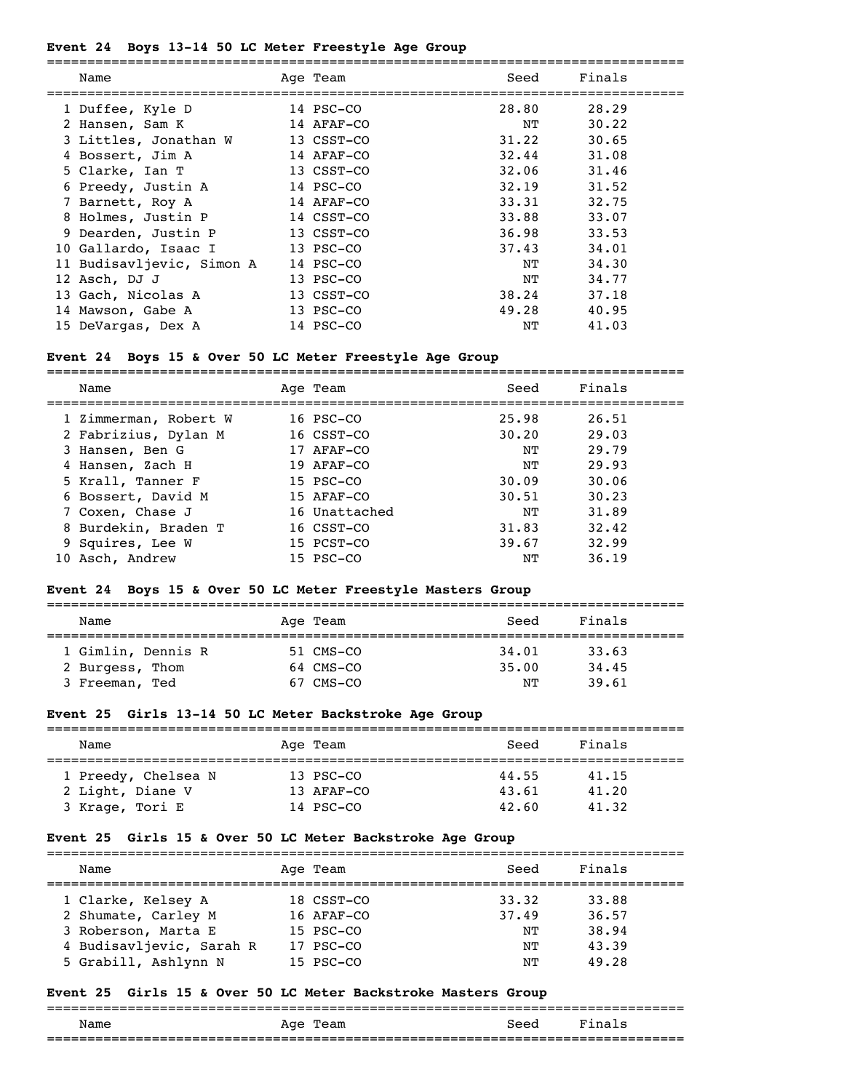#### **Event 24 Boys 13-14 50 LC Meter Freestyle Age Group**

| Name                      | Age Team   | Seed  | Finals |
|---------------------------|------------|-------|--------|
| 1 Duffee, Kyle D          | 14 PSC-CO  | 28.80 | 28.29  |
| 2 Hansen, Sam K           | 14 AFAF-CO | NT    | 30.22  |
| 3 Littles, Jonathan W     | 13 CSST-CO | 31.22 | 30.65  |
| 4 Bossert, Jim A          | 14 AFAF-CO | 32.44 | 31.08  |
| 5 Clarke, Ian T           | 13 CSST-CO | 32.06 | 31.46  |
| 6 Preedy, Justin A        | 14 PSC-CO  | 32.19 | 31.52  |
| 7 Barnett, Roy A          | 14 AFAF-CO | 33.31 | 32.75  |
| 8 Holmes, Justin P        | 14 CSST-CO | 33.88 | 33.07  |
| 9 Dearden, Justin P       | 13 CSST-CO | 36.98 | 33.53  |
| 10 Gallardo, Isaac I      | 13 PSC-CO  | 37.43 | 34.01  |
| 11 Budisavljevic, Simon A | 14 PSC-CO  | NT    | 34.30  |
| 12 Asch, DJ J             | 13 PSC-CO  | NΤ    | 34.77  |
| 13 Gach, Nicolas A        | 13 CSST-CO | 38.24 | 37.18  |
| 14 Mawson, Gabe A         | 13 PSC-CO  | 49.28 | 40.95  |
| 15 DeVargas, Dex A        | 14 PSC-CO  | NΤ    | 41.03  |
|                           |            |       |        |

#### **Event 24 Boys 15 & Over 50 LC Meter Freestyle Age Group**

===============================================================================

| Name                  | Age Team      | Seed  | Finals |
|-----------------------|---------------|-------|--------|
| 1 Zimmerman, Robert W | 16 PSC-CO     | 25.98 | 26.51  |
| 2 Fabrizius, Dylan M  | 16 CSST-CO    | 30.20 | 29.03  |
| 3 Hansen, Ben G       | 17 AFAF-CO    | NΤ    | 29.79  |
| 4 Hansen, Zach H      | 19 AFAF-CO    | NΤ    | 29.93  |
| 5 Krall, Tanner F     | $15$ PSC-CO   | 30.09 | 30.06  |
| 6 Bossert, David M    | 15 AFAF-CO    | 30.51 | 30.23  |
| 7 Coxen, Chase J      | 16 Unattached | NΤ    | 31.89  |
| 8 Burdekin, Braden T  | 16 CSST-CO    | 31.83 | 32.42  |
| 9 Squires, Lee W      | 15 PCST-CO    | 39.67 | 32.99  |
| 10 Asch, Andrew       | 15 PSC-CO     | NΤ    | 36.19  |

### **Event 24 Boys 15 & Over 50 LC Meter Freestyle Masters Group**

|                    |           |       | Finals |  |
|--------------------|-----------|-------|--------|--|
| Name               | Age Team  | Seed  |        |  |
| 1 Gimlin, Dennis R | 51 CMS-CO | 34,01 | 33.63  |  |
| 2 Burgess, Thom    | 64 CMS-CO | 35.00 | 34.45  |  |
| 3 Freeman, Ted     | 67 CMS-CO | NΤ    | 39.61  |  |

#### **Event 25 Girls 13-14 50 LC Meter Backstroke Age Group**

| Name                | Age Team   | Seed  | Finals |  |  |  |  |
|---------------------|------------|-------|--------|--|--|--|--|
|                     |            |       |        |  |  |  |  |
| 1 Preedy, Chelsea N | 13 PSC-CO  | 44.55 | 41.15  |  |  |  |  |
| 2 Light, Diane V    | 13 AFAF-CO | 43.61 | 41.20  |  |  |  |  |
| 3 Krage, Tori E     | 14 PSC-CO  | 42.60 | 41.32  |  |  |  |  |

### **Event 25 Girls 15 & Over 50 LC Meter Backstroke Age Group**

| Name                     | Age Team    | Seed  | Finals |
|--------------------------|-------------|-------|--------|
| 1 Clarke, Kelsey A       | 18 CSST-CO  | 33.32 | 33.88  |
| 2 Shumate, Carley M      | 16 AFAF-CO  | 37.49 | 36.57  |
| 3 Roberson, Marta E      | $15$ PSC-CO | NΤ    | 38.94  |
| 4 Budisavljevic, Sarah R | 17 PSC-CO   | NΤ    | 43.39  |
| 5 Grabill, Ashlynn N     | 15 PSC-CO   | NТ    | 49.28  |

#### **Event 25 Girls 15 & Over 50 LC Meter Backstroke Masters Group**

#### ===============================================================================

| - -<br>__ | -250<br>__ | $ -$ |  |
|-----------|------------|------|--|
| $- - -$   |            |      |  |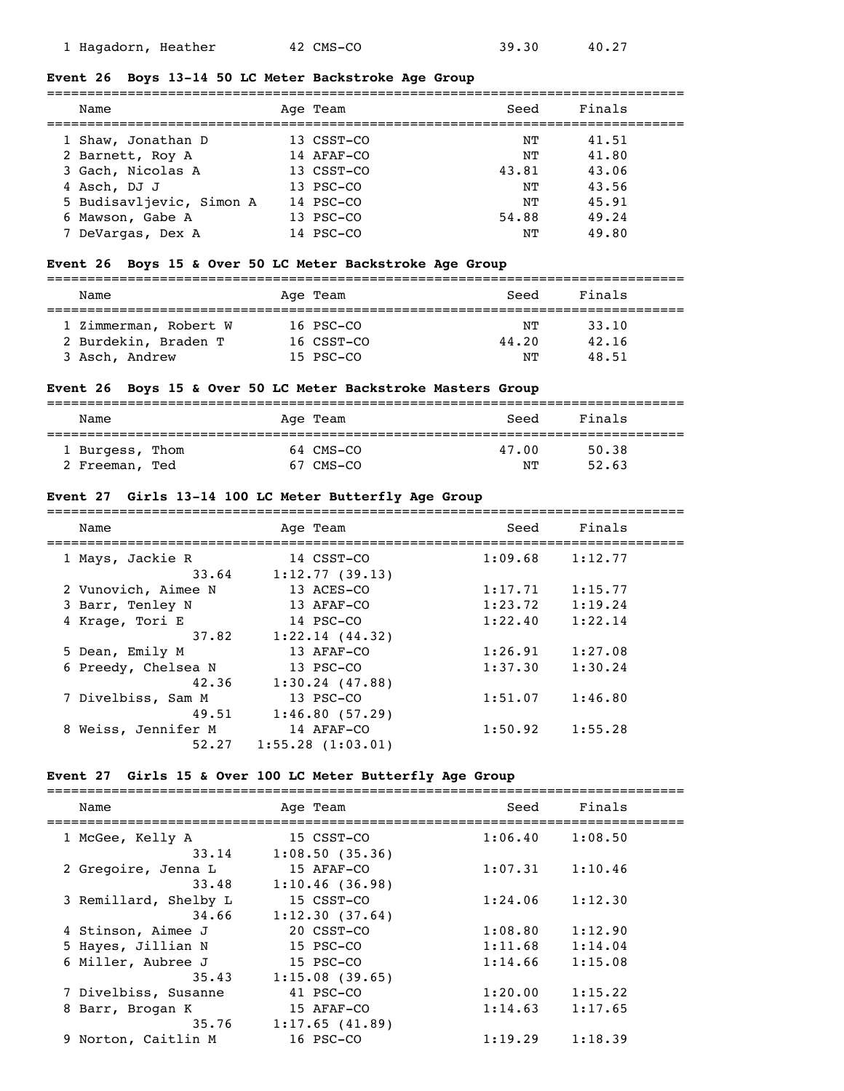#### **Event 26 Boys 13-14 50 LC Meter Backstroke Age Group**

| Name                     | Age Team   | Seed  | Finals |
|--------------------------|------------|-------|--------|
| 1 Shaw, Jonathan D       | 13 CSST-CO | NТ    | 41.51  |
| 2 Barnett, Roy A         | 14 AFAF-CO | NΤ    | 41.80  |
| 3 Gach, Nicolas A        | 13 CSST-CO | 43.81 | 43.06  |
| 4 Asch, DJ J             | 13 PSC-CO  | NΤ    | 43.56  |
| 5 Budisavljevic, Simon A | 14 PSC-CO  | NͲ    | 45.91  |
| 6 Mawson, Gabe A         | 13 PSC-CO  | 54.88 | 49.24  |
| 7 DeVargas, Dex A        | 14 PSC-CO  | NΤ    | 49.80  |

### **Event 26 Boys 15 & Over 50 LC Meter Backstroke Age Group**

| Name                  |  | Age Team   | Seed  | Finals |  |  |  |
|-----------------------|--|------------|-------|--------|--|--|--|
| 1 Zimmerman, Robert W |  | 16 PSC-CO  | NΤ    | 33.10  |  |  |  |
| 2 Burdekin, Braden T  |  | 16 CSST-CO | 44.20 | 42.16  |  |  |  |
| 3 Asch, Andrew        |  | 15 PSC-CO  | NͲ    | 48.51  |  |  |  |

#### **Event 26 Boys 15 & Over 50 LC Meter Backstroke Masters Group**

| Name            | Age Team  | Seed  | Finals |
|-----------------|-----------|-------|--------|
| 1 Burgess, Thom | 64 CMS-CO | 47.00 | 50.38  |
| 2 Freeman, Ted  | 67 CMS-CO | NΤ    | 52.63  |

#### **Event 27 Girls 13-14 100 LC Meter Butterfly Age Group**

| Name                      | Age Team                     | Seed    | Finals  |  |
|---------------------------|------------------------------|---------|---------|--|
| 1 Mays, Jackie R<br>33.64 | 14 CSST-CO<br>1:12.77(39.13) | 1:09.68 | 1:12.77 |  |
| 2 Vunovich, Aimee N       | 13 ACES-CO                   | 1:17.71 | 1:15.77 |  |
| 3 Barr, Tenley N          | 13 AFAF-CO                   | 1:23.72 | 1:19.24 |  |
| 4 Krage, Tori E           | 14 PSC-CO                    | 1:22.40 | 1:22.14 |  |
| 37.82                     | 1:22.14(44.32)               |         |         |  |
| 5 Dean, Emily M           | 13 AFAF-CO                   | 1:26.91 | 1:27.08 |  |
| 6 Preedy, Chelsea N       | 13 PSC-CO                    | 1:37.30 | 1:30.24 |  |
| 42.36                     | 1:30.24(47.88)               |         |         |  |
| 7 Divelbiss, Sam M        | 13 PSC-CO                    | 1:51.07 | 1:46.80 |  |
| 49.51                     | 1:46.80(57.29)               |         |         |  |
| 8 Weiss, Jennifer M       | 14 AFAF-CO                   | 1:50.92 | 1:55.28 |  |
| 52.27                     | $1:55.28$ $(1:03.01)$        |         |         |  |

### **Event 27 Girls 15 & Over 100 LC Meter Butterfly Age Group**

| Name                  | Age Team       | Seed    | Finals  |  |
|-----------------------|----------------|---------|---------|--|
| 1 McGee, Kelly A      | 15 CSST-CO     | 1:06.40 | 1:08.50 |  |
| 33.14                 | 1:08.50(35.36) |         |         |  |
| 2 Gregoire, Jenna L   | 15 AFAF-CO     | 1:07.31 | 1:10.46 |  |
| 33.48                 | 1:10.46(36.98) |         |         |  |
| 3 Remillard, Shelby L | 15 CSST-CO     | 1:24.06 | 1:12.30 |  |
| 34.66                 | 1:12.30(37.64) |         |         |  |
| 4 Stinson, Aimee J    | 20 CSST-CO     | 1:08.80 | 1:12.90 |  |
| 5 Hayes, Jillian N    | 15 PSC-CO      | 1:11.68 | 1:14.04 |  |
| 6 Miller, Aubree J    | 15 PSC-CO      | 1:14.66 | 1:15.08 |  |
| 35.43                 | 1:15.08(39.65) |         |         |  |
| 7 Divelbiss, Susanne  | 41 PSC-CO      | 1:20.00 | 1:15.22 |  |
| 8 Barr, Brogan K      | 15 AFAF-CO     | 1:14.63 | 1:17.65 |  |
| 35.76                 | 1:17.65(41.89) |         |         |  |
| 9 Norton, Caitlin M   | 16 PSC-CO      | 1:19.29 | 1:18.39 |  |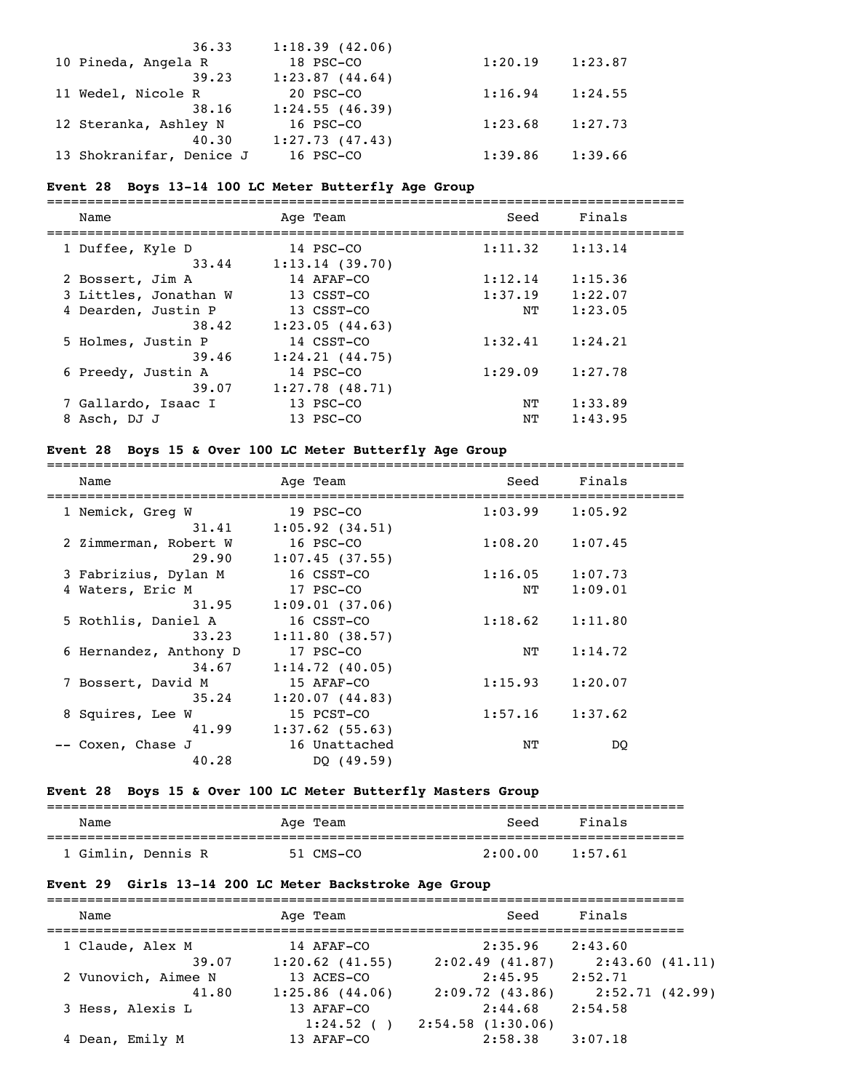| 36.33                    | 1:18.39(42.06) |         |         |
|--------------------------|----------------|---------|---------|
| 10 Pineda, Angela R      | 18 PSC-CO      | 1:20.19 | 1:23.87 |
| 39.23                    | 1:23.87(44.64) |         |         |
| 11 Wedel, Nicole R       | 20 PSC-CO      | 1:16.94 | 1:24.55 |
| 38.16                    | 1:24.55(46.39) |         |         |
| 12 Steranka, Ashley N    | 16 PSC-CO      | 1:23.68 | 1:27.73 |
| 40.30                    | 1:27.73(47.43) |         |         |
| 13 Shokranifar, Denice J | 16 PSC-CO      | 1:39.86 | 1:39.66 |

### **Event 28 Boys 13-14 100 LC Meter Butterfly Age Group**

| Name                      | Age Team                    | Seed    | Finals  |  |
|---------------------------|-----------------------------|---------|---------|--|
| 1 Duffee, Kyle D<br>33.44 | 14 PSC-CO<br>1:13.14(39.70) | 1:11.32 | 1:13.14 |  |
| 2 Bossert, Jim A          | 14 AFAF-CO                  | 1:12.14 | 1:15.36 |  |
| 3 Littles, Jonathan W     | 13 CSST-CO                  | 1:37.19 | 1:22.07 |  |
| 4 Dearden, Justin P       | 13 CSST-CO                  | NΤ      | 1:23.05 |  |
| 38.42                     | 1:23.05(44.63)              |         |         |  |
| 5 Holmes, Justin P        | 14 CSST-CO                  | 1:32.41 | 1:24.21 |  |
| 39.46                     | 1:24.21(44.75)              |         |         |  |
| 6 Preedy, Justin A        | 14 PSC-CO                   | 1:29.09 | 1:27.78 |  |
| 39.07                     | $1:27.78$ (48.71)           |         |         |  |
| 7 Gallardo, Isaac I       | 13 PSC-CO                   | NΤ      | 1:33.89 |  |
| 8 Asch, DJ J              | $13$ PSC-CO                 | NΤ      | 1:43.95 |  |
|                           |                             |         |         |  |

#### **Event 28 Boys 15 & Over 100 LC Meter Butterfly Age Group**

===============================================================================

| Name                   | Age Team          | Seed    | Finals  |
|------------------------|-------------------|---------|---------|
| 1 Nemick, Greg W       | 19 PSC-CO         | 1:03.99 | 1:05.92 |
| 31.41                  | 1:05.92(34.51)    |         |         |
| 2 Zimmerman, Robert W  | 16 PSC-CO         | 1:08.20 | 1:07.45 |
| 29.90                  | 1:07.45(37.55)    |         |         |
| 3 Fabrizius, Dylan M   | 16 CSST-CO        | 1:16.05 | 1:07.73 |
| 4 Waters, Eric M       | 17 PSC-CO         | NT      | 1:09.01 |
| 31.95                  | 1:09.01(37.06)    |         |         |
| 5 Rothlis, Daniel A    | 16 CSST-CO        | 1:18.62 | 1:11.80 |
| 33.23                  | 1:11.80(38.57)    |         |         |
| 6 Hernandez, Anthony D | 17 PSC-CO         | ΝT      | 1:14.72 |
| 34.67                  | 1:14.72(40.05)    |         |         |
| 7 Bossert, David M     | 15 AFAF-CO        | 1:15.93 | 1:20.07 |
| 35.24                  | 1:20.07(44.83)    |         |         |
| 8 Squires, Lee W       | 15 PCST-CO        | 1:57.16 | 1:37.62 |
| 41.99                  | $1:37.62$ (55.63) |         |         |
| -- Coxen, Chase J      | 16 Unattached     | NΤ      | DO.     |
| 40.28                  | DQ(49.59)         |         |         |

# **Event 28 Boys 15 & Over 100 LC Meter Butterfly Masters Group**

| Name               | Age Team  | Seed    | Finals  |
|--------------------|-----------|---------|---------|
| 1 Gimlin, Dennis R | 51 CMS-CO | 2:00.00 | 1:57.61 |

# **Event 29 Girls 13-14 200 LC Meter Backstroke Age Group**

| Age Team          | Seed             | Finals         |
|-------------------|------------------|----------------|
| 14 AFAF-CO        | 2:35.96          | 2:43.60        |
| $1:20.62$ (41.55) | 2:02.49(41.87)   | 2:43.60(41.11) |
| 13 ACES-CO        | 2:45.95          | 2:52.71        |
| $1:25.86$ (44.06) | 2:09.72(43.86)   | 2:52.71(42.99) |
| 13 AFAF-CO        | 2:44.68          | 2:54.58        |
| 1:24.52()         | 2:54.58(1:30.06) |                |
| 13 AFAF-CO        | 2:58.38          | 3:07.18        |
|                   |                  |                |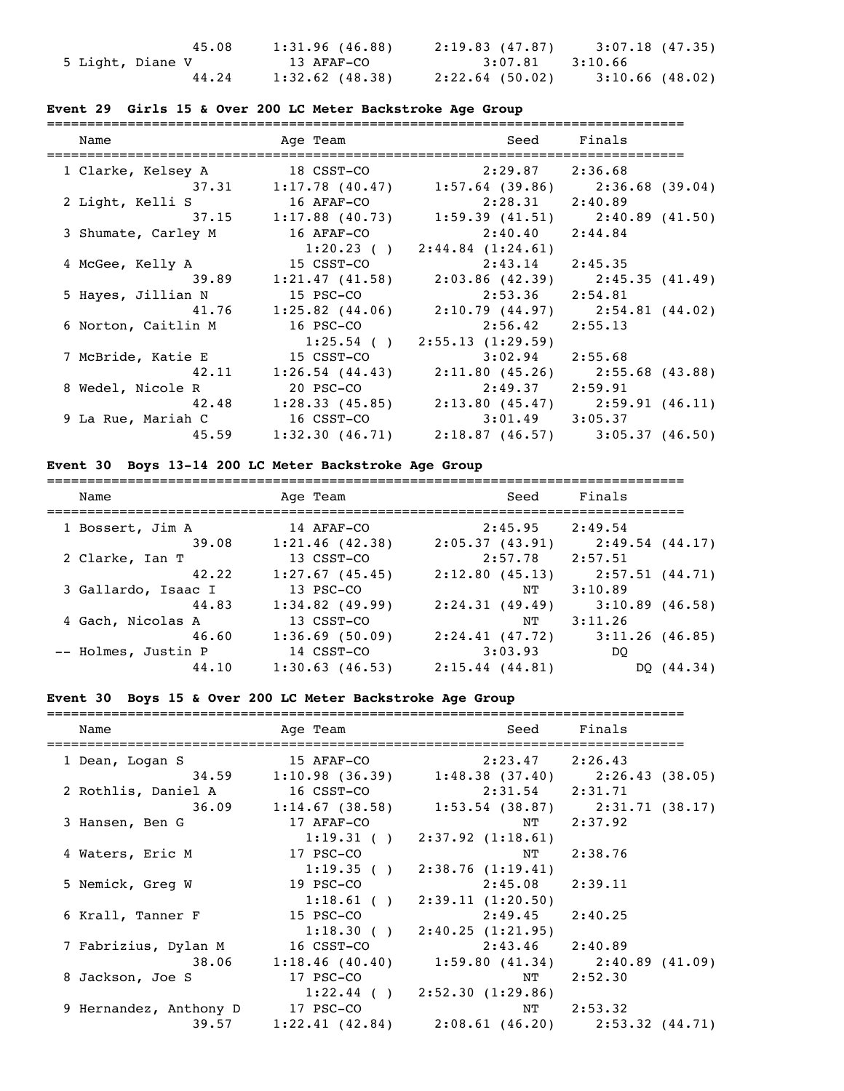| 45.08            | 1:31.96(46.88)    | 2:19.83 (47.87)     | 3:07.18 (47.35)   |
|------------------|-------------------|---------------------|-------------------|
| 5 Light, Diane V | 13 AFAF-CO        | $3:07.81$ $3:10.66$ |                   |
| 44.24            | $1:32.62$ (48.38) | $2:22.64$ (50.02)   | $3:10.66$ (48.02) |

# **Event 29 Girls 15 & Over 200 LC Meter Backstroke Age Group**

| Name                        |                                                               | Age Team Seed Finals                |  |
|-----------------------------|---------------------------------------------------------------|-------------------------------------|--|
| 1 Clarke, Kelsey A          | $18 \text{ CSST}-\text{CO}$ $2:29.87$ $2:36.68$               |                                     |  |
|                             | $37.31$ 1:17.78 (40.47) 1:57.64 (39.86) 2:36.68 (39.04)       |                                     |  |
| 2 Light, Kelli S 16 AFAF-CO |                                                               | $2:28.31$ $2:40.89$                 |  |
|                             | 37.15 1:17.88 (40.73) 1:59.39 (41.51) 2:40.89 (41.50)         |                                     |  |
| 3 Shumate, Carley M         | 16 AFAF-CO                                                    | 2:40.40 2:44.84                     |  |
|                             |                                                               | $1:20.23$ ( ) $2:44.84$ $(1:24.61)$ |  |
| 4 McGee, Kelly A            | 15 CSST-CO                                                    | $2:43.14$ $2:45.35$                 |  |
|                             | 39.89 1:21.47 (41.58) 2:03.86 (42.39) 2:45.35 (41.49)         |                                     |  |
| 5 Hayes, Jillian N          | 15 PSC-CO                                                     | $2:53.36$ $2:54.81$                 |  |
|                             | $41.76$ $1:25.82$ (44.06) $2:10.79$ (44.97) $2:54.81$ (44.02) |                                     |  |
| 6 Norton, Caitlin M         | 16 PSC-CO                                                     | $2:56.42$ $2:55.13$                 |  |
|                             |                                                               | $1:25.54$ ( ) $2:55.13$ (1:29.59)   |  |
| 7 McBride, Katie E          | 15 CSST-CO                                                    | $3:02.94$ 2:55.68                   |  |
|                             | $42.11$ 1:26.54 (44.43) 2:11.80 (45.26) 2:55.68 (43.88)       |                                     |  |
| 8 Wedel, Nicole R           | 20 PSC-CO                                                     | $2:49.37$ $2:59.91$                 |  |
|                             | 42.48 1:28.33 (45.85) 2:13.80 (45.47) 2:59.91 (46.11)         |                                     |  |
| 9 La Rue, Mariah C          | 16 CSST-CO                                                    | $3:01.49$ $3:05.37$                 |  |
|                             | 45.59 1:32.30 (46.71) 2:18.87 (46.57) 3:05.37 (46.50)         |                                     |  |

# **Event 30 Boys 13-14 200 LC Meter Backstroke Age Group**

| Name                | Age Team          | Seed                | Finals            |
|---------------------|-------------------|---------------------|-------------------|
| 1 Bossert, Jim A    | 14 AFAF-CO        | 2:45.95             | 2:49.54           |
| 39.08               | 1:21.46(42.38)    | 2:05.37(43.91)      | 2:49.54 (44.17)   |
| 2 Clarke, Ian T     | 13 CSST-CO        | 2:57.78             | 2:57.51           |
| 42.22               | 1:27.67(45.45)    | 2:12.80(45.13)      | 2:57.51(44.71)    |
| 3 Gallardo, Isaac I | 13 PSC-CO         | NΤ                  | 3:10.89           |
| 44.83               | $1:34.82$ (49.99) | 2:24.31(49.49)      | $3:10.89$ (46.58) |
| 4 Gach, Nicolas A   | 13 CSST-CO        | NΤ                  | 3:11.26           |
| 46.60               | 1:36.69(50.09)    | 2:24.41(47.72)      | $3:11.26$ (46.85) |
| -- Holmes, Justin P | 14 CSST-CO        | 3:03.93             | DO                |
| 44.10               | 1:30.63(46.53)    | $2:15.44$ $(44.81)$ | DQ (44.34)        |

# **Event 30 Boys 15 & Over 200 LC Meter Backstroke Age Group**

| Name                                           | Age Team and the state of the state of the state of the state of the state of the state of the state of the sta |                                                         | Seed Finals |
|------------------------------------------------|-----------------------------------------------------------------------------------------------------------------|---------------------------------------------------------|-------------|
| 1 Dean, Logan S                                |                                                                                                                 | 15 AFAF-CO 2:23.47 2:26.43                              |             |
|                                                |                                                                                                                 | 34.59 1:10.98 (36.39) 1:48.38 (37.40) 2:26.43 (38.05)   |             |
| 2 Rothlis, Daniel A 16 CSST-CO 2:31.54 2:31.71 |                                                                                                                 |                                                         |             |
|                                                |                                                                                                                 | 36.09 1:14.67 (38.58) 1:53.54 (38.87) 2:31.71 (38.17)   |             |
| 3 Hansen, Ben G                                | 17 AFAF-CO                                                                                                      |                                                         | NT 2:37.92  |
|                                                |                                                                                                                 | $1:19.31$ ( ) $2:37.92$ (1:18.61)                       |             |
| 4 Waters, Eric M                               | $17$ PSC-CO                                                                                                     | NT                                                      | 2:38.76     |
|                                                |                                                                                                                 | $1:19.35$ ( ) $2:38.76$ (1:19.41)                       |             |
| 5 Nemick, Greg W                               |                                                                                                                 | 19 PSC-CO 2:45.08 2:39.11                               |             |
|                                                |                                                                                                                 | $1:18.61$ ( ) $2:39.11$ (1:20.50)                       |             |
| 6 Krall, Tanner F                              | 15 PSC-CO                                                                                                       | $2:49.45$ $2:40.25$                                     |             |
|                                                |                                                                                                                 | $1:18.30$ () $2:40.25$ (1:21.95)                        |             |
|                                                |                                                                                                                 | $2:43.46$ $2:40.89$                                     |             |
|                                                |                                                                                                                 | 38.06 1:18.46 (40.40) 1:59.80 (41.34) 2:40.89 (41.09)   |             |
| 8 Jackson, Joe S                               | 17 PSC-CO                                                                                                       |                                                         | NT 2:52.30  |
|                                                |                                                                                                                 | $1:22.44$ ( ) $2:52.30$ (1:29.86)                       |             |
| 9 Hernandez, Anthony D 17 PSC-CO               |                                                                                                                 |                                                         | NT 2:53.32  |
|                                                |                                                                                                                 | $39.57$ 1:22.41 (42.84) 2:08.61 (46.20) 2:53.32 (44.71) |             |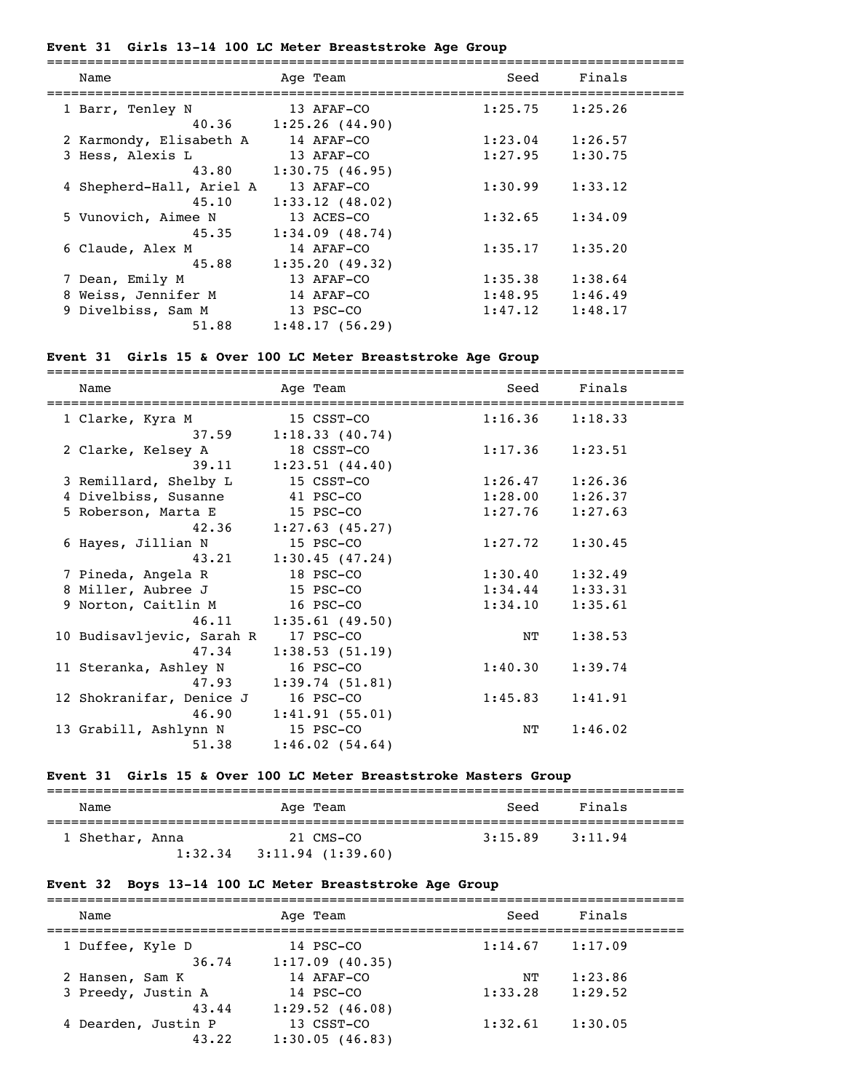### **Event 31 Girls 13-14 100 LC Meter Breaststroke Age Group**

| Name                     | Age Team                | Seed    | Finals  |
|--------------------------|-------------------------|---------|---------|
| 1 Barr, Tenley N         | 13 AFAF-CO              | 1:25.75 | 1:25.26 |
|                          | $40.36$ 1:25.26 (44.90) |         |         |
| 2 Karmondy, Elisabeth A  | 14 AFAF-CO              | 1:23.04 | 1:26.57 |
| 3 Hess, Alexis L         | 13 AFAF-CO              | 1:27.95 | 1:30.75 |
| 43.80                    | 1:30.75(46.95)          |         |         |
| 4 Shepherd-Hall, Ariel A | 13 AFAF-CO              | 1:30.99 | 1:33.12 |
| 45.10                    | 1:33.12(48.02)          |         |         |
| 5 Vunovich, Aimee N      | 13 ACES-CO              | 1:32.65 | 1:34.09 |
| 45.35                    | 1:34.09(48.74)          |         |         |
| 6 Claude, Alex M         | 14 AFAF-CO              | 1:35.17 | 1:35.20 |
| 45.88                    | 1:35.20(49.32)          |         |         |
| 7 Dean, Emily M          | 13 AFAF-CO              | 1:35.38 | 1:38.64 |
| 8 Weiss, Jennifer M      | 14 AFAF-CO              | 1:48.95 | 1:46.49 |
| 9 Divelbiss, Sam M       | 13 PSC-CO               | 1:47.12 | 1:48.17 |
| 51.88                    | 1:48.17(56.29)          |         |         |
|                          |                         |         |         |

# **Event 31 Girls 15 & Over 100 LC Meter Breaststroke Age Group**

| Name                      | Age Team                | Seed    | Finals              |
|---------------------------|-------------------------|---------|---------------------|
| 1 Clarke, Kyra M          | 15 CSST-CO              |         | $1:16.36$ $1:18.33$ |
|                           | $37.59$ 1:18.33 (40.74) |         |                     |
| 2 Clarke, Kelsey A        | 18 CSST-CO              | 1:17.36 | 1:23.51             |
| 39.11                     | 1:23.51(44.40)          |         |                     |
| 3 Remillard, Shelby L     | 15 CSST-CO              | 1:26.47 | 1:26.36             |
| 4 Divelbiss, Susanne      | 41 PSC-CO               |         | $1:28.00$ $1:26.37$ |
| 5 Roberson, Marta E       | 15 PSC-CO               | 1:27.76 | 1:27.63             |
| 42.36                     | $1:27.63$ (45.27)       |         |                     |
| 6 Hayes, Jillian N        | 15 PSC-CO               | 1:27.72 | 1:30.45             |
|                           | $43.21$ 1:30.45 (47.24) |         |                     |
| 7 Pineda, Angela R        | 18 PSC-CO               | 1:30.40 | 1:32.49             |
| 8 Miller, Aubree J        | 15 PSC-CO               | 1:34.44 | 1:33.31             |
| 9 Norton, Caitlin M       | 16 PSC-CO               | 1:34.10 | 1:35.61             |
| 46.11                     | 1:35.61(49.50)          |         |                     |
| 10 Budisavljevic, Sarah R | 17 PSC-CO               | ΝT      | 1:38.53             |
| 47.34                     | 1:38.53(51.19)          |         |                     |
| 11 Steranka, Ashley N     | 16 PSC-CO               | 1:40.30 | 1:39.74             |
| 47.93                     | 1:39.74(51.81)          |         |                     |
| 12 Shokranifar, Denice J  | 16 PSC-CO               | 1:45.83 | 1:41.91             |
| 46.90                     | 1:41.91(55.01)          |         |                     |
| 13 Grabill, Ashlynn N     | 15 PSC-CO               | NΤ      | 1:46.02             |
| 51.38                     | 1:46.02(54.64)          |         |                     |

# **Event 31 Girls 15 & Over 100 LC Meter Breaststroke Masters Group**

| Name            |         | Age Team         | Seed    | Finals  |
|-----------------|---------|------------------|---------|---------|
| 1 Shethar, Anna |         | 21 CMS-CO        | 3:15.89 | 3:11.94 |
|                 | 1:32.34 | 3:11.94(1:39.60) |         |         |

# **Event 32 Boys 13-14 100 LC Meter Breaststroke Age Group**

| Name                         | Age Team                     | Seed    | Finals  |  |
|------------------------------|------------------------------|---------|---------|--|
| 1 Duffee, Kyle D<br>36.74    | 14 PSC-CO<br>1:17.09(40.35)  | 1:14.67 | 1:17.09 |  |
| 2 Hansen, Sam K              | 14 AFAF-CO                   | NΤ      | 1:23.86 |  |
| 3 Preedy, Justin A<br>43.44  | 14 PSC-CO<br>1:29.52(46.08)  | 1:33.28 | 1:29.52 |  |
| 4 Dearden, Justin P<br>43.22 | 13 CSST-CO<br>1:30.05(46.83) | 1:32.61 | 1:30.05 |  |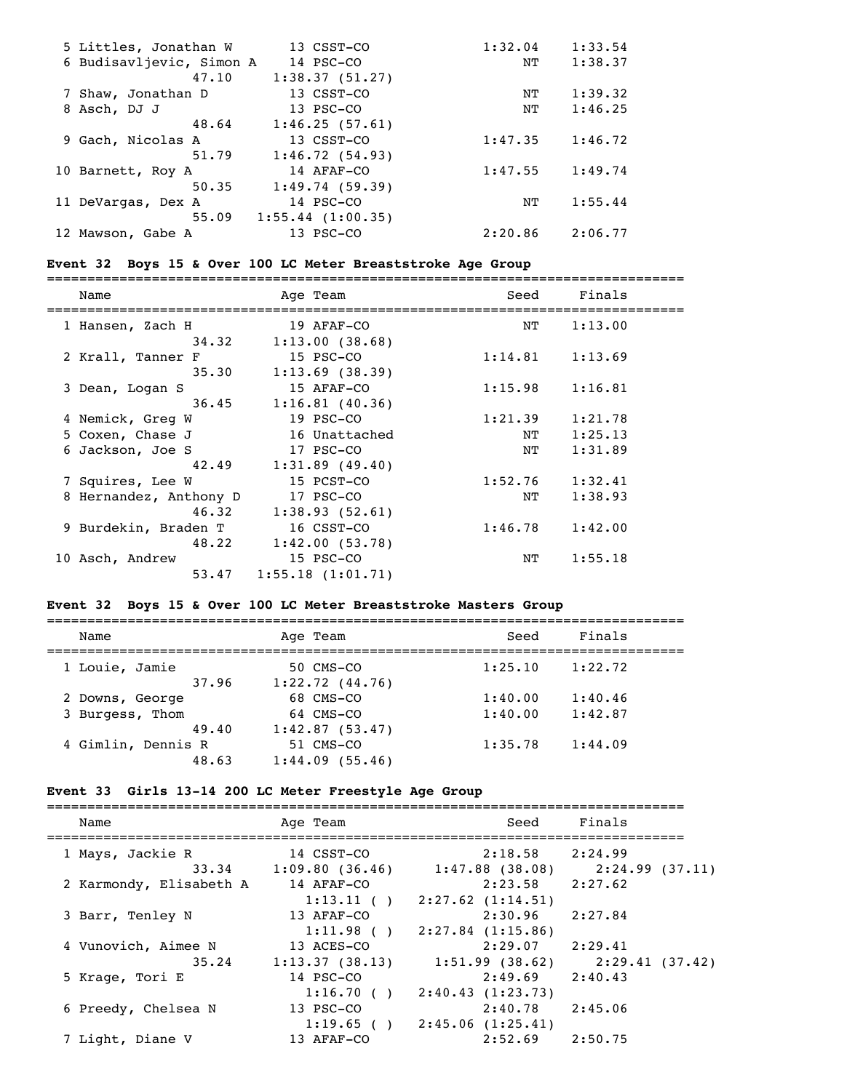| 5 Littles, Jonathan W    | 13 CSST-CO            | 1:32.04 | 1:33.54 |
|--------------------------|-----------------------|---------|---------|
| 6 Budisavljevic, Simon A | 14 PSC-CO             | NΤ      | 1:38.37 |
| 47.10                    | 1:38.37(51.27)        |         |         |
| 7 Shaw, Jonathan D       | 13 CSST-CO            | NΤ      | 1:39.32 |
| 8 Asch, DJ J             | 13 PSC-CO             | NT      | 1:46.25 |
| 48.64                    | 1:46.25(57.61)        |         |         |
| 9 Gach, Nicolas A        | 13 CSST-CO            | 1:47.35 | 1:46.72 |
| 51.79                    | 1:46.72(54.93)        |         |         |
| 10 Barnett, Roy A        | 14 AFAF-CO            | 1:47.55 | 1:49.74 |
| 50.35                    | 1:49.74(59.39)        |         |         |
| 11 DeVargas, Dex A       | 14 PSC-CO             | NΤ      | 1:55.44 |
| 55.09                    | $1:55.44$ $(1:00.35)$ |         |         |
| 12 Mawson, Gabe A        | 13 PSC-CO             | 2:20.86 | 2:06.77 |

### **Event 32 Boys 15 & Over 100 LC Meter Breaststroke Age Group**

| Name                   | Age Team                  | Seed                | Finals  |  |
|------------------------|---------------------------|---------------------|---------|--|
| 1 Hansen, Zach H       | 19 AFAF-CO                | NT                  | 1:13.00 |  |
| 34.32                  | 1:13.00(38.68)            |                     |         |  |
| 2 Krall, Tanner F      | 15 PSC-CO                 | $1:14.81$ $1:13.69$ |         |  |
| 35.30                  | 1:13.69(38.39)            |                     |         |  |
| 3 Dean, Logan S        | 15 AFAF-CO                | $1:15.98$ $1:16.81$ |         |  |
|                        | $36.45$ 1:16.81 (40.36)   |                     |         |  |
| 4 Nemick, Greg W       | 19 PSC-CO                 | 1:21.39             | 1:21.78 |  |
| 5 Coxen, Chase J       | 16 Unattached             | NT                  | 1:25.13 |  |
| 6 Jackson, Joe S       | 17 PSC-CO                 | $_{\mathrm{NT}}$    | 1:31.89 |  |
|                        | $42.49$ $1:31.89$ (49.40) |                     |         |  |
| 7 Squires, Lee W       | 15 PCST-CO                | 1:52.76             | 1:32.41 |  |
| 8 Hernandez, Anthony D | 17 PSC-CO                 | NT                  | 1:38.93 |  |
| 46.32                  | 1:38.93(52.61)            |                     |         |  |
| 9 Burdekin, Braden T   | 16 CSST-CO                | 1:46.78             | 1:42.00 |  |
| 48.22                  | 1:42.00(53.78)            |                     |         |  |
| 10 Asch, Andrew        | 15 PSC-CO                 | NT                  | 1:55.18 |  |
|                        | $53.47$ 1:55.18 (1:01.71) |                     |         |  |

# **Event 32 Boys 15 & Over 100 LC Meter Breaststroke Masters Group**

| Age Team                             | Seed    | Finals  |  |
|--------------------------------------|---------|---------|--|
| 50 CMS-CO<br>1:22.72(44.76)<br>37.96 | 1:25.10 | 1:22.72 |  |
| 68 CMS-CO                            | 1:40.00 | 1:40.46 |  |
| 64 CMS-CO                            | 1:40.00 | 1:42.87 |  |
| 1:42.87(53.47)<br>49.40              |         |         |  |
| 51 CMS-CO<br>1:44.09(55.46)          | 1:35.78 | 1:44.09 |  |
|                                      |         |         |  |

# **Event 33 Girls 13-14 200 LC Meter Freestyle Age Group**

| Name                    | Age Team                              | Seed                                         | Finals         |
|-------------------------|---------------------------------------|----------------------------------------------|----------------|
| 1 Mays, Jackie R        | 14 CSST-CO                            | $2:18.58$ $2:24.99$                          |                |
| 2 Karmondy, Elisabeth A | $33.34$ 1:09.80 (36.46)<br>14 AFAF-CO | $1:47.88$ (38.08)<br>$2:23.58$ $2:27.62$     | 2:24.99(37.11) |
| 3 Barr, Tenley N        | 1:13.11()<br>13 AFAF-CO               | $2:27.62$ $(1:14.51)$<br>$2:30.96$ $2:27.84$ |                |
| 4 Vunovich, Aimee N     | 1:11.98()<br>13 ACES-CO               | $2:27.84$ $(1:15.86)$<br>$2:29.07$ $2:29.41$ |                |
| 35.24                   | 1:13.37(38.13)                        | 1:51.99 (38.62)                              | 2:29.41(37.42) |
| 5 Krage, Tori E         | 14 PSC-CO<br>1:16.70(                 | 2:49.69<br>2:40.43(1:23.73)                  | 2:40.43        |
| 6 Preedy, Chelsea N     | 13 PSC-CO<br>1:19.65()                | 2:40.78<br>2:45.06(1:25.41)                  | 2:45.06        |
| 7 Light, Diane V        | 13 AFAF-CO                            | 2:52.69                                      | 2:50.75        |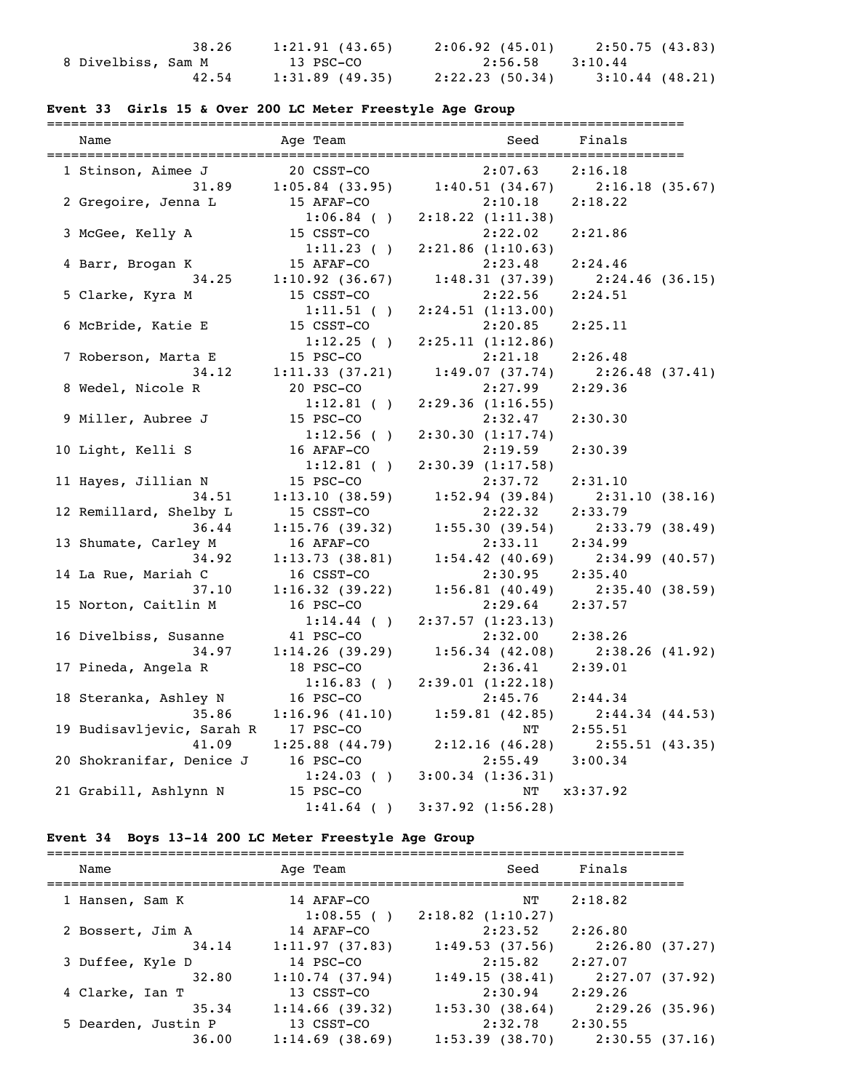|                    | 38.26 | 1:21.91(43.65) | 2:06.92(45.01)  | 2:50.75 (43.83)   |
|--------------------|-------|----------------|-----------------|-------------------|
| 8 Divelbiss, Sam M |       | 13 PSC-CO      | 2:56.58 3:10.44 |                   |
|                    | 42.54 | 1:31.89(49.35) | 2:22.23 (50.34) | $3:10.44$ (48.21) |

# **Event 33 Girls 15 & Over 200 LC Meter Freestyle Age Group**

| Name                      | =========<br>Age Team | Seed                  | =============<br>Finals             |
|---------------------------|-----------------------|-----------------------|-------------------------------------|
| 1 Stinson, Aimee J        | 20 CSST-CO            | 2:07.63               | 2:16.18                             |
| 31.89                     | $1:05.84$ (33.95)     | 1:40.51(34.67)        | 2:16.18(35.67)                      |
| 2 Gregoire, Jenna L       | 15 AFAF-CO            | 2:10.18               | 2:18.22                             |
|                           | $1:06.84$ ()          | 2:18.22(1:11.38)      |                                     |
| 3 McGee, Kelly A          | 15 CSST-CO            | 2:22.02               | 2:21.86                             |
|                           | $1:11.23$ ()          | $2:21.86$ $(1:10.63)$ |                                     |
| 4 Barr, Brogan K          | 15 AFAF-CO            | 2:23.48               | 2:24.46                             |
| 34.25                     | 1:10.92(36.67)        | 1:48.31(37.39)        | 2:24.46(36.15)                      |
| 5 Clarke, Kyra M          | 15 CSST-CO            | 2:22.56               | 2:24.51                             |
|                           | $1:11.51$ ()          | 2:24.51(1:13.00)      |                                     |
| 6 McBride, Katie E        | 15 CSST-CO            | 2:20.85               | 2:25.11                             |
|                           | 1:12.25( )            | 2:25.11(1:12.86)      |                                     |
| 7 Roberson, Marta E       | 15 PSC-CO             | 2:21.18               | 2:26.48                             |
| 34.12                     | 1:11.33(37.21)        | 1:49.07(37.74)        | 2:26.48(37.41)                      |
| 8 Wedel, Nicole R         | 20 PSC-CO             | 2:27.99               | 2:29.36                             |
|                           | $1:12.81$ ()          | 2:29.36(1:16.55)      |                                     |
| 9 Miller, Aubree J        | 15 PSC-CO             | 2:32.47               | 2:30.30                             |
|                           | $1:12.56$ ()          | 2:30.30(1:17.74)      |                                     |
| 10 Light, Kelli S         | 16 AFAF-CO            | 2:19.59               | 2:30.39                             |
|                           | $1:12.81$ ()          | 2:30.39(1:17.58)      |                                     |
| 11 Hayes, Jillian N       | 15 PSC-CO             | 2:37.72               | 2:31.10                             |
| 34.51                     | 1:13.10(38.59)        | 1:52.94(39.84)        | 2:31.10(38.16)                      |
| 12 Remillard, Shelby L    | 15 CSST-CO            | 2:22.32               | 2:33.79                             |
| 36.44                     | 1:15.76(39.32)        | 1:55.30(39.54)        | 2:33.79(38.49)                      |
| 13 Shumate, Carley M      | 16 AFAF-CO            | 2:33.11               | 2:34.99                             |
| 34.92                     | 1:13.73(38.81)        | 1:54.42(40.69)        | 2:34.99(40.57)                      |
| 14 La Rue, Mariah C       | 16 CSST-CO            | 2:30.95               | 2:35.40                             |
| 37.10                     | 1:16.32(39.22)        | 1:56.81(40.49)        | 2:35.40(38.59)                      |
| 15 Norton, Caitlin M      | 16 PSC-CO             | 2:29.64               | 2:37.57                             |
|                           | $1:14.44$ ()          | 2:37.57(1:23.13)      |                                     |
| 16 Divelbiss, Susanne     | 41 PSC-CO             | 2:32.00               | 2:38.26                             |
| 34.97                     | 1:14.26(39.29)        | 1:56.34(42.08)        | 2:38.26(41.92)                      |
| 17 Pineda, Angela R       | 18 PSC-CO             | 2:36.41               | 2:39.01                             |
|                           | 1:16.83()             | 2:39.01(1:22.18)      |                                     |
| 18 Steranka, Ashley N     | 16 PSC-CO             | 2:45.76               | 2:44.34                             |
| 35.86                     | 1:16.96(41.10)        |                       | $1:59.81$ (42.85) $2:44.34$ (44.53) |
| 19 Budisavljevic, Sarah R | 17 PSC-CO             | NT                    | 2:55.51                             |
| 41.09                     | $1:25.88$ $(44.79)$   | 2:12.16(46.28)        | 2:55.51(43.35)                      |
| 20 Shokranifar, Denice J  | 16 PSC-CO             | 2:55.49               | 3:00.34                             |
|                           | $1:24.03$ ()          | 3:00.34(1:36.31)      |                                     |
| 21 Grabill, Ashlynn N     | 15 PSC-CO             | ΝT                    | x3:37.92                            |
|                           | $1:41.64$ ()          | $3:37.92$ $(1:56.28)$ |                                     |

# **Event 34 Boys 13-14 200 LC Meter Freestyle Age Group**

| Name                | Age Team                | Seed                             | Finals         |
|---------------------|-------------------------|----------------------------------|----------------|
| 1 Hansen, Sam K     | 14 AFAF-CO              | NT                               | 2:18.82        |
| 2 Bossert, Jim A    | 1:08.55()<br>14 AFAF-CO | $2:18.82$ $(1:10.27)$<br>2:23.52 | 2:26.80        |
| 34.14               | 1:11.97(37.83)          | 1:49.53(37.56)                   | 2:26.80(37.27) |
| 3 Duffee, Kyle D    | 14 PSC-CO               | 2:15.82                          | 2:27.07        |
| 32.80               | 1:10.74(37.94)          | 1:49.15(38.41)                   | 2:27.07(37.92) |
| 4 Clarke, Ian T     | 13 CSST-CO              | 2:30.94                          | 2:29.26        |
| 35.34               | 1:14.66(39.32)          | 1:53.30(38.64)                   | 2:29.26(35.96) |
| 5 Dearden, Justin P | 13 CSST-CO              | 2:32.78                          | 2:30.55        |
| 36.00               | $1:14.69$ (38.69)       | $1:53.39$ $(38.70)$              | 2:30.55(37.16) |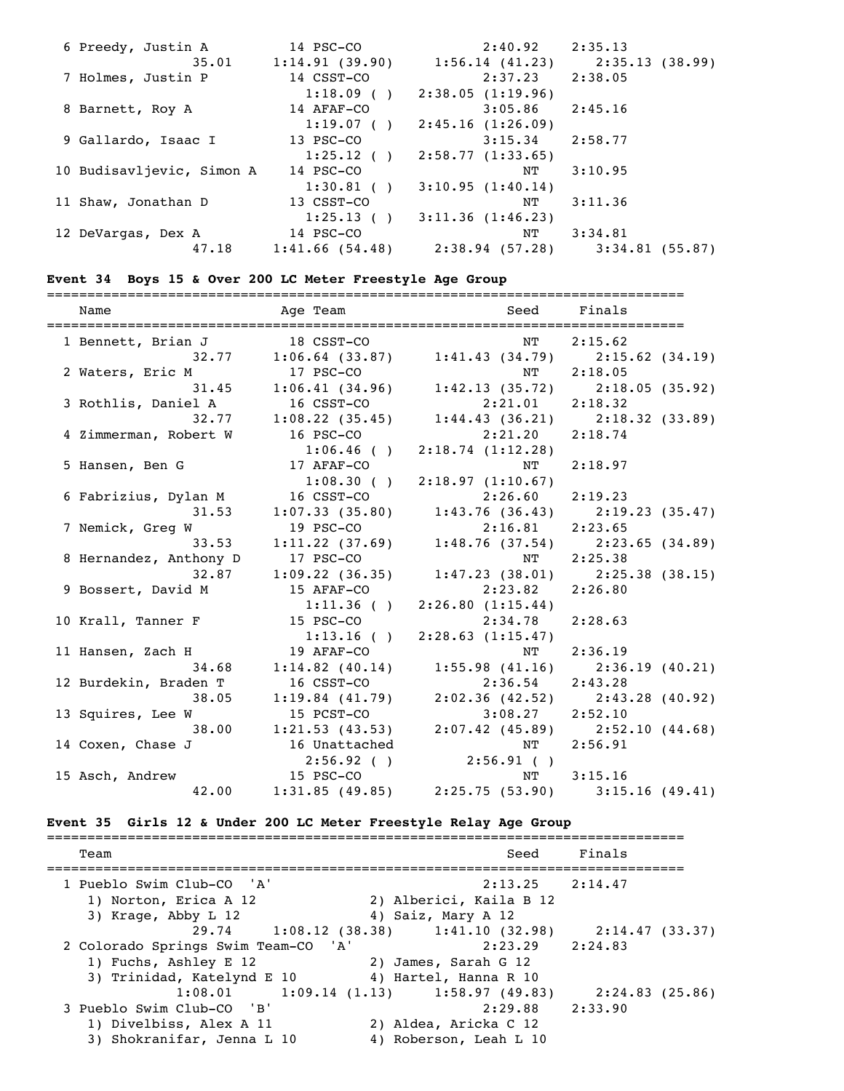| 6 Preedy, Justin A        | 14 PSC-CO      | 2:40.92          | 2:35.13           |
|---------------------------|----------------|------------------|-------------------|
| 35.01                     | 1:14.91(39.90) | 1:56.14(41.23)   | 2:35.13 (38.99)   |
| 7 Holmes, Justin P        | 14 CSST-CO     | 2:37.23          | 2:38.05           |
|                           | 1:18.09()      | 2:38.05(1:19.96) |                   |
| 8 Barnett, Roy A          | 14 AFAF-CO     | 3:05.86          | 2:45.16           |
|                           | 1:19.07()      | 2:45.16(1:26.09) |                   |
| 9 Gallardo, Isaac I       | 13 PSC-CO      | 3:15.34          | 2:58.77           |
|                           | $1:25.12$ ()   | 2:58.77(1:33.65) |                   |
| 10 Budisavljevic, Simon A | 14 PSC-CO      | NT               | 3:10.95           |
|                           | $1:30.81$ ()   | 3:10.95(1:40.14) |                   |
| 11 Shaw, Jonathan D       | 13 CSST-CO     | NΤ               | 3:11.36           |
|                           | 1:25.13()      | 3:11.36(1:46.23) |                   |
| 12 DeVargas, Dex A        | 14 PSC-CO      | NT               | 3:34.81           |
| 47.18                     | 1:41.66(54.48) | 2:38.94(57.28)   | $3:34.81$ (55.87) |

===============================================================================

### **Event 34 Boys 15 & Over 200 LC Meter Freestyle Age Group**

| Name                            | Age Team      | Seed Finals                                                                       |         |
|---------------------------------|---------------|-----------------------------------------------------------------------------------|---------|
| 1 Bennett, Brian J              | 18 CSST-CO    | NT 2:15.62                                                                        |         |
|                                 |               | 13 18 CSST-CO NT 2:15.62<br>32.77 1:06.64 (33.87) 1:41.43 (34.79) 2:15.62 (34.19) |         |
| 2 Waters, Eric M                | 17 PSC-CO     | NT                                                                                | 2:18.05 |
| 31.45                           |               | $1:06.41(34.96)$ $1:42.13(35.72)$ $2:18.05(35.92)$                                |         |
| 3 Rothlis, Daniel A             | 16 CSST-CO    | $2:21.01$ $2:18.32$                                                               |         |
|                                 |               | 32.77 1:08.22 (35.45) 1:44.43 (36.21) 2:18.32 (33.89)                             |         |
| 4 Zimmerman, Robert W           |               | 16 PSC-CO 2:21.20 2:18.74                                                         |         |
|                                 |               | $1:06.46$ ( ) $2:18.74$ (1:12.28)                                                 |         |
| 5 Hansen, Ben G                 | 17 AFAF-CO    | NT                                                                                | 2:18.97 |
|                                 |               | $1:08.30$ ( ) $2:18.97$ (1:10.67)                                                 |         |
| 6 Fabrizius, Dylan M 16 CSST-CO |               | $2:26.60$ $2:19.23$                                                               |         |
| 31.53                           |               | 1:07.33 (35.80) 1:43.76 (36.43) 2:19.23 (35.47)                                   |         |
| 7 Nemick, Greg W                | 19 PSC-CO     | 2:16.81 2:23.65                                                                   |         |
| 33.53                           |               | $1:11.22$ (37.69) $1:48.76$ (37.54) $2:23.65$ (34.89)                             |         |
| 8 Hernandez, Anthony D          | 17 PSC-CO     | NT                                                                                | 2:25.38 |
| 32.87                           |               | 1:09.22 (36.35) 1:47.23 (38.01) 2:25.38 (38.15)                                   |         |
| 9 Bossert, David M              | 15 AFAF-CO    | 2:23.82 2:26.80                                                                   |         |
|                                 |               | $1:11.36$ ( ) $2:26.80$ (1:15.44)                                                 |         |
| 10 Krall, Tanner F              |               | 15 PSC-CO 2:34.78                                                                 | 2:28.63 |
|                                 |               | $1:13.16$ ( ) $2:28.63$ (1:15.47)                                                 |         |
| 11 Hansen, Zach H               | 19 AFAF-CO    | NT                                                                                | 2:36.19 |
| 34.68                           |               | 1:14.82 (40.14) 1:55.98 (41.16) 2:36.19 (40.21)                                   |         |
| 12 Burdekin, Braden T           | 16 CSST-CO    | $2:36.54$ $2:43.28$                                                               |         |
| 38.05                           |               | 1:19.84 (41.79) 2:02.36 (42.52) 2:43.28 (40.92)                                   |         |
| 13 Squires, Lee W               | 15 PCST-CO    | $3:08.27$ $2:52.10$                                                               |         |
| 38.00                           |               | $1:21.53$ (43.53) $2:07.42$ (45.89) $2:52.10$ (44.68)                             |         |
| 14 Coxen, Chase J               | 16 Unattached | NT                                                                                | 2:56.91 |
|                                 | 2:56.92(      | $2:56.91$ ()                                                                      |         |
| 15 Asch, Andrew                 |               | 15 PSC-CO<br>12.00 1:31.85 (49.85) 2:25.75 (53.90) 3:15.16 (49.41)                |         |
| 42.00                           |               |                                                                                   |         |

# **Event 35 Girls 12 & Under 200 LC Meter Freestyle Relay Age Group**

| Team                                                                               | Seed                                                                                        | Finals              |
|------------------------------------------------------------------------------------|---------------------------------------------------------------------------------------------|---------------------|
| 1 Pueblo Swim Club-CO 'A'<br>1) Norton, Erica A 12<br>3) Krage, Abby L 12          | 2) Alberici, Kaila B 12<br>4) Saiz, Mary A 12                                               | $2:13.25$ $2:14.47$ |
|                                                                                    | 29.74 1:08.12 (38.38) 1:41.10 (32.98) 2:14.47 (33.37)                                       |                     |
| 2 Colorado Springs Swim Team-CO 'A'<br>1) Fuchs, Ashley E 12                       | 2:23.29 2:24.83<br>2) James, Sarah G 12<br>3) Trinidad, Katelynd E 10 4) Hartel, Hanna R 10 |                     |
|                                                                                    | $1:08.01$ $1:09.14$ $(1.13)$ $1:58.97$ $(49.83)$                                            | 2:24.83 (25.86)     |
| 3 Pueblo Swim Club-CO 'B'<br>1) Divelbiss, Alex A 11<br>3) Shokranifar, Jenna L 10 | 2) Aldea, Aricka C 12<br>4) Roberson, Leah L 10                                             | $2:29.88$ $2:33.90$ |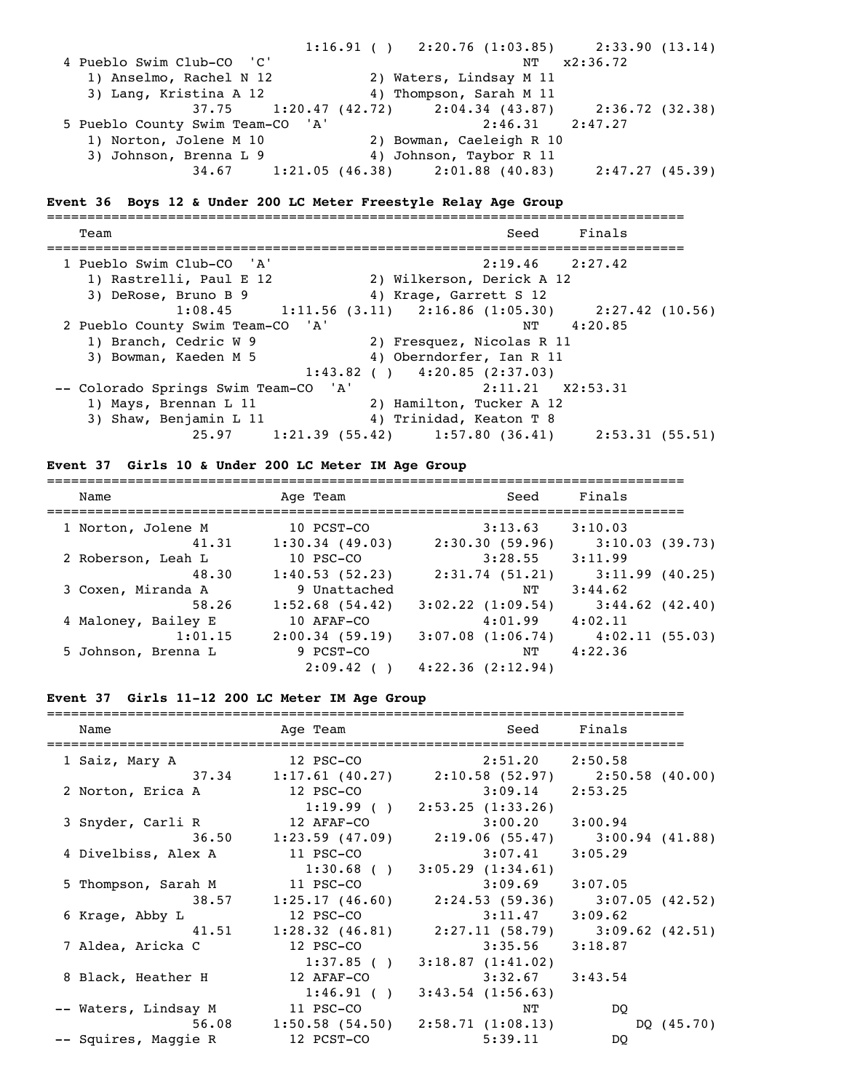1:16.91 ( ) 2:20.76 (1:03.85) 2:33.90 (13.14) 4 Pueblo Swim Club-CO 'C' NT x2:36.72 1) Anselmo, Rachel N 12 2) Waters, Lindsay M 11 3) Lang, Kristina A 12 4) Thompson, Sarah M 11 37.75 1:20.47 (42.72) 2:04.34 (43.87) 2:36.72 (32.38) 5 Pueblo County Swim Team-CO 'A' 2:46.31 2:47.27 1) Norton, Jolene M 10 2) Bowman, Caeleigh R 10 3) Johnson, Brenna L 9 4) Johnson, Taybor R 11 34.67 1:21.05 (46.38) 2:01.88 (40.83) 2:47.27 (45.39)

#### **Event 36 Boys 12 & Under 200 LC Meter Freestyle Relay Age Group**

=============================================================================== Team Seed Finals =============================================================================== 1 Pueblo Swim Club-CO 'A' 2:19.46 2:27.42 1) Rastrelli, Paul E 12 2) Wilkerson, Derick A 12 3) DeRose, Bruno B 9 4) Krage, Garrett S 12  $1:08.45$  1:11.56 (3.11) 2:16.86 (1:05.30) 2:27.42 (10.56) 2 Pueblo County Swim Team-CO 'A' NT 4:20.85 1) Branch, Cedric W 9 2) Fresquez, Nicolas R 11 3) Bowman, Kaeden M 5 4) Oberndorfer, Ian R 11  $1:43.82$  ( )  $4:20.85$  (2:37.03) -- Colorado Springs Swim Team-CO 'A' 2:11.21 X2:53.31 1) Mays, Brennan L 11 2) Hamilton, Tucker A 12 3) Shaw, Benjamin L 11 4) Trinidad, Keaton T 8 25.97 1:21.39 (55.42) 1:57.80 (36.41) 2:53.31 (55.51)

#### **Event 37 Girls 10 & Under 200 LC Meter IM Age Group**

| Name                | Age Team          | Seed                  | Finals              |
|---------------------|-------------------|-----------------------|---------------------|
| 1 Norton, Jolene M  | 10 PCST-CO        | 3:13.63               | 3:10.03             |
| 41.31               | $1:30.34$ (49.03) | 2:30.30(59.96)        | 3:10.03(39.73)      |
| 2 Roberson, Leah L  | 10 PSC-CO         | 3:28.55               | 3:11.99             |
| 48.30               | 1:40.53(52.23)    | 2:31.74(51.21)        | 3:11.99(40.25)      |
| 3 Coxen, Miranda A  | 9 Unattached      | NΤ                    | 3:44.62             |
| 58.26               | $1:52.68$ (54.42) | $3:02.22$ $(1:09.54)$ | $3:44.62$ $(42.40)$ |
| 4 Maloney, Bailey E | 10 AFAF-CO        | 4:01.99               | 4:02.11             |
| 1:01.15             | 2:00.34(59.19)    | $3:07.08$ $(1:06.74)$ | 4:02.11(55.03)      |
| 5 Johnson, Brenna L | 9 PCST-CO         | NΤ                    | 4:22.36             |
|                     | 2:09.42           | $4:22.36$ $(2:12.94)$ |                     |

#### **Event 37 Girls 11-12 200 LC Meter IM Age Group**

| Name<br>------------------------------------- | Age Team                                                | ================================= | Seed Finals |
|-----------------------------------------------|---------------------------------------------------------|-----------------------------------|-------------|
| 1 Saiz, Mary A                                | $12$ PSC-CO                                             | $2:51.20$ $2:50.58$               |             |
|                                               | 37.34 1:17.61 (40.27) 2:10.58 (52.97) 2:50.58 (40.00)   |                                   |             |
| 2 Norton, Erica A                             | 12 PSC-CO                                               | $3:09.14$ 2:53.25                 |             |
|                                               |                                                         | $1:19.99$ ( ) $2:53.25$ (1:33.26) |             |
| 3 Snyder, Carli R 12 AFAF-CO                  |                                                         | $3:00.20$ $3:00.94$               |             |
|                                               | $36.50$ 1:23.59 (47.09) 2:19.06 (55.47) 3:00.94 (41.88) |                                   |             |
| 4 Divelbiss, Alex A                           | 11 PSC-CO                                               | $3:07.41$ $3:05.29$               |             |
|                                               |                                                         | $1:30.68$ ( ) $3:05.29$ (1:34.61) |             |
| 5 Thompson, Sarah M                           | 11 PSC-CO                                               | $3:09.69$ $3:07.05$               |             |
| 38.57                                         | $1:25.17$ (46.60) $2:24.53$ (59.36) $3:07.05$ (42.52)   |                                   |             |
| 6 Krage, Abby L                               | $12$ PSC-CO                                             | $3:11.47$ $3:09.62$               |             |
|                                               | $41.51$ 1:28.32 (46.81) 2:27.11 (58.79) 3:09.62 (42.51) |                                   |             |
| 7 Aldea, Aricka C                             | 12 PSC-CO                                               | $3:35.56$ $3:18.87$               |             |
|                                               |                                                         | $1:37.85$ ( ) $3:18.87$ (1:41.02) |             |
| 8 Black, Heather H                            | 12 AFAF-CO                                              | $3:32.67$ $3:43.54$               |             |
|                                               |                                                         | $1:46.91$ ( ) $3:43.54$ (1:56.63) |             |
| -- Waters, Lindsay M                          | 11 PSC-CO                                               | NΤ                                | DO          |
|                                               | 56.08 1:50.58 (54.50) 2:58.71 (1:08.13)                 |                                   | DQ (45.70)  |
| -- Squires, Maggie R                          | 12 PCST-CO                                              | 5:39.11                           | DO          |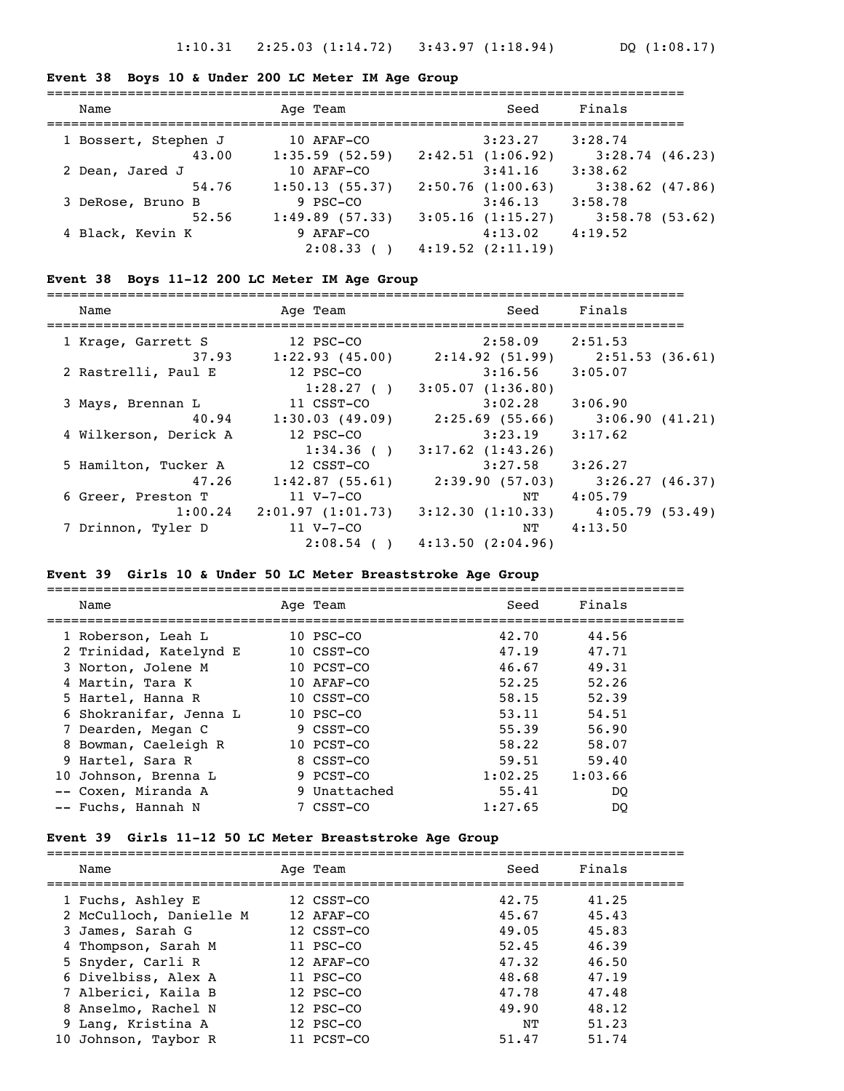#### **Event 38 Boys 10 & Under 200 LC Meter IM Age Group**

| Name                 | Age Team       | Seed                  | Finals            |
|----------------------|----------------|-----------------------|-------------------|
| 1 Bossert, Stephen J | 10 AFAF-CO     | 3:23.27               | 3:28.74           |
| 43.00                | 1:35.59(52.59) | 2:42.51(1:06.92)      | 3:28.74(46.23)    |
| 2 Dean, Jared J      | 10 AFAF-CO     | 3:41.16               | 3:38.62           |
| 54.76                | 1:50.13(55.37) | 2:50.76(1:00.63)      | $3:38.62$ (47.86) |
| 3 DeRose, Bruno B    | 9 PSC-CO       | 3:46.13               | 3:58.78           |
| 52.56                | 1:49.89(57.33) | $3:05.16$ $(1:15.27)$ | 3:58.78(53.62)    |
| 4 Black, Kevin K     | 9 AFAF-CO      | 4:13.02               | 4:19.52           |
|                      | $2:08.33$ (    | 4:19.52(2:11.19)      |                   |

#### **Event 38 Boys 11-12 200 LC Meter IM Age Group**

=============================================================================== Name Age Team Seed Finals =============================================================================== 1 Krage, Garrett S 12 PSC-CO 2:58.09 2:51.53 37.93 1:22.93 (45.00) 2:14.92 (51.99) 2:51.53 (36.61) 2 Rastrelli, Paul E 12 PSC-CO 3:16.56 3:05.07  $1:28.27$  ( )  $3:05.07$  (1:36.80) 3 Mays, Brennan L 11 CSST-CO 3:02.28 3:06.90

| з mays, вrennan ш     | II CSST-CO       | 3:02.28               | 3:06.90        |
|-----------------------|------------------|-----------------------|----------------|
| 40.94                 | 1:30.03(49.09)   | 2:25.69(55.66)        | 3:06.90(41.21) |
| 4 Wilkerson, Derick A | 12 PSC-CO        | 3:23.19               | 3:17.62        |
|                       | 1:34.36()        | $3:17.62$ $(1:43.26)$ |                |
| 5 Hamilton, Tucker A  | 12 CSST-CO       | 3:27.58               | 3:26.27        |
| 47.26                 | 1:42.87(55.61)   | 2:39.90(57.03)        | 3:26.27(46.37) |
| 6 Greer, Preston T    | 11 V-7-CO        | NΤ                    | 4:05.79        |
| 1:00.24               | 2:01.97(1:01.73) | 3:12.30(1:10.33)      | 4:05.79(53.49) |
| 7 Drinnon, Tyler D    | 11 V-7-CO        | NΤ                    | 4:13.50        |
|                       | $2:08.54$ ()     | 4:13.50(2:04.96)      |                |
|                       |                  |                       |                |

#### **Event 39 Girls 10 & Under 50 LC Meter Breaststroke Age Group**

| Name                   | Age Team       | Seed    | Finals  |
|------------------------|----------------|---------|---------|
| 1 Roberson, Leah L     | $10$ PSC $-CO$ | 42.70   | 44.56   |
| 2 Trinidad, Katelynd E | 10 CSST-CO     | 47.19   | 47.71   |
| 3 Norton, Jolene M     | 10 PCST-CO     | 46.67   | 49.31   |
| 4 Martin, Tara K       | 10 AFAF-CO     | 52.25   | 52.26   |
| 5 Hartel, Hanna R      | 10 CSST-CO     | 58.15   | 52.39   |
| 6 Shokranifar, Jenna L | $10$ PSC $-CO$ | 53.11   | 54.51   |
| 7 Dearden, Megan C     | 9 CSST-CO      | 55.39   | 56.90   |
| 8 Bowman, Caeleigh R   | 10 PCST-CO     | 58.22   | 58.07   |
| 9 Hartel, Sara R       | 8 CSST-CO      | 59.51   | 59.40   |
| 10 Johnson, Brenna L   | 9 PCST-CO      | 1:02.25 | 1:03.66 |
| -- Coxen, Miranda A    | 9 Unattached   | 55.41   | DO.     |
| -- Fuchs, Hannah N     | 7 CSST-CO      | 1:27.65 | DO      |

#### **Event 39 Girls 11-12 50 LC Meter Breaststroke Age Group**

| Name                    | Age Team    | Seed  | Finals |
|-------------------------|-------------|-------|--------|
| 1 Fuchs, Ashley E       | 12 CSST-CO  | 42.75 | 41.25  |
| 2 McCulloch, Danielle M | 12 AFAF-CO  | 45.67 | 45.43  |
| 3 James, Sarah G        | 12 CSST-CO  | 49.05 | 45.83  |
| 4 Thompson, Sarah M     | $11$ PSC-CO | 52.45 | 46.39  |
| 5 Snyder, Carli R       | 12 AFAF-CO  | 47.32 | 46.50  |
| 6 Divelbiss, Alex A     | $11$ PSC-CO | 48.68 | 47.19  |
| 7 Alberici, Kaila B     | 12 PSC-CO   | 47.78 | 47.48  |
| 8 Anselmo, Rachel N     | 12 PSC-CO   | 49.90 | 48.12  |
| 9 Lang, Kristina A      | 12 PSC-CO   | NТ    | 51.23  |
| 10 Johnson, Taybor R    | 11 PCST-CO  | 51.47 | 51.74  |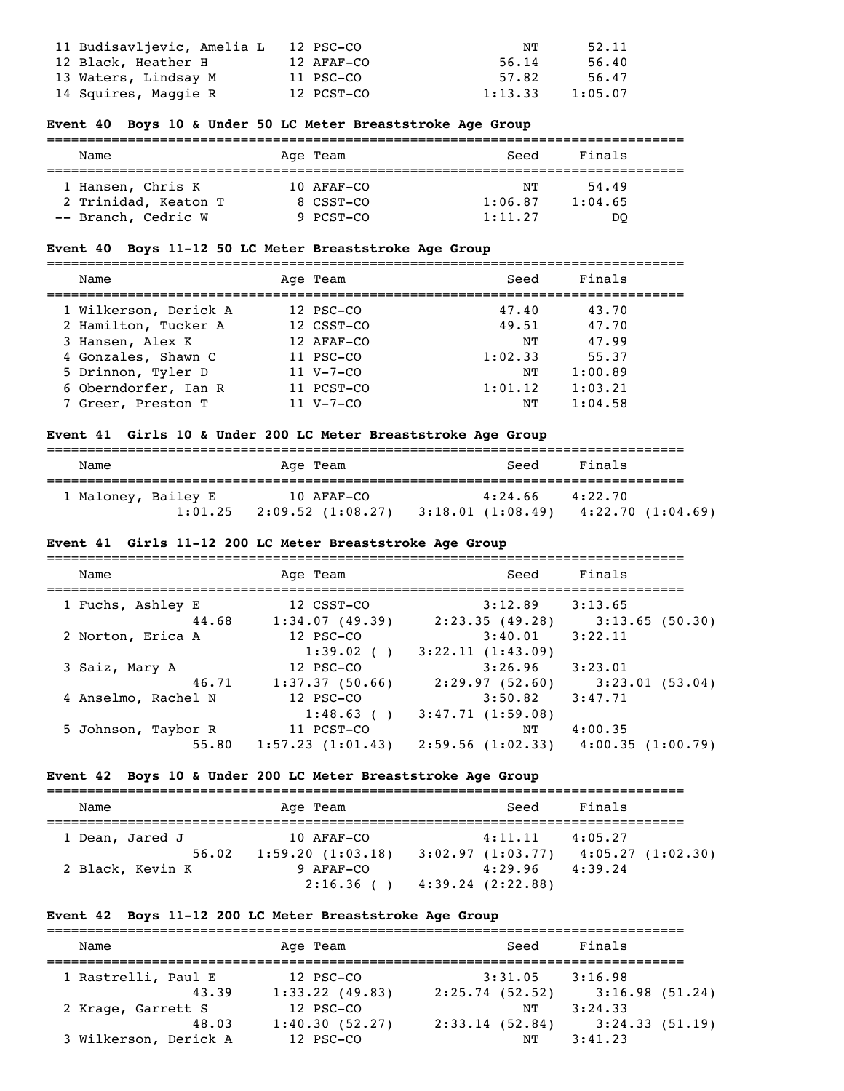| 11 Budisavljevic, Amelia L | 12 PSC-CO  | NΤ      | 52.11   |
|----------------------------|------------|---------|---------|
| 12 Black, Heather H        | 12 AFAF-CO | 56.14   | 56.40   |
| 13 Waters, Lindsay M       | 11 PSC-CO  | 57.82   | 56.47   |
| 14 Squires, Maggie R       | 12 PCST-CO | 1:13.33 | 1:05.07 |

#### **Event 40 Boys 10 & Under 50 LC Meter Breaststroke Age Group**

| Name                 | Age Team     | Seed    | Finals  |  |
|----------------------|--------------|---------|---------|--|
| 1 Hansen, Chris K    | $10$ AFAF-CO | NТ      | 54.49   |  |
| 2 Trinidad, Keaton T | 8 CSST-CO    | 1:06.87 | 1:04.65 |  |
| -- Branch, Cedric W  | 9 PCST-CO    | 1:11.27 | DO      |  |

### **Event 40 Boys 11-12 50 LC Meter Breaststroke Age Group**

=============================================================================== Name Age Team Seed Finals =============================================================================== 1 Wilkerson, Derick A 12 PSC-CO 47.40 43.70 2 Hamilton, Tucker A 12 CSST-CO 49.51 47.70<br>
3 Hansen, Alex K 12 AFAF-CO NT 47.99<br>
4 Gonzales, Shawn C 11 PSC-CO 1:02.33 55.37 3 Hansen, Alex K 12 AFAF-CO NT 47.99 4 Gonzales, Shawn C 11 PSC-CO 1:02.33 55.37 5 Drinnon, Tyler D 11 V-7-CO NT 1:00.89 6 Oberndorfer, Ian R 11 PCST-CO 1:01.12 1:03.21 7 Green, Preston T 31 V-7-CO NT 1:00.89<br>
7 Green, Preston T 31 V-7-CO 1:01.12 1:03.21<br>
7 Green, Preston T 31 V-7-CO NT 1:04.58

#### **Event 41 Girls 10 & Under 200 LC Meter Breaststroke Age Group**

| Name                |         | Age Team                          | Seed                         | Finals                      |
|---------------------|---------|-----------------------------------|------------------------------|-----------------------------|
| 1 Maloney, Bailey E | 1:01.25 | 10 AFAF-CO<br>$2:09.52$ (1:08.27) | 4:24.66<br>3:18.01 (1:08.49) | 4:22.70<br>4:22.70(1:04.69) |

#### **Event 41 Girls 11-12 200 LC Meter Breaststroke Age Group**

| Name                | Age Team         | Seed             | Finals           |
|---------------------|------------------|------------------|------------------|
| 1 Fuchs, Ashley E   | 12 CSST-CO       | 3:12.89          | 3:13.65          |
| 44.68               | 1:34.07(49.39)   | 2:23.35(49.28)   | 3:13.65(50.30)   |
| 2 Norton, Erica A   | 12 PSC-CO        | 3:40.01          | 3:22.11          |
|                     | 1:39.02()        | 3:22.11(1:43.09) |                  |
| 3 Saiz, Mary A      | 12 PSC-CO        | 3:26.96          | 3:23.01          |
| 46.71               | 1:37.37(50.66)   | 2:29.97(52.60)   | 3:23.01(53.04)   |
| 4 Anselmo, Rachel N | 12 PSC-CO        | 3:50.82          | 3:47.71          |
|                     | 1:48.63()        | 3:47.71(1:59.08) |                  |
| 5 Johnson, Taybor R | 11 PCST-CO       | NΤ               | 4:00.35          |
| 55.80               | 1:57.23(1:01.43) | 2:59.56(1:02.33) | 4:00.35(1:00.79) |

#### **Event 42 Boys 10 & Under 200 LC Meter Breaststroke Age Group**

| Name                      | Age Team                      | Seed                        | Finals                      |
|---------------------------|-------------------------------|-----------------------------|-----------------------------|
| 1 Dean, Jared J           | 10 AFAF-CO                    | 4:11.11                     | 4:05.27                     |
| 56.02<br>2 Black, Kevin K | 1:59.20(1:03.18)<br>9 AFAF-CO | 3:02.97(1:03.77)<br>4:29.96 | 4:05.27(1:02.30)<br>4:39.24 |
|                           | 2:16.36()                     | 4:39.24(2:22.88)            |                             |

#### **Event 42 Boys 11-12 200 LC Meter Breaststroke Age Group**

| Name                  |       | Age Team       | Seed           | Finals         |  |
|-----------------------|-------|----------------|----------------|----------------|--|
| 1 Rastrelli, Paul E   |       | 12 PSC-CO      | 3:31.05        | 3:16.98        |  |
|                       | 43.39 | 1:33.22(49.83) | 2:25.74(52.52) | 3:16.98(51.24) |  |
| 2 Krage, Garrett S    |       | 12 PSC-CO      | NΤ             | 3:24.33        |  |
|                       | 48.03 | 1:40.30(52.27) | 2:33.14(52.84) | 3:24.33(51.19) |  |
| 3 Wilkerson, Derick A |       | 12 PSC-CO      | NΤ             | 3:41.23        |  |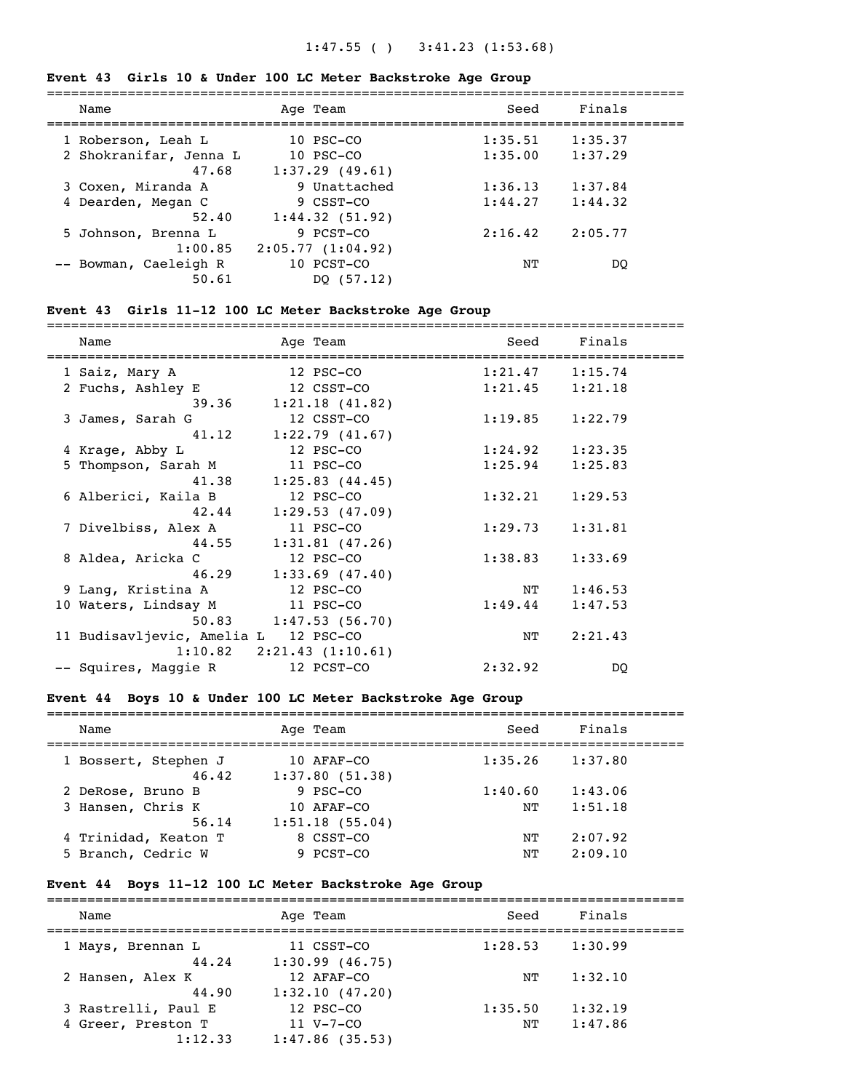# 1:47.55 ( ) 3:41.23 (1:53.68)

### **Event 43 Girls 10 & Under 100 LC Meter Backstroke Age Group**

| Name                   | Age Team         | Seed    | Finals  |  |
|------------------------|------------------|---------|---------|--|
| 1 Roberson, Leah L     | $10$ PSC $-CO$   | 1:35.51 | 1:35.37 |  |
| 2 Shokranifar, Jenna L | $10$ PSC $-CO$   | 1:35.00 | 1:37.29 |  |
| 47.68                  | 1:37.29(49.61)   |         |         |  |
| 3 Coxen, Miranda A     | 9 Unattached     | 1:36.13 | 1:37.84 |  |
| 4 Dearden, Megan C     | 9 CSST-CO        | 1:44.27 | 1:44.32 |  |
| 52.40                  | 1:44.32(51.92)   |         |         |  |
| 5 Johnson, Brenna L    | 9 PCST-CO        | 2:16.42 | 2:05.77 |  |
| 1:00.85                | 2:05.77(1:04.92) |         |         |  |
| -- Bowman, Caeleigh R  | 10 PCST-CO       | NΤ      | DO      |  |
| 50.61                  | DO (57.12)       |         |         |  |
|                        |                  |         |         |  |

# **Event 43 Girls 11-12 100 LC Meter Backstroke Age Group**

| Age Team       | Seed                                                                                                                                                                                                                                               | Finals  |                                                                                 |
|----------------|----------------------------------------------------------------------------------------------------------------------------------------------------------------------------------------------------------------------------------------------------|---------|---------------------------------------------------------------------------------|
| 12 PSC-CO      |                                                                                                                                                                                                                                                    | 1:15.74 |                                                                                 |
| 12 CSST-CO     |                                                                                                                                                                                                                                                    | 1:21.18 |                                                                                 |
|                |                                                                                                                                                                                                                                                    |         |                                                                                 |
| 12 CSST-CO     |                                                                                                                                                                                                                                                    | 1:22.79 |                                                                                 |
|                |                                                                                                                                                                                                                                                    |         |                                                                                 |
| 12 PSC-CO      |                                                                                                                                                                                                                                                    | 1:23.35 |                                                                                 |
| 11 PSC-CO      | 1:25.94                                                                                                                                                                                                                                            | 1:25.83 |                                                                                 |
| 1:25.83(44.45) |                                                                                                                                                                                                                                                    |         |                                                                                 |
| 12 PSC-CO      | 1:32.21                                                                                                                                                                                                                                            | 1:29.53 |                                                                                 |
| 1:29.53(47.09) |                                                                                                                                                                                                                                                    |         |                                                                                 |
| 11 PSC-CO      |                                                                                                                                                                                                                                                    | 1:31.81 |                                                                                 |
|                |                                                                                                                                                                                                                                                    |         |                                                                                 |
| 12 PSC-CO      |                                                                                                                                                                                                                                                    | 1:33.69 |                                                                                 |
|                |                                                                                                                                                                                                                                                    |         |                                                                                 |
| 12 PSC-CO      |                                                                                                                                                                                                                                                    | 1:46.53 |                                                                                 |
|                |                                                                                                                                                                                                                                                    | 1:47.53 |                                                                                 |
| 1:47.53(56.70) |                                                                                                                                                                                                                                                    |         |                                                                                 |
|                | ΝT                                                                                                                                                                                                                                                 | 2:21.43 |                                                                                 |
|                |                                                                                                                                                                                                                                                    |         |                                                                                 |
| 12 PCST-CO     | 2:32.92                                                                                                                                                                                                                                            | DQ      |                                                                                 |
|                | 39.36 1:21.18 (41.82)<br>$41.12$ $1:22.79$ $(41.67)$<br>41.38<br>42.44<br>$44.55$ 1:31.81 (47.26)<br>$46.29$ 1:33.69 (47.40)<br>10 Waters, Lindsay M 11 PSC-CO<br>50.83<br>11 Budisavljevic, Amelia L 12 PSC-CO<br>$1:10.82$ $2:21.43$ $(1:10.61)$ |         | 1:21.47<br>1:21.45<br>1:19.85<br>1:24.92<br>1:29.73<br>1:38.83<br>NT<br>1:49.44 |

# **Event 44 Boys 10 & Under 100 LC Meter Backstroke Age Group**

| Name                          | Age Team                     | Seed    | Finals  |  |
|-------------------------------|------------------------------|---------|---------|--|
| 1 Bossert, Stephen J<br>46.42 | 10 AFAF-CO<br>1:37.80(51.38) | 1:35.26 | 1:37.80 |  |
| 2 DeRose, Bruno B             | 9 PSC-CO                     | 1:40.60 | 1:43.06 |  |
| 3 Hansen, Chris K<br>56.14    | 10 AFAF-CO<br>1:51.18(55.04) | NΤ      | 1:51.18 |  |
| 4 Trinidad, Keaton T          | 8 CSST-CO                    | NΤ      | 2:07.92 |  |
| 5 Branch, Cedric W            | 9 PCST-CO                    | NΤ      | 2:09.10 |  |

# **Event 44 Boys 11-12 100 LC Meter Backstroke Age Group**

| Age Team                                          | Seed          | Finals             |  |
|---------------------------------------------------|---------------|--------------------|--|
| 11 CSST-CO<br>1:30.99(46.75)                      | 1:28.53       | 1:30.99            |  |
| 12 AFAF-CO<br>1:32.10(47.20)                      | NТ            | 1:32.10            |  |
| 12 PSC-CO<br>$11 V - 7 - CO$<br>$1:47.86$ (35.53) | 1:35.50<br>NΤ | 1:32.19<br>1:47.86 |  |
|                                                   |               |                    |  |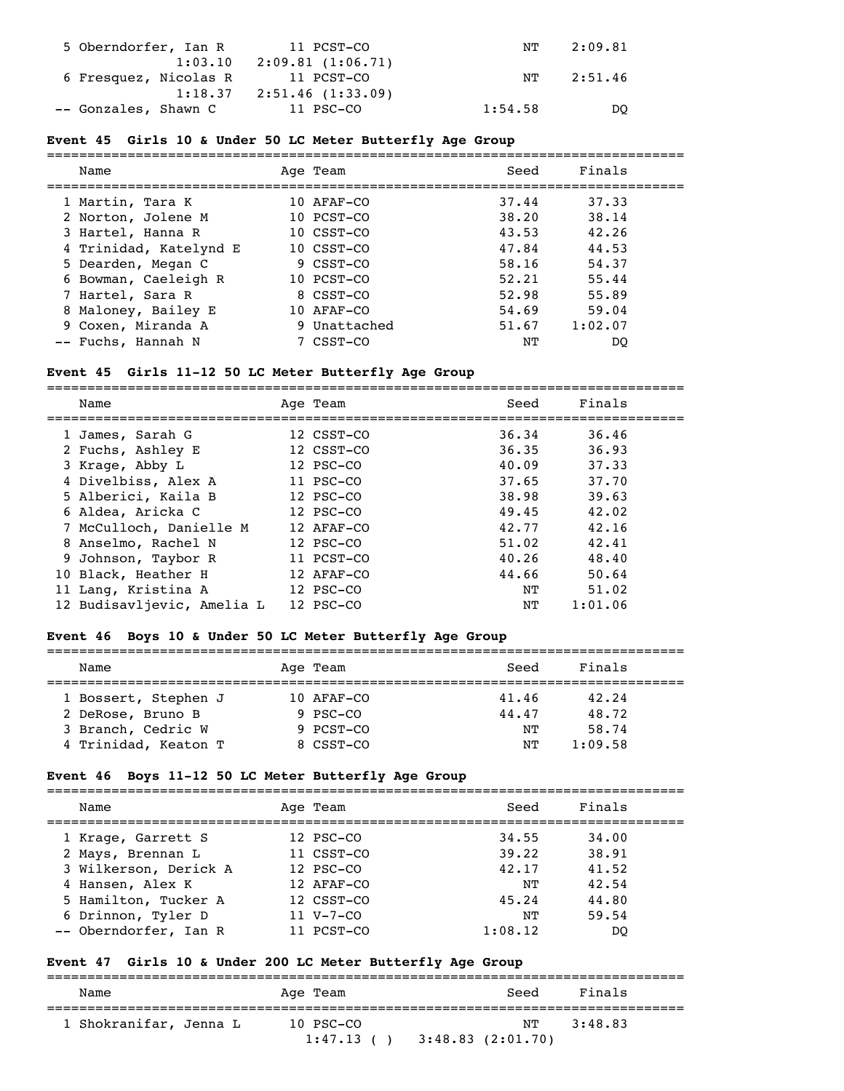| 5 Oberndorfer, Ian R | 11 PCST-CO                       | NT      | 2:09.81 |
|----------------------|----------------------------------|---------|---------|
|                      | $1:03.10$ $2:09.81$ $(1:06.71)$  |         |         |
|                      | 6 Fresquez, Nicolas R 11 PCST-CO | NT      | 2:51.46 |
|                      | $1:18.37$ $2:51.46$ $(1:33.09)$  |         |         |
| -- Gonzales, Shawn C | 11 PSC-CO                        | 1:54.58 | DO      |

### **Event 45 Girls 10 & Under 50 LC Meter Butterfly Age Group**

| Name                   | Age Team     | Seed  | Finals  |
|------------------------|--------------|-------|---------|
| 1 Martin, Tara K       | 10 AFAF-CO   | 37.44 | 37.33   |
| 2 Norton, Jolene M     | 10 PCST-CO   | 38.20 | 38.14   |
| 3 Hartel, Hanna R      | 10 CSST-CO   | 43.53 | 42.26   |
| 4 Trinidad, Katelynd E | 10 CSST-CO   | 47.84 | 44.53   |
| 5 Dearden, Megan C     | 9 CSST-CO    | 58.16 | 54.37   |
| 6 Bowman, Caeleigh R   | 10 PCST-CO   | 52.21 | 55.44   |
| 7 Hartel, Sara R       | 8 CSST-CO    | 52.98 | 55.89   |
| 8 Maloney, Bailey E    | 10 AFAF-CO   | 54.69 | 59.04   |
| 9 Coxen, Miranda A     | 9 Unattached | 51.67 | 1:02.07 |
| -- Fuchs, Hannah N     | 7 CSST-CO    | NΤ    | DO      |

#### **Event 45 Girls 11-12 50 LC Meter Butterfly Age Group**

===============================================================================

| Name                       | Age Team   | Seed  | Finals  |
|----------------------------|------------|-------|---------|
| 1 James, Sarah G           | 12 CSST-CO | 36.34 | 36.46   |
| 2 Fuchs, Ashley E          | 12 CSST-CO | 36.35 | 36.93   |
| 3 Krage, Abby L            | 12 PSC-CO  | 40.09 | 37.33   |
| 4 Divelbiss, Alex A        | 11 PSC-CO  | 37.65 | 37.70   |
| 5 Alberici, Kaila B        | 12 PSC-CO  | 38.98 | 39.63   |
| 6 Aldea, Aricka C          | 12 PSC-CO  | 49.45 | 42.02   |
| 7 McCulloch, Danielle M    | 12 AFAF-CO | 42.77 | 42.16   |
| 8 Anselmo, Rachel N        | 12 PSC-CO  | 51.02 | 42.41   |
| 9 Johnson, Taybor R        | 11 PCST-CO | 40.26 | 48.40   |
| 10 Black, Heather H        | 12 AFAF-CO | 44.66 | 50.64   |
| 11 Lang, Kristina A        | 12 PSC-CO  | NΤ    | 51.02   |
| 12 Budisavljevic, Amelia L | 12 PSC-CO  | NΤ    | 1:01.06 |

### **Event 46 Boys 10 & Under 50 LC Meter Butterfly Age Group**

| Name                 |  | Age Team   | Seed  | Finals  |  |  |
|----------------------|--|------------|-------|---------|--|--|
|                      |  |            |       |         |  |  |
| 1 Bossert, Stephen J |  | 10 AFAF-CO | 41.46 | 42.24   |  |  |
| 2 DeRose, Bruno B    |  | 9 PSC-CO   | 44.47 | 48.72   |  |  |
| 3 Branch, Cedric W   |  | 9 PCST-CO  | NͲ    | 58.74   |  |  |
| 4 Trinidad, Keaton T |  | 8 CSST-CO  | NͲ    | 1:09.58 |  |  |

### **Event 46 Boys 11-12 50 LC Meter Butterfly Age Group**

| Name                  | Age Team        | Seed    | Finals |
|-----------------------|-----------------|---------|--------|
| 1 Krage, Garrett S    | 12 PSC-CO       | 34.55   | 34.00  |
| 2 Mays, Brennan L     | 11 CSST-CO      | 39.22   | 38.91  |
| 3 Wilkerson, Derick A | 12 PSC-CO       | 42.17   | 41.52  |
| 4 Hansen, Alex K      | 12 AFAF-CO      | NͲ      | 42.54  |
| 5 Hamilton, Tucker A  | 12 CSST-CO      | 45.24   | 44.80  |
| 6 Drinnon, Tyler D    | $11 V - 7 - CO$ | NͲ      | 59.54  |
| -- Oberndorfer, Ian R | 11 PCST-CO      | 1:08.12 | DO     |

### **Event 47 Girls 10 & Under 200 LC Meter Butterfly Age Group**

=============================================================================== Name and Age Team and Seed Finals =============================================================================== 1 Shokranifar, Jenna L 10 PSC-CO

| $1:47.13$ ( ) $3:48.83$ (2:01.70) |  |  |
|-----------------------------------|--|--|
|-----------------------------------|--|--|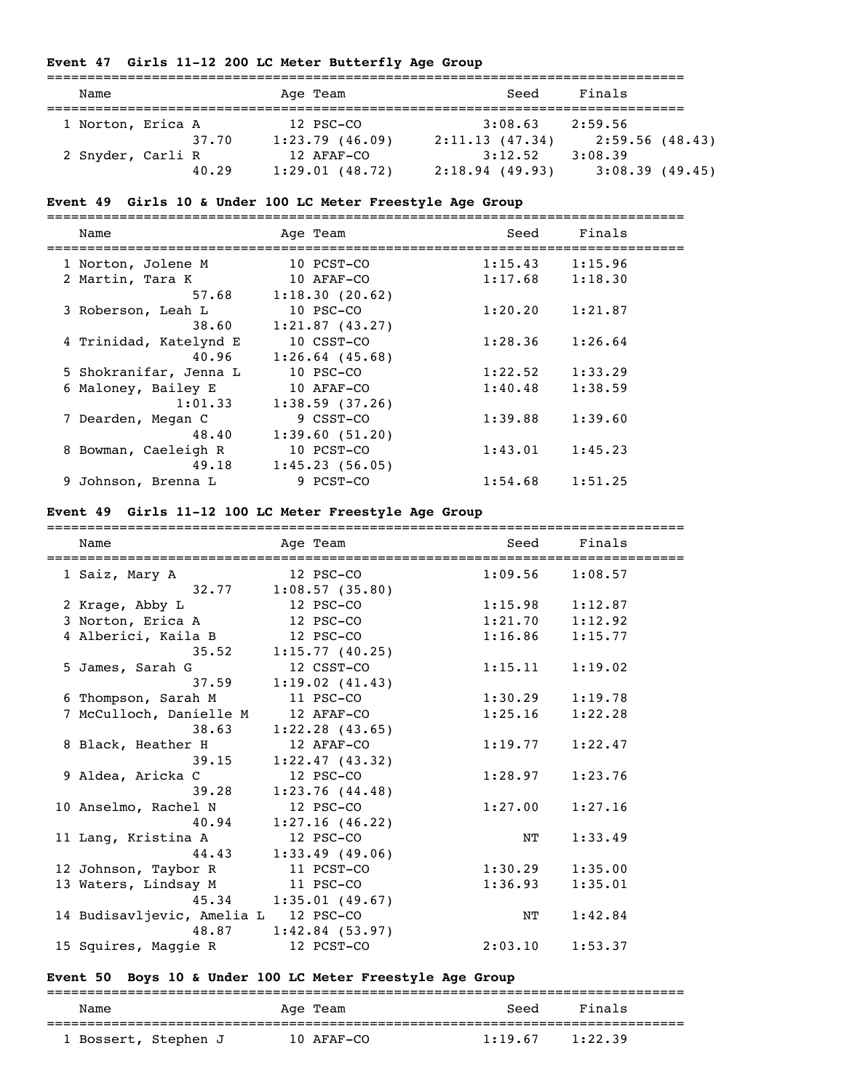#### **Event 47 Girls 11-12 200 LC Meter Butterfly Age Group**

| Name              |       | Age Team       | Seed           | Finals         |  |
|-------------------|-------|----------------|----------------|----------------|--|
|                   |       | 12 PSC-CO      |                | 2:59.56        |  |
| 1 Norton, Erica A |       |                | 3:08.63        |                |  |
|                   | 37.70 | 1:23.79(46.09) | 2:11.13(47.34) | 2:59.56(48.43) |  |
| 2 Snyder, Carli R |       | 12 AFAF-CO     | 3:12.52        | 3:08.39        |  |
|                   | 40.29 | 1:29.01(48.72) | 2:18.94(49.93) | 3:08.39(49.45) |  |

#### **Event 49 Girls 10 & Under 100 LC Meter Freestyle Age Group**

=============================================================================== Name **Age Team** Age Team Seed Finals =============================================================================== 1 Norton, Jolene M 10 PCST-CO 1:15.43 1:15.96 2 Martin, Tara K 10 AFAF-CO 1:17.68 1:18.30 57.68 1:18.30 (20.62) 3 Roberson, Leah L 10 PSC-CO 1:20.20 1:21.87  $38.60$   $1:21.87$  (43.27) 4 Trinidad, Katelynd E 10 CSST-CO 1:28.36 1:26.64 40.96 1:26.64 (45.68) 5 Shokranifar, Jenna L 10 PSC-CO 1:22.52 1:33.29 6 Maloney, Bailey E 10 AFAF-CO 1:40.48 1:38.59  $1:01.33$   $1:38.59$  (37.26) 7 Dearden, Megan C 9 CSST-CO 1:39.88 1:39.60 48.40 1:39.60 (51.20) 8 Bowman, Caeleigh R 10 PCST-CO 1:43.01 1:45.23 49.18 1:45.23 (56.05) 9 Johnson, Brenna L 9 PCST-CO 1:54.68 1:51.25

#### **Event 49 Girls 11-12 100 LC Meter Freestyle Age Group**

| Name                                 | Age Team                  | Seed                | Finals  |
|--------------------------------------|---------------------------|---------------------|---------|
| ============================         |                           |                     |         |
| 1 Saiz, Mary A                       | $12$ PSC-CO               | 1:09.56             | 1:08.57 |
|                                      | $32.77$ 1:08.57 (35.80)   |                     |         |
| 2 Krage, Abby L                      | 12 PSC-CO                 | $1:15.98$ $1:12.87$ |         |
| 3 Norton, Erica A                    | 12 PSC-CO                 | $1:21.70$ $1:12.92$ |         |
| 4 Alberici, Kaila B                  | 12 PSC-CO                 | $1:16.86$ $1:15.77$ |         |
|                                      | $35.52$ 1:15.77 (40.25)   |                     |         |
| 5 James, Sarah G                     | 12 CSST-CO                | $1:15.11$ $1:19.02$ |         |
|                                      | $37.59$ 1:19.02 (41.43)   |                     |         |
| 6 Thompson, Sarah M                  | 11 PSC-CO                 | $1:30.29$ $1:19.78$ |         |
| 7 McCulloch, Danielle M              | 12 AFAF-CO                | 1:25.16             | 1:22.28 |
| 38.63                                | $1:22.28$ (43.65)         |                     |         |
| 8 Black, Heather H                   | 12 AFAF-CO                | $1:19.77$ $1:22.47$ |         |
|                                      | $39.15$ $1:22.47$ (43.32) |                     |         |
| 9 Aldea, Aricka C                    | 12 PSC-CO                 | 1:28.97             | 1:23.76 |
|                                      | 39.28 1:23.76 (44.48)     |                     |         |
| 10 Anselmo, Rachel N                 | 12 PSC-CO                 | 1:27.00             | 1:27.16 |
| 40.94                                | 1:27.16(46.22)            |                     |         |
| 11 Lang, Kristina A                  | 12 PSC-CO                 | ΝT                  | 1:33.49 |
| 44.43                                | 1:33.49(49.06)            |                     |         |
| 12 Johnson, Taybor R                 | 11 PCST-CO                | $1:30.29$ $1:35.00$ |         |
| 13 Waters, Lindsay M                 | 11 PSC-CO                 | 1:36.93             | 1:35.01 |
|                                      | 45.34 1:35.01 (49.67)     |                     |         |
| 14 Budisavljevic, Amelia L 12 PSC-CO |                           | ΝT                  | 1:42.84 |
|                                      | 48.87 1:42.84 (53.97)     |                     |         |
| 15 Squires, Maggie R                 | 12 PCST-CO                | 2:03.10             | 1:53.37 |

#### **Event 50 Boys 10 & Under 100 LC Meter Freestyle Age Group**

| Name                 |  | Age Team   | Seed    | Finals  |
|----------------------|--|------------|---------|---------|
| 1 Bossert, Stephen J |  | 10 AFAF-CO | 1:19.67 | 1:22.39 |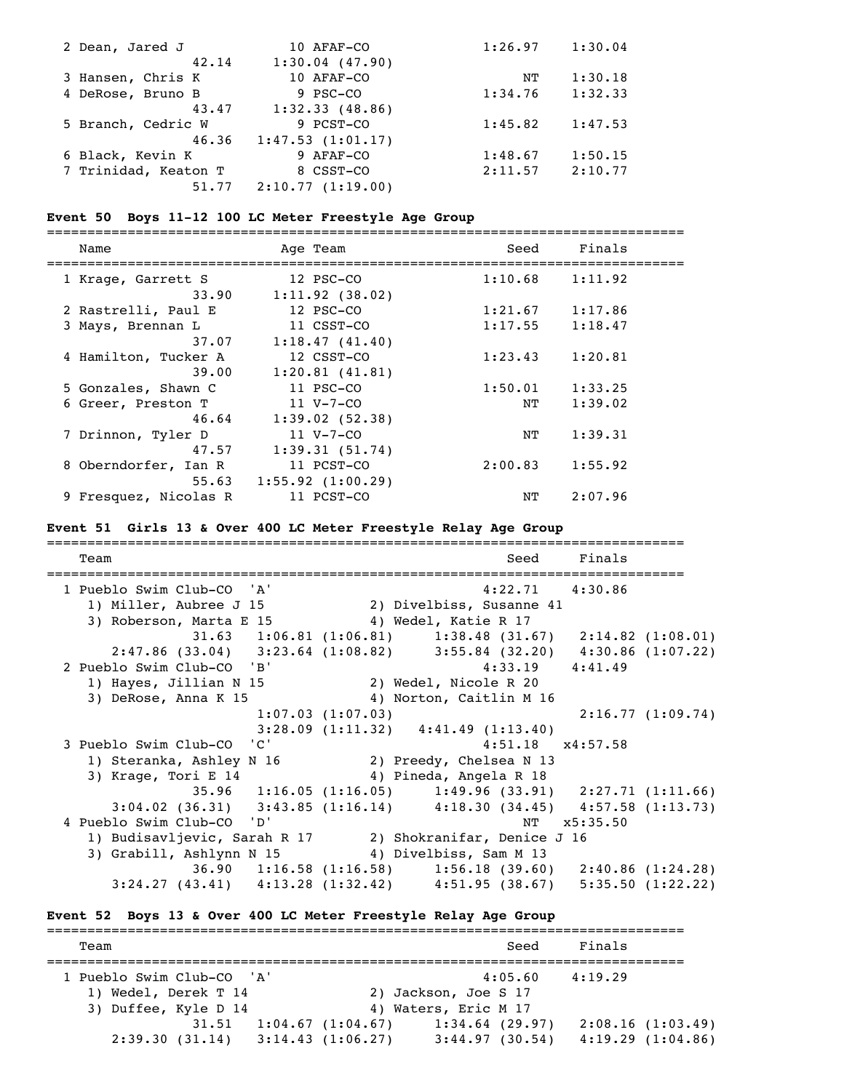| 2 Dean, Jared J      | 10 AFAF-CO        | 1:26.97 | 1:30.04 |
|----------------------|-------------------|---------|---------|
| 42.14                | $1:30.04$ (47.90) |         |         |
| 3 Hansen, Chris K    | 10 AFAF-CO        | NΤ      | 1:30.18 |
| 4 DeRose, Bruno B    | 9 PSC-CO          | 1:34.76 | 1:32.33 |
| 43.47                | 1:32.33(48.86)    |         |         |
| 5 Branch, Cedric W   | 9 PCST-CO         | 1:45.82 | 1:47.53 |
| 46.36                | 1:47.53(1:01.17)  |         |         |
| 6 Black, Kevin K     | 9 AFAF-CO         | 1:48.67 | 1:50.15 |
| 7 Trinidad, Keaton T | 8 CSST-CO         | 2:11.57 | 2:10.77 |
| 51.77                | 2:10.77(1:19.00)  |         |         |

#### **Event 50 Boys 11-12 100 LC Meter Freestyle Age Group**

===============================================================================

| Name                  | Age Team         | Seed    | Finals  |  |
|-----------------------|------------------|---------|---------|--|
| 1 Krage, Garrett S    | 12 PSC-CO        | 1:10.68 | 1:11.92 |  |
| 33.90                 | 1:11.92(38.02)   |         |         |  |
| 2 Rastrelli, Paul E   | 12 PSC-CO        | 1:21.67 | 1:17.86 |  |
| 3 Mays, Brennan L     | 11 CSST-CO       | 1:17.55 | 1:18.47 |  |
| 37.07                 | 1:18.47(41.40)   |         |         |  |
| 4 Hamilton, Tucker A  | 12 CSST-CO       | 1:23.43 | 1:20.81 |  |
| 39.00                 | 1:20.81(41.81)   |         |         |  |
| 5 Gonzales, Shawn C   | 11 PSC-CO        | 1:50.01 | 1:33.25 |  |
| 6 Greer, Preston T    | $11 V - 7 - CO$  | NT      | 1:39.02 |  |
| 46.64                 | 1:39.02(52.38)   |         |         |  |
| 7 Drinnon, Tyler D    | $11 V - 7 - CO$  | NΤ      | 1:39.31 |  |
| 47.57                 | 1:39.31(51.74)   |         |         |  |
| 8 Oberndorfer, Ian R  | 11 PCST-CO       | 2:00.83 | 1:55.92 |  |
| 55.63                 | 1:55.92(1:00.29) |         |         |  |
| 9 Fresquez, Nicolas R | 11 PCST-CO       | NΤ      | 2:07.96 |  |
|                       |                  |         |         |  |

===============================================================================

#### **Event 51 Girls 13 & Over 400 LC Meter Freestyle Relay Age Group**

Team Seed Finals =============================================================================== 1 Pueblo Swim Club-CO 'A' 4:22.71 4:30.86 1) Miller, Aubree J 15 2) Divelbiss, Susanne 41 3) Roberson, Marta E 15 4) Wedel, Katie R 17 31.63 1:06.81 (1:06.81) 1:38.48 (31.67) 2:14.82 (1:08.01) 2:47.86 (33.04) 3:23.64 (1:08.82) 3:55.84 (32.20) 4:30.86 (1:07.22) 2 Pueblo Swim Club-CO 'B' 4:33.19 4:41.49<br>1) Hayes, Jillian N 15 2) Wedel, Nicole R 20 1) Hayes, Jillian N 15 3) DeRose, Anna K 15 4) Norton, Caitlin M 16 1:07.03 (1:07.03) 2:16.77 (1:09.74) 3:28.09 (1:11.32) 4:41.49 (1:13.40) 3 Pueblo Swim Club-CO 'C' 4:51.18 x4:57.58 1) Steranka, Ashley N 16 2) Preedy, Chelsea N 13<br>3) Krage, Tori E 14 4) Pineda, Angela R 18 4) Pineda, Angela R 18 35.96 1:16.05 (1:16.05) 1:49.96 (33.91) 2:27.71 (1:11.66) 3:04.02 (36.31) 3:43.85 (1:16.14) 4:18.30 (34.45) 4:57.58 (1:13.73)<br>lo Swim Club-CO 'D' NT x5:35.50 4 Pueblo Swim Club-CO 'D' 1) Budisavljevic, Sarah R 17 2) Shokranifar, Denice J 16 3) Grabill, Ashlynn N 15 4) Divelbiss, Sam M 13 36.90 1:16.58 (1:16.58) 1:56.18 (39.60) 2:40.86 (1:24.28) 3:24.27 (43.41) 4:13.28 (1:32.42) 4:51.95 (38.67) 5:35.50 (1:22.22)

**Event 52 Boys 13 & Over 400 LC Meter Freestyle Relay Age Group**

=============================================================================== Team Seed Finals =============================================================================== 1 Pueblo Swim Club-CO 'A' 4:05.60 4:19.29 1) Wedel, Derek T 14 2) Jackson, Joe S 17 3) Duffee, Kyle D 14 4) Waters, Eric M 17 31.51 1:04.67 (1:04.67) 1:34.64 (29.97) 2:08.16 (1:03.49) 2:39.30 (31.14) 3:14.43 (1:06.27) 3:44.97 (30.54) 4:19.29 (1:04.86)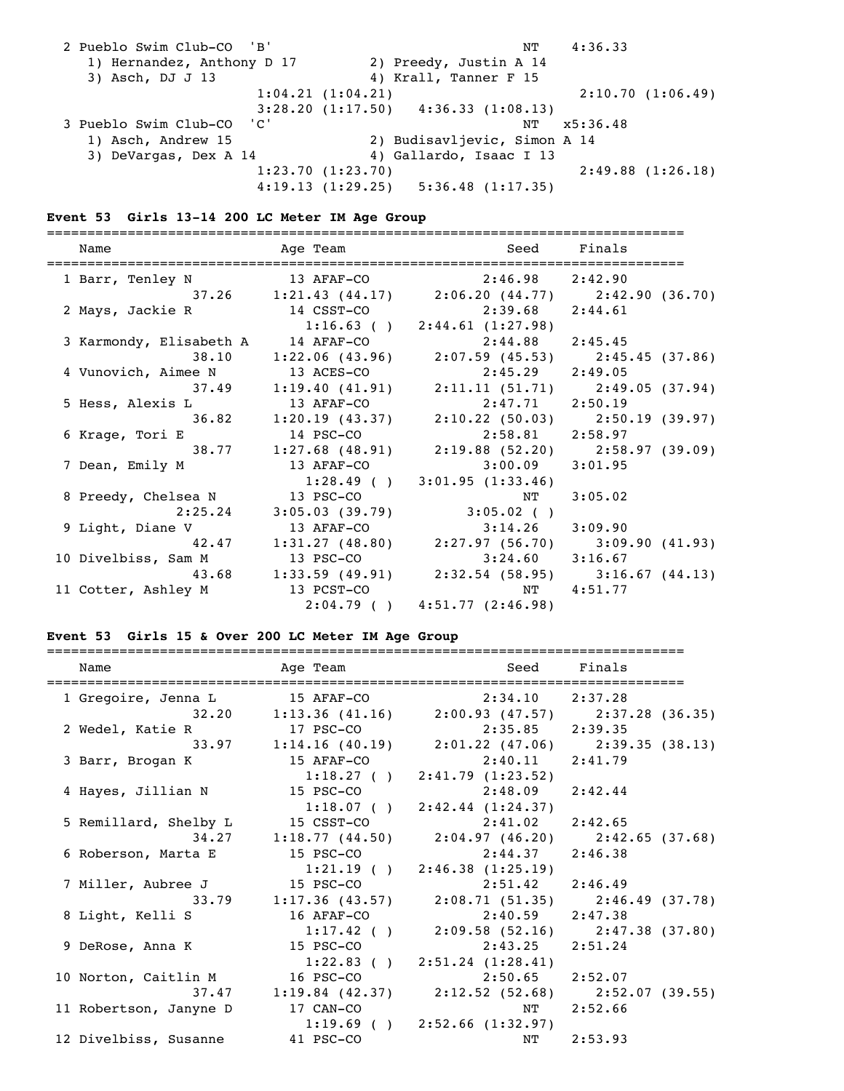| 2 Pueblo Swim Club-CO 'B'  | NΤ                                          | 4:36.33          |
|----------------------------|---------------------------------------------|------------------|
| 1) Hernandez, Anthony D 17 | 2) Preedy, Justin A 14                      |                  |
| 3) Asch, DJ J 13           | 4) Krall, Tanner F 15                       |                  |
|                            | 1:04.21(1:04.21)                            | 2:10.70(1:06.49) |
|                            | $3:28.20$ $(1:17.50)$ $4:36.33$ $(1:08.13)$ |                  |
| 3 Pueblo Swim Club-CO 'C'  | NΤ                                          | x5:36.48         |
| 1) Asch, Andrew 15         | 2) Budisavljevic, Simon A 14                |                  |
| 3) DeVargas, Dex A 14      | 4) Gallardo, Isaac I 13                     |                  |
|                            | 1:23.70(1:23.70)                            | 2:49.88(1:26.18) |
|                            | 4:19.13(1:29.25)<br>5:36.48(1:17.35)        |                  |

# **Event 53 Girls 13-14 200 LC Meter IM Age Group**

| Name |                         | Age Team   | Seed Finals                                           |            |
|------|-------------------------|------------|-------------------------------------------------------|------------|
|      | 1 Barr, Tenley N        |            | 13 AFAF-CO 2:46.98 2:42.90                            |            |
|      |                         |            | 37.26 1:21.43 (44.17) 2:06.20 (44.77) 2:42.90 (36.70) |            |
|      | 2 Mays, Jackie R        | 14 CSST-CO | $2:39.68$ $2:44.61$                                   |            |
|      |                         |            | $1:16.63$ ( ) $2:44.61$ (1:27.98)                     |            |
|      | 3 Karmondy, Elisabeth A | 14 AFAF-CO | $2:44.88$ $2:45.45$                                   |            |
|      | 38.10                   |            | $1:22.06$ (43.96) $2:07.59$ (45.53) $2:45.45$ (37.86) |            |
|      | 4 Vunovich, Aimee N     | 13 ACES-CO | $2:45.29$ $2:49.05$                                   |            |
|      |                         |            | 37.49 1:19.40 (41.91) 2:11.11 (51.71) 2:49.05 (37.94) |            |
|      | 5 Hess, Alexis L        | 13 AFAF-CO | $2:47.71$ $2:50.19$                                   |            |
|      |                         |            | 36.82 1:20.19 (43.37) 2:10.22 (50.03) 2:50.19 (39.97) |            |
|      | 6 Krage, Tori E         | 14 PSC-CO  | $2:58.81$ $2:58.97$                                   |            |
|      |                         |            | 38.77 1:27.68 (48.91) 2:19.88 (52.20) 2:58.97 (39.09) |            |
|      | 7 Dean, Emily M         | 13 AFAF-CO | $3:00.09$ $3:01.95$                                   |            |
|      |                         |            | $1:28.49$ ( ) $3:01.95$ (1:33.46)                     |            |
|      | 8 Preedy, Chelsea N     | 13 PSC-CO  | NT                                                    | 3:05.02    |
|      | 2:25.24                 |            | $3:05.03$ (39.79) 3:05.02 ()                          |            |
|      | 9 Light, Diane V        | 13 AFAF-CO | $3:14.26$ $3:09.90$                                   |            |
|      |                         |            | 42.47 1:31.27 (48.80) 2:27.97 (56.70) 3:09.90 (41.93) |            |
|      | 10 Divelbiss, Sam M     | 13 PSC-CO  | $3:24.60$ $3:16.67$                                   |            |
|      |                         |            | 43.68 1:33.59 (49.91) 2:32.54 (58.95) 3:16.67 (44.13) |            |
|      | 11 Cotter, Ashley M     | 13 PCST-CO |                                                       | NT 4:51.77 |
|      |                         |            | $2:04.79$ ( ) $4:51.77$ (2:46.98)                     |            |

# **Event 53 Girls 15 & Over 200 LC Meter IM Age Group**

| Name                                           | Age Team    |                                                       | Seed Finals |
|------------------------------------------------|-------------|-------------------------------------------------------|-------------|
| 1 Gregoire, Jenna L                            | 15 AFAF-CO  | 2:34.10 2:37.28                                       |             |
|                                                |             | 32.20 1:13.36 (41.16) 2:00.93 (47.57) 2:37.28 (36.35) |             |
| 2 Wedel, Katie R                               | 17 PSC-CO   | $2:35.85$ $2:39.35$                                   |             |
|                                                |             | 33.97 1:14.16 (40.19) 2:01.22 (47.06) 2:39.35 (38.13) |             |
| 3 Barr, Brogan K                               | 15 AFAF-CO  | $2:40.11$ $2:41.79$                                   |             |
|                                                |             | $1:18.27$ ( ) $2:41.79$ (1:23.52)                     |             |
| 4 Hayes, Jillian N 15 PSC-CO                   |             | $2:48.09$ $2:42.44$                                   |             |
|                                                |             | $1:18.07$ ( ) $2:42.44$ $(1:24.37)$                   |             |
| 5 Remillard, Shelby L                          | 15 CSST-CO  | $2:41.02$ $2:42.65$                                   |             |
|                                                |             | 34.27 1:18.77 (44.50) 2:04.97 (46.20) 2:42.65 (37.68) |             |
| 6 Roberson, Marta E                            | $15$ PSC-CO | $2:44.37$ $2:46.38$                                   |             |
|                                                |             | $1:21.19$ ( ) $2:46.38$ (1:25.19)                     |             |
| 7 Miller, Aubree J                             | 15 PSC-CO   | $2:51.42$ $2:46.49$                                   |             |
|                                                |             | 33.79 1:17.36 (43.57) 2:08.71 (51.35) 2:46.49 (37.78) |             |
| 8 Light, Kelli S                               | 16 AFAF-CO  | $2:40.59$ $2:47.38$                                   |             |
|                                                |             | $1:17.42$ ( ) $2:09.58$ (52.16) $2:47.38$ (37.80)     |             |
| 9 DeRose, Anna K                               | 15 PSC-CO   | $2:43.25$ $2:51.24$                                   |             |
|                                                |             | $1:22.83$ ( ) $2:51.24$ (1:28.41)                     |             |
| 10 Norton, Caitlin M 16 PSC-CO 2:50.65 2:52.07 |             |                                                       |             |
|                                                |             | 37.47 1:19.84 (42.37) 2:12.52 (52.68) 2:52.07 (39.55) |             |
| 11 Robertson, Janyne D                         | 17 CAN-CO   |                                                       | NT 2:52.66  |
|                                                |             | $1:19.69$ ( ) $2:52.66$ (1:32.97)                     |             |
| 12 Divelbiss, Susanne                          | 41 PSC-CO   | NT                                                    | 2:53.93     |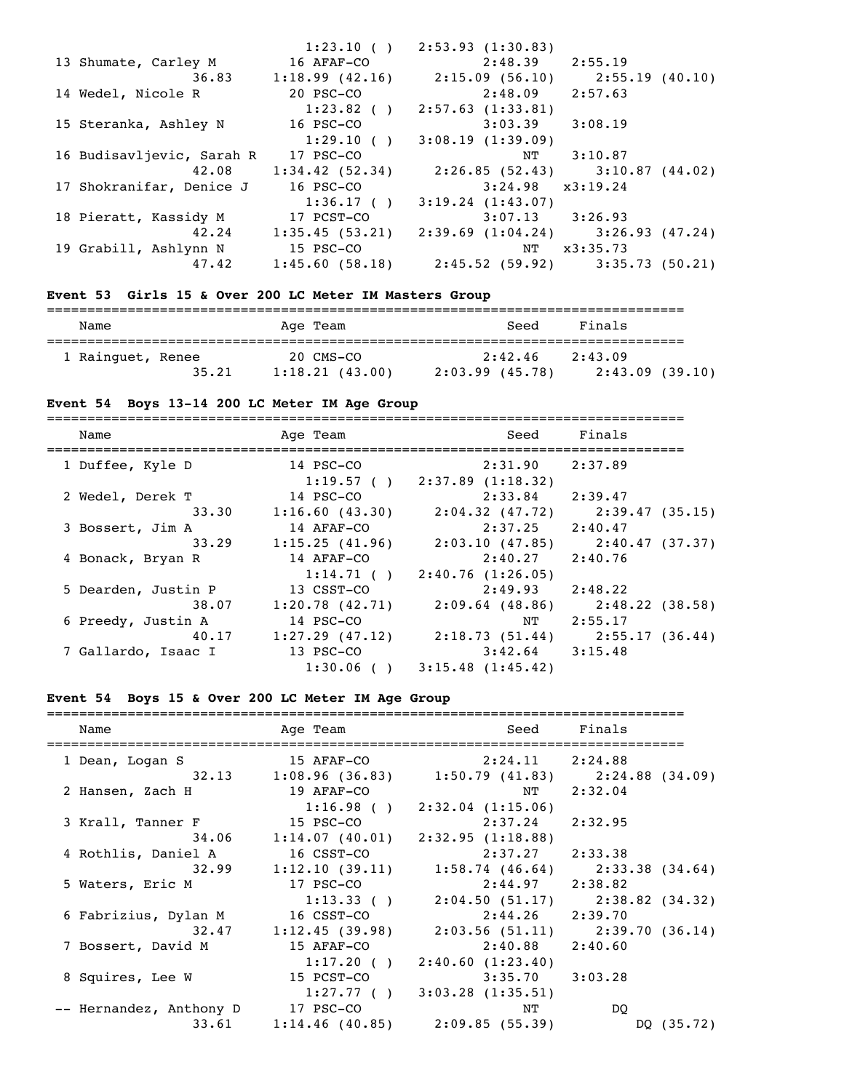|                           | 1:23.10()      | 2:53.93(1:30.83)     |                                           |
|---------------------------|----------------|----------------------|-------------------------------------------|
| 13 Shumate, Carley M      | 16 AFAF-CO     | $2:48.39$ $2:55.19$  |                                           |
| 36.83                     | 1:18.99(42.16) | 2:15.09 (56.10)      | 2:55.19(40.10)                            |
| 14 Wedel, Nicole R        | 20 PSC-CO      | $2:48.09$ $2:57.63$  |                                           |
|                           | $1:23.82$ ( )  | 2:57.63(1:33.81)     |                                           |
| 15 Steranka, Ashley N     | 16 PSC-CO      | 3:03.39              | 3:08.19                                   |
|                           | 1:29.10(       | 3:08.19(1:39.09)     |                                           |
| 16 Budisavljevic, Sarah R | 17 PSC-CO      | NT                   | 3:10.87                                   |
| 42.08                     | 1:34.42(52.34) |                      | 2:26.85 (52.43) 3:10.87 (44.02)           |
| 17 Shokranifar, Denice J  | 16 PSC-CO      | $3:24.98$ $x3:19.24$ |                                           |
|                           | 1:36.17()      | 3:19.24(1:43.07)     |                                           |
| 18 Pieratt, Kassidy M     | 17 PCST-CO     | $3:07.13$ $3:26.93$  |                                           |
| 42.24                     | 1:35.45(53.21) |                      | $2:39.69$ $(1:04.24)$ $3:26.93$ $(47.24)$ |
| 19 Grabill, Ashlynn N     | 15 PSC-CO      |                      | NT x3:35.73                               |
| 47.42                     | 1:45.60(58.18) |                      | 2:45.52 (59.92) 3:35.73 (50.21)           |
|                           |                |                      |                                           |

# **Event 53 Girls 15 & Over 200 LC Meter IM Masters Group**

| Name              |       | Age Team                    | Seed                         | Finals                    |
|-------------------|-------|-----------------------------|------------------------------|---------------------------|
| 1 Rainguet, Renee | 35.21 | 20 CMS-CO<br>1:18.21(43.00) | 2:42.46<br>$2:03.99$ (45.78) | 2:43.09<br>2:43.09(39.10) |

# **Event 54 Boys 13-14 200 LC Meter IM Age Group**

| Name                         | Age Team                       | Seed                                                     | Finals                            |
|------------------------------|--------------------------------|----------------------------------------------------------|-----------------------------------|
| 1 Duffee, Kyle D             | 14 PSC-CO                      | $2:31.90$ $2:37.89$<br>$1:19.57$ ( ) $2:37.89$ (1:18.32) |                                   |
| 2 Wedel, Derek T             | 14 PSC-CO                      | 2:33.84                                                  | 2:39.47                           |
| 33.30<br>3 Bossert, Jim A    | 1:16.60(43.30)<br>14 AFAF-CO   | $2:04.32$ (47.72)<br>2:37.25                             | 2:39.47 (35.15)<br>2:40.47        |
| 33.29                        | 1:15.25(41.96)                 | 2:03.10 (47.85)                                          | 2:40.47 (37.37)                   |
| 4 Bonack, Bryan R            | 14 AFAF-CO                     | $2:40.27$ $2:40.76$                                      |                                   |
| 5 Dearden, Justin P          | 1:14.71(<br>13 CSST-CO         | 2:40.76(1:26.05)<br>$2:49.93$ $2:48.22$                  |                                   |
| 38.07                        | 1:20.78(42.71)                 | $2:09.64$ (48.86)                                        | 2:48.22 (38.58)                   |
| 6 Preedy, Justin A           | 14 PSC-CO                      | NT                                                       | 2:55.17                           |
| 40.17<br>7 Gallardo, Isaac I | $1:27.29$ (47.12)<br>13 PSC-CO | $3:42.64$ $3:15.48$                                      | $2:18.73(51.44)$ $2:55.17(36.44)$ |
|                              |                                | $1:30.06$ ( ) $3:15.48$ (1:45.42)                        |                                   |

# **Event 54 Boys 15 & Over 200 LC Meter IM Age Group**

| Name                                        | Age Team and the state of the state of the state of the state of the state of the state of the state of the sta<br>=================================== |                                                       | Seed Finals |
|---------------------------------------------|--------------------------------------------------------------------------------------------------------------------------------------------------------|-------------------------------------------------------|-------------|
| 1 Dean, Logan S                             |                                                                                                                                                        | 15 AFAF-CO 2:24.11 2:24.88                            |             |
|                                             |                                                                                                                                                        | 32.13 1:08.96 (36.83) 1:50.79 (41.83) 2:24.88 (34.09) |             |
| 2 Hansen, Zach H                            | 19 AFAF-CO                                                                                                                                             | NT 2:32.04                                            |             |
|                                             |                                                                                                                                                        | $1:16.98$ ( ) $2:32.04$ (1:15.06)                     |             |
| 3 Krall, Tanner F 15 PSC-CO 2:37.24 2:32.95 |                                                                                                                                                        |                                                       |             |
|                                             | 34.06 1:14.07 (40.01) 2:32.95 (1:18.88)                                                                                                                |                                                       |             |
| 4 Rothlis, Daniel A                         | 16 CSST-CO                                                                                                                                             | $2:37.27$ $2:33.38$                                   |             |
|                                             |                                                                                                                                                        | 32.99 1:12.10 (39.11) 1:58.74 (46.64) 2:33.38 (34.64) |             |
| 5 Waters, Eric M                            |                                                                                                                                                        | 17 PSC-CO 2:44.97 2:38.82                             |             |
|                                             |                                                                                                                                                        | $1:13.33$ ( ) $2:04.50$ (51.17) $2:38.82$ (34.32)     |             |
| 6 Fabrizius, Dylan M                        |                                                                                                                                                        | 16 CSST-CO 2:44.26 2:39.70                            |             |
|                                             |                                                                                                                                                        | 32.47 1:12.45 (39.98) 2:03.56 (51.11) 2:39.70 (36.14) |             |
| 7 Bossert, David M                          | 15 AFAF-CO                                                                                                                                             | $2:40.88$ $2:40.60$                                   |             |
|                                             |                                                                                                                                                        | $1:17.20$ ( ) $2:40.60$ (1:23.40)                     |             |
| 8 Squires, Lee W                            | 15 PCST-CO                                                                                                                                             | $3:35.70$ $3:03.28$                                   |             |
|                                             |                                                                                                                                                        | $1:27.77$ ( ) $3:03.28$ (1:35.51)                     |             |
| -- Hernandez, Anthony D 17 PSC-CO           |                                                                                                                                                        | NT                                                    | DO          |
|                                             |                                                                                                                                                        | $33.61$ 1:14.46 (40.85) 2:09.85 (55.39)               | DQ (35.72)  |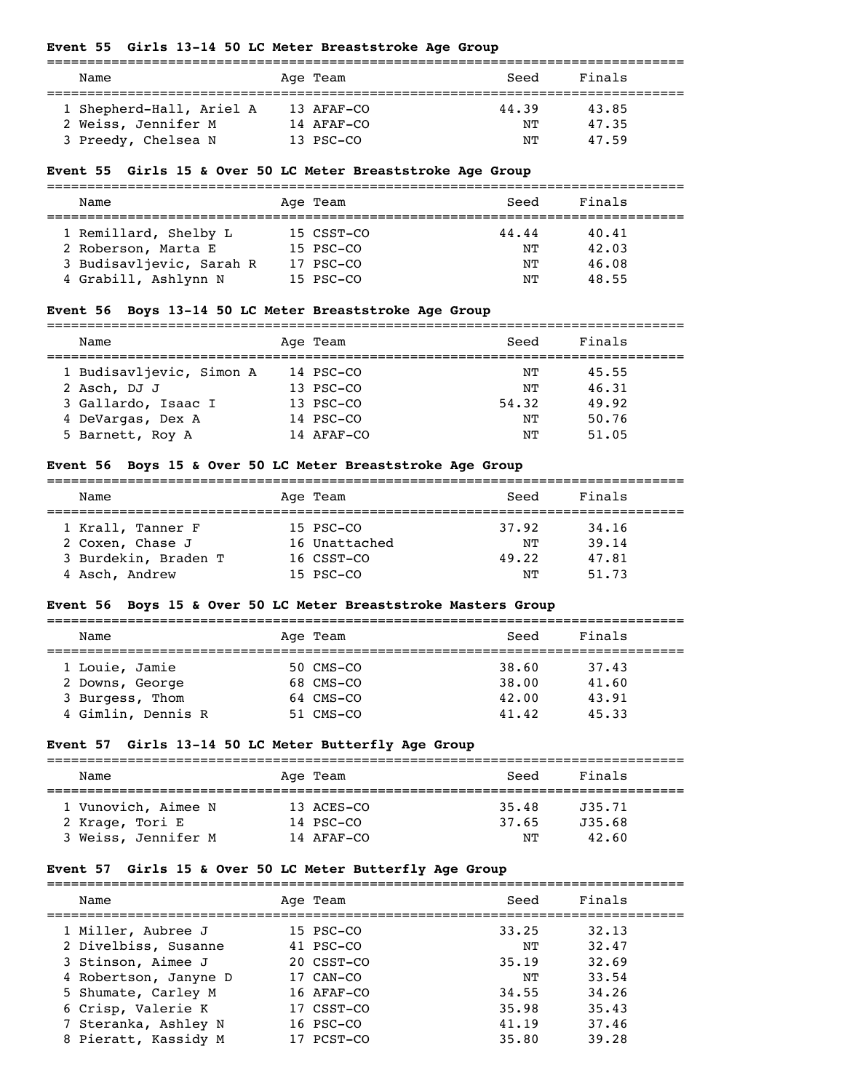#### **Event 55 Girls 13-14 50 LC Meter Breaststroke Age Group**

| Name                     | Age Team   | Seed  | Finals |  |
|--------------------------|------------|-------|--------|--|
| 1 Shepherd-Hall, Ariel A | 13 AFAF-CO | 44.39 | 43.85  |  |
| 2 Weiss, Jennifer M      | 14 AFAF-CO | NΤ    | 47.35  |  |
| 3 Preedy, Chelsea N      | 13 PSC-CO  | NͲ    | 47.59  |  |

#### **Event 55 Girls 15 & Over 50 LC Meter Breaststroke Age Group**

===============================================================================

| Name                     | Age Team   | Seed  | Finals |
|--------------------------|------------|-------|--------|
| 1 Remillard, Shelby L    | 15 CSST-CO | 44.44 | 40.41  |
| 2 Roberson, Marta E      | 15 PSC-CO  | NΤ    | 42.03  |
| 3 Budisavljevic, Sarah R | 17 PSC-CO  | NΤ    | 46.08  |
| 4 Grabill, Ashlynn N     | 15 PSC-CO  | NΤ    | 48.55  |

#### **Event 56 Boys 13-14 50 LC Meter Breaststroke Age Group**

===============================================================================

| Name                     | Age Team    | Seed  | Finals |
|--------------------------|-------------|-------|--------|
| 1 Budisavljevic, Simon A | 14 PSC-CO   | NТ    | 45.55  |
| 2 Asch, DJ J             | 13 PSC-CO   | NΤ    | 46.31  |
| 3 Gallardo, Isaac I      | $13$ PSC-CO | 54.32 | 49.92  |
| 4 DeVargas, Dex A        | 14 PSC-CO   | NТ    | 50.76  |
| 5 Barnett, Roy A         | 14 AFAF-CO  | NΤ    | 51.05  |
|                          |             |       |        |

#### **Event 56 Boys 15 & Over 50 LC Meter Breaststroke Age Group**

| Name                 | Age Team      | Seed  | Finals |  |
|----------------------|---------------|-------|--------|--|
|                      |               |       |        |  |
| 1 Krall, Tanner F    | 15 PSC-CO     | 37.92 | 34,16  |  |
| 2 Coxen, Chase J     | 16 Unattached | NΤ    | 39.14  |  |
| 3 Burdekin, Braden T | 16 CSST-CO    | 49.22 | 47.81  |  |
| 4 Asch, Andrew       | 15 PSC-CO     | NͲ    | 51.73  |  |

### **Event 56 Boys 15 & Over 50 LC Meter Breaststroke Masters Group**

| Name                                  | Age Team                 | Finals<br>Seed                   |  |  |  |
|---------------------------------------|--------------------------|----------------------------------|--|--|--|
| 1 Louie, Jamie<br>2 Downs, George     | 50 CMS-CO<br>68 CMS-CO   | 38.60<br>37.43<br>38.00<br>41.60 |  |  |  |
| 3 Burgess, Thom<br>4 Gimlin, Dennis R | $64$ CMS-CO<br>51 CMS-CO | 43.91<br>42.00<br>41.42<br>45.33 |  |  |  |

#### **Event 57 Girls 13-14 50 LC Meter Butterfly Age Group**

| Name                | Age Team     | Seed  | Finals |  |  |  |
|---------------------|--------------|-------|--------|--|--|--|
| 1 Vunovich, Aimee N | 13 ACES-CO   | 35.48 | J35.71 |  |  |  |
| 2 Krage, Tori E     | 14 PSC-CO    | 37.65 | J35.68 |  |  |  |
| 3 Weiss, Jennifer M | $14$ AFAF-CO | NͲ    | 42.60  |  |  |  |

#### **Event 57 Girls 15 & Over 50 LC Meter Butterfly Age Group**

| Name                  | Age Team                | Seed  | Finals |  |
|-----------------------|-------------------------|-------|--------|--|
| 1 Miller, Aubree J    | 15 PSC-CO               | 33.25 | 32.13  |  |
| 2 Divelbiss, Susanne  | 41 PSC-CO               | NͲ    | 32.47  |  |
| 3 Stinson, Aimee J    | $20 \text{ CSS}$ - $C0$ | 35.19 | 32.69  |  |
| 4 Robertson, Janyne D | 17 CAN-CO               | NͲ    | 33.54  |  |
| 5 Shumate, Carley M   | $16$ AFAF-CO            | 34.55 | 34,26  |  |
| 6 Crisp, Valerie K    | 17 CSST-CO              | 35.98 | 35.43  |  |
| 7 Steranka, Ashley N  | $16$ PSC $-$ CO         | 41.19 | 37.46  |  |
| 8 Pieratt, Kassidy M  | PCST-CO                 | 35.80 | 39.28  |  |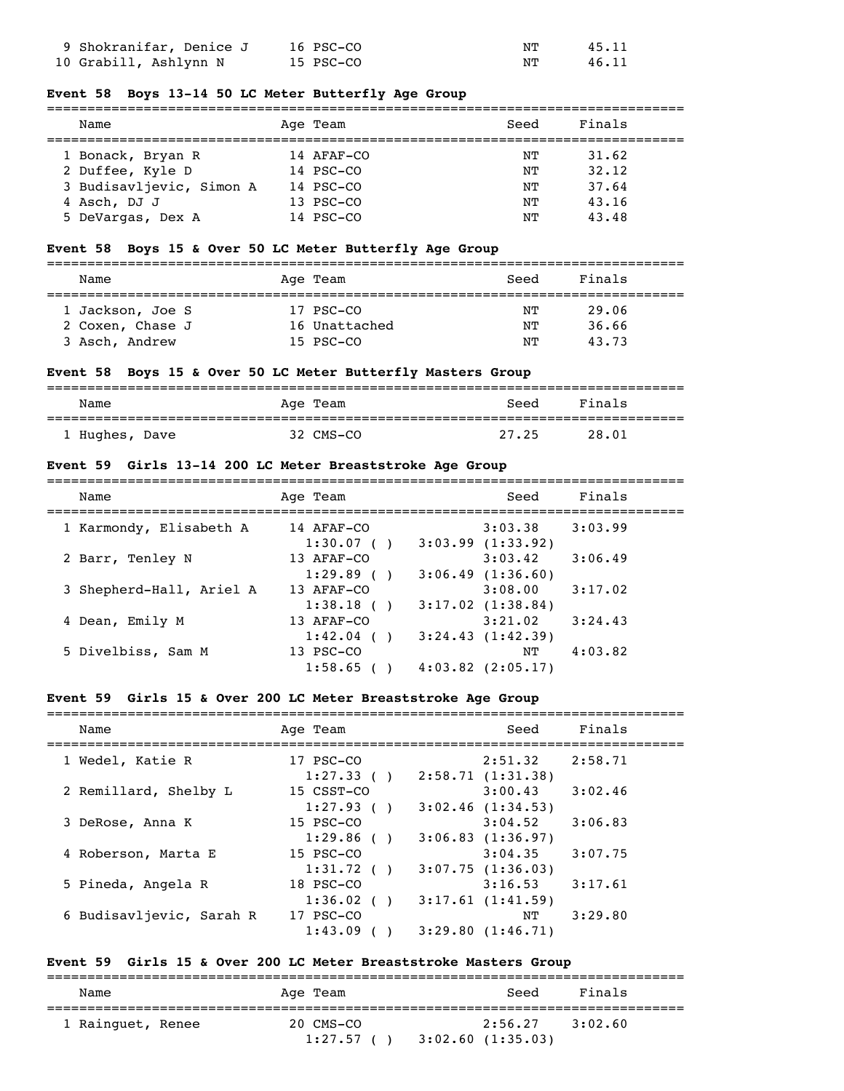| 9 Shokranifar, Denice J | 16 PSC-CO | NТ | 45.11 |
|-------------------------|-----------|----|-------|
| 10 Grabill, Ashlynn N   | 15 PSC-CO | NΤ | 46.11 |

#### **Event 58 Boys 13-14 50 LC Meter Butterfly Age Group**

| Name                     | Age Team        | Seed | Finals |
|--------------------------|-----------------|------|--------|
| 1 Bonack, Bryan R        | 14 AFAF-CO      | NТ   | 31.62  |
| 2 Duffee, Kyle D         | 14 PSC-CO       | NТ   | 32.12  |
| 3 Budisavljevic, Simon A | $14$ PSC $-$ CO | NТ   | 37.64  |
| 4 Asch, DJ J             | 13 PSC-CO       | NΤ   | 43.16  |
| 5 DeVargas, Dex A        | 14 PSC-CO       | NΤ   | 43.48  |

### **Event 58 Boys 15 & Over 50 LC Meter Butterfly Age Group**

| Name             | Age Team      | Seed | Finals |  |  |  |
|------------------|---------------|------|--------|--|--|--|
|                  |               |      |        |  |  |  |
| 1 Jackson, Joe S | 17 PSC-CO     | NТ   | 29.06  |  |  |  |
| 2 Coxen, Chase J | 16 Unattached | NТ   | 36.66  |  |  |  |
| 3 Asch, Andrew   | 15 PSC-CO     | NΤ   | 43.73  |  |  |  |

#### **Event 58 Boys 15 & Over 50 LC Meter Butterfly Masters Group**

| Name           |  | Age Team  | Seed  | Finals |
|----------------|--|-----------|-------|--------|
| 1 Hughes, Dave |  | 32 CMS-CO | 27.25 | 28.01  |

#### **Event 59 Girls 13-14 200 LC Meter Breaststroke Age Group**

| Name                     | Age Team    | Seed                  | Finals  |
|--------------------------|-------------|-----------------------|---------|
| 1 Karmondy, Elisabeth A  | 14 AFAF-CO  | 3:03.38               | 3:03.99 |
|                          | 1:30.07()   | $3:03.99$ $(1:33.92)$ |         |
| 2 Barr, Tenley N         | 13 AFAF-CO  | 3:03.42               | 3:06.49 |
|                          | 1:29.89()   | 3:06.49(1:36.60)      |         |
| 3 Shepherd-Hall, Ariel A | 13 AFAF-CO  | 3:08.00               | 3:17.02 |
|                          | 1:38.18()   | $3:17.02$ $(1:38.84)$ |         |
| 4 Dean, Emily M          | 13 AFAF-CO  | 3:21.02               | 3:24.43 |
|                          | 1:42.04(    | 3:24.43(1:42.39)      |         |
| 5 Divelbiss, Sam M       | $13$ PSC-CO | NТ                    | 4:03.82 |
|                          | 1:58.65     | $4:03.82$ $(2:05.17)$ |         |

#### **Event 59 Girls 15 & Over 200 LC Meter Breaststroke Age Group**

| Name                     | Age Team                 |  | Seed                             | Finals  |  |  |  |
|--------------------------|--------------------------|--|----------------------------------|---------|--|--|--|
| 1 Wedel, Katie R         | 17 PSC-CO                |  | 2:51.32                          | 2:58.71 |  |  |  |
| 2 Remillard, Shelby L    | 1:27.33()<br>15 CSST-CO  |  | 2:58.71(1:31.38)<br>3:00.43      | 3:02.46 |  |  |  |
| 3 DeRose, Anna K         | 1:27.93()<br>15 PSC-CO   |  | $3:02.46$ $(1:34.53)$<br>3:04.52 | 3:06.83 |  |  |  |
|                          | 1:29.86(                 |  | 3:06.83(1:36.97)                 |         |  |  |  |
| 4 Roberson, Marta E      | $15$ PSC-CO<br>1:31.72() |  | 3:04.35<br>3:07.75(1:36.03)      | 3:07.75 |  |  |  |
| 5 Pineda, Angela R       | 18 PSC-CO<br>1:36.02     |  | 3:16.53<br>3:17.61(1:41.59)      | 3:17.61 |  |  |  |
| 6 Budisavljevic, Sarah R | 17 PSC-CO                |  | NΤ                               | 3:29.80 |  |  |  |
|                          | 1:43.09                  |  | $3:29.80$ $(1:46.71)$            |         |  |  |  |

# **Event 59 Girls 15 & Over 200 LC Meter Breaststroke Masters Group**

| Name              | Age Team               | Seed                        | Finals  |
|-------------------|------------------------|-----------------------------|---------|
| 1 Rainquet, Renee | 20 CMS-CO<br>1:27.57() | 2:56.27<br>3:02.60(1:35.03) | 3:02.60 |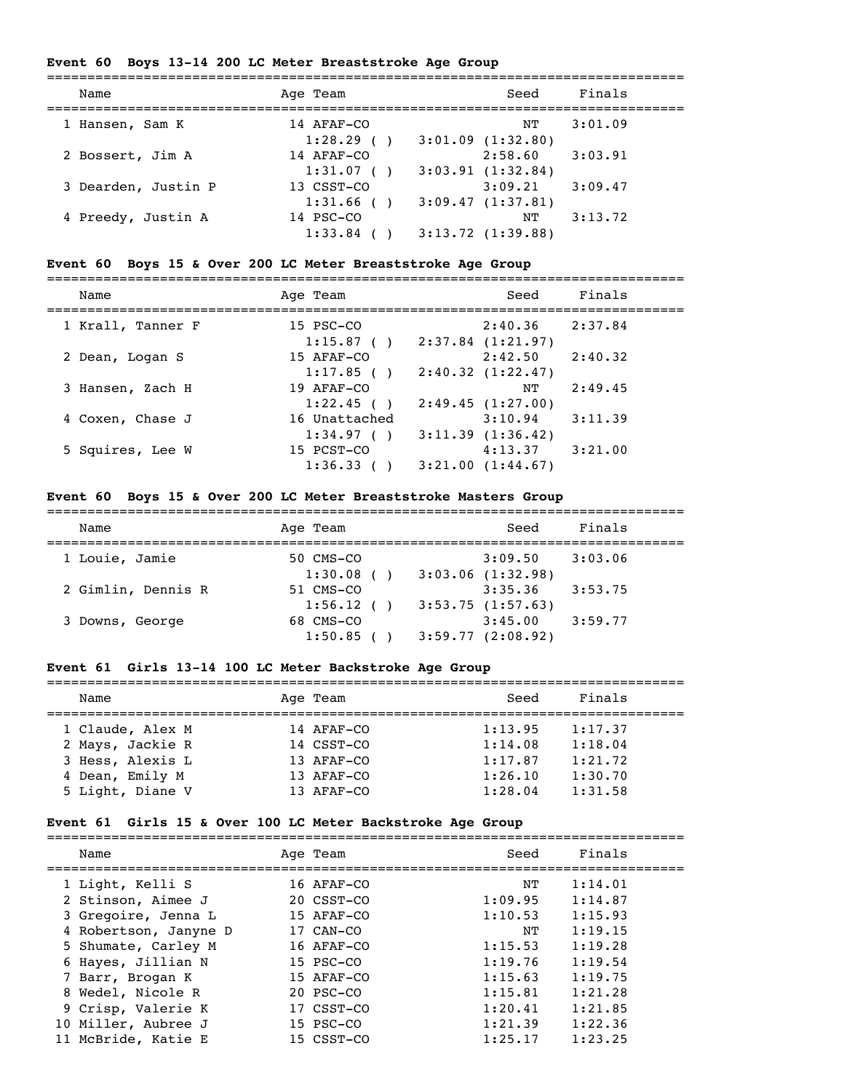# **Event 60 Boys 13-14 200 LC Meter Breaststroke Age Group**

| Name                | Age Team                | Seed                        | Finals  |
|---------------------|-------------------------|-----------------------------|---------|
| 1 Hansen, Sam K     | 14 AFAF-CO<br>1:28.29() | NΤ<br>3:01.09(1:32.80)      | 3:01.09 |
| 2 Bossert, Jim A    | 14 AFAF-CO              | 2:58.60                     | 3:03.91 |
| 3 Dearden, Justin P | 1:31.07()<br>13 CSST-CO | 3:03.91(1:32.84)<br>3:09.21 | 3:09.47 |
| 4 Preedy, Justin A  | 1:31.66(<br>14 PSC-CO   | 3:09.47(1:37.81)<br>NΤ      | 3:13.72 |
|                     | 1:33.84                 | 3:13.72(1:39.88)            |         |

### **Event 60 Boys 15 & Over 200 LC Meter Breaststroke Age Group**

| Name | Team<br>Aqe | Seed | Finals |  |  |
|------|-------------|------|--------|--|--|
| ___  |             |      |        |  |  |

| 1 Krall, Tanner F | 15 PSC-CO     |                       | 2:40.36 | 2:37.84 |
|-------------------|---------------|-----------------------|---------|---------|
|                   | 1:15.87()     | $2:37.84$ $(1:21.97)$ |         |         |
| 2 Dean, Logan S   | 15 AFAF-CO    |                       | 2:42.50 | 2:40.32 |
|                   | $1:17.85$ (   | 2:40.32(1:22.47)      |         |         |
| 3 Hansen, Zach H  | 19 AFAF-CO    |                       | NΤ      | 2:49.45 |
|                   | 1:22.45()     | 2:49.45(1:27.00)      |         |         |
| 4 Coxen, Chase J  | 16 Unattached |                       | 3:10.94 | 3:11.39 |
|                   | 1:34.97()     | 3:11.39(1:36.42)      |         |         |
| 5 Squires, Lee W  | 15 PCST-CO    |                       | 4:13.37 | 3:21.00 |
|                   | 1:36.33       | 3:21.00(1:44.67)      |         |         |

### **Event 60 Boys 15 & Over 200 LC Meter Breaststroke Masters Group**

| Name               | Age Team  |  | Seed             | Finals  |  |  |  |
|--------------------|-----------|--|------------------|---------|--|--|--|
| 1 Louie, Jamie     | 50 CMS-CO |  | 3:09.50          | 3:03.06 |  |  |  |
|                    | 1:30.08() |  | 3:03.06(1:32.98) |         |  |  |  |
| 2 Gimlin, Dennis R | 51 CMS-CO |  | 3:35.36          | 3:53.75 |  |  |  |
|                    | 1:56.12() |  | 3:53.75(1:57.63) |         |  |  |  |
| 3 Downs, George    | 68 CMS-CO |  | 3:45.00          | 3:59.77 |  |  |  |
|                    | 1:50.85   |  | 3:59.77(2:08.92) |         |  |  |  |

# **Event 61 Girls 13-14 100 LC Meter Backstroke Age Group**

| Name             |  | Age Team   | Seed    | Finals  |  |  |
|------------------|--|------------|---------|---------|--|--|
|                  |  |            |         |         |  |  |
| 1 Claude, Alex M |  | 14 AFAF-CO | 1:13.95 | 1:17.37 |  |  |
| 2 Mays, Jackie R |  | 14 CSST-CO | 1:14.08 | 1:18.04 |  |  |
| 3 Hess, Alexis L |  | 13 AFAF-CO | 1:17.87 | 1:21.72 |  |  |
| 4 Dean, Emily M  |  | 13 AFAF-CO | 1:26.10 | 1:30.70 |  |  |
| 5 Light, Diane V |  | 13 AFAF-CO | 1:28.04 | 1:31.58 |  |  |

### **Event 61 Girls 15 & Over 100 LC Meter Backstroke Age Group**

| Name                  | Age Team       | Seed    | Finals  |
|-----------------------|----------------|---------|---------|
| 1 Light, Kelli S      | 16 AFAF-CO     | NΤ      | 1:14.01 |
| 2 Stinson, Aimee J    | 20 CSST-CO     | 1:09.95 | 1:14.87 |
| 3 Gregoire, Jenna L   | 15 AFAF-CO     | 1:10.53 | 1:15.93 |
| 4 Robertson, Janyne D | 17 CAN-CO      | NΤ      | 1:19.15 |
| 5 Shumate, Carley M   | 16 AFAF-CO     | 1:15.53 | 1:19.28 |
| 6 Hayes, Jillian N    | 15 PSC-CO      | 1:19.76 | 1:19.54 |
| 7 Barr, Brogan K      | 15 AFAF-CO     | 1:15.63 | 1:19.75 |
| 8 Wedel, Nicole R     | $20$ PSC $-CO$ | 1:15.81 | 1:21.28 |
| 9 Crisp, Valerie K    | 17 CSST-CO     | 1:20.41 | 1:21.85 |
| 10 Miller, Aubree J   | 15 PSC-CO      | 1:21.39 | 1:22.36 |
| 11 McBride, Katie E   | 15 CSST-CO     | 1:25.17 | 1:23.25 |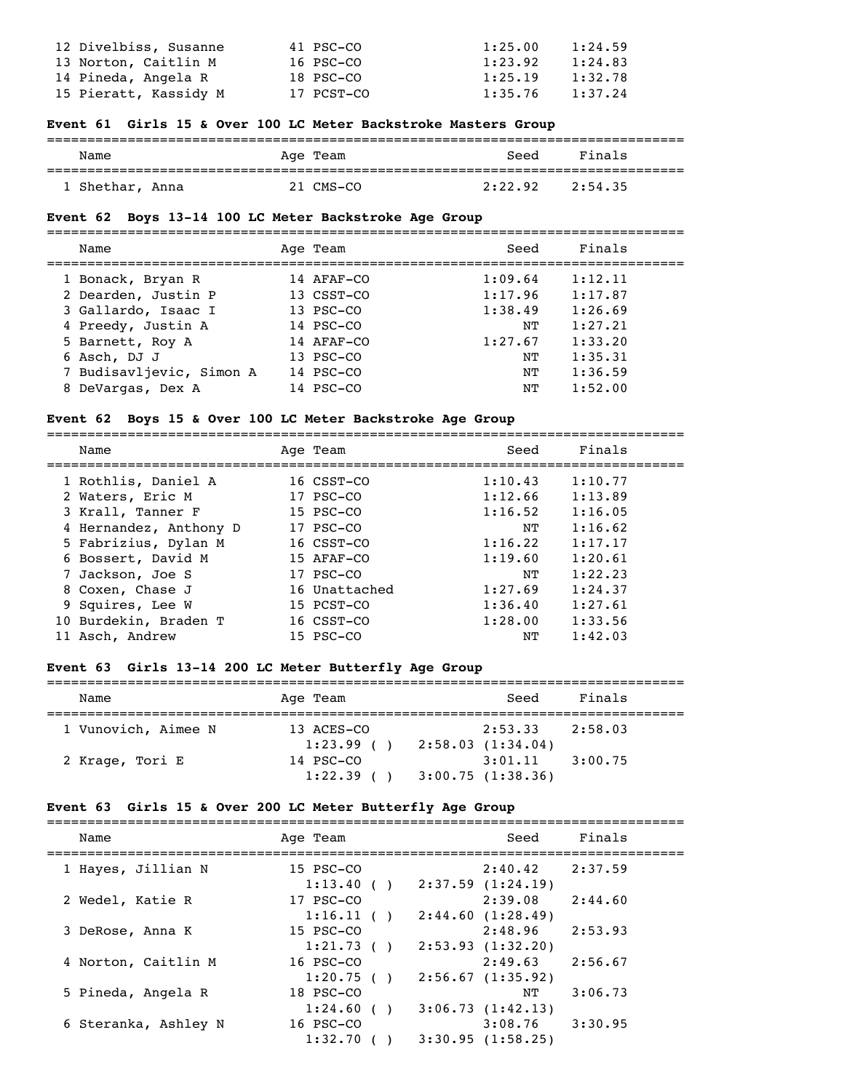| 12 Divelbiss, Susanne | 41 PSC-CO  | 1:25.00 | 1:24.59 |
|-----------------------|------------|---------|---------|
| 13 Norton, Caitlin M  | 16 PSC-CO  | 1:23.92 | 1:24.83 |
| 14 Pineda, Angela R   | 18 PSC-CO  | 1:25.19 | 1:32.78 |
| 15 Pieratt, Kassidy M | 17 PCST-CO | 1:35.76 | 1:37.24 |

#### **Event 61 Girls 15 & Over 100 LC Meter Backstroke Masters Group**

| Name            | Age Team  | Seed    | Finals  |  |
|-----------------|-----------|---------|---------|--|
| 1 Shethar, Anna | 21 CMS-CO | 2:22.92 | 2:54.35 |  |

#### **Event 62 Boys 13-14 100 LC Meter Backstroke Age Group**

#### ===============================================================================

| Name                     | Age Team   | Seed    | Finals  |
|--------------------------|------------|---------|---------|
| 1 Bonack, Bryan R        | 14 AFAF-CO | 1:09.64 | 1:12.11 |
| 2 Dearden, Justin P      | 13 CSST-CO | 1:17.96 | 1:17.87 |
| 3 Gallardo, Isaac I      | 13 PSC-CO  | 1:38.49 | 1:26.69 |
| 4 Preedy, Justin A       | 14 PSC-CO  | NΤ      | 1:27.21 |
| 5 Barnett, Roy A         | 14 AFAF-CO | 1:27.67 | 1:33.20 |
| 6 Asch, DJ J             | 13 PSC-CO  | NΤ      | 1:35.31 |
| 7 Budisavljevic, Simon A | 14 PSC-CO  | NΤ      | 1:36.59 |
| 8 DeVargas, Dex A        | 14 PSC-CO  | NΤ      | 1:52.00 |

#### **Event 62 Boys 15 & Over 100 LC Meter Backstroke Age Group**

| Name                   | Age Team      | Seed    | Finals  |
|------------------------|---------------|---------|---------|
| 1 Rothlis, Daniel A    | 16 CSST-CO    | 1:10.43 | 1:10.77 |
| 2 Waters, Eric M       | 17 PSC-CO     | 1:12.66 | 1:13.89 |
| 3 Krall, Tanner F      | 15 PSC-CO     | 1:16.52 | 1:16.05 |
| 4 Hernandez, Anthony D | 17 PSC-CO     | NΤ      | 1:16.62 |
| 5 Fabrizius, Dylan M   | 16 CSST-CO    | 1:16.22 | 1:17.17 |
| 6 Bossert, David M     | 15 AFAF-CO    | 1:19.60 | 1:20.61 |
| 7 Jackson, Joe S       | 17 PSC-CO     | NΤ      | 1:22.23 |
| 8 Coxen, Chase J       | 16 Unattached | 1:27.69 | 1:24.37 |
| 9 Squires, Lee W       | 15 PCST-CO    | 1:36.40 | 1:27.61 |
| 10 Burdekin, Braden T  | 16 CSST-CO    | 1:28.00 | 1:33.56 |
| 11 Asch, Andrew        | $15$ PSC-CO   | NΤ      | 1:42.03 |
|                        |               |         |         |

#### **Event 63 Girls 13-14 200 LC Meter Butterfly Age Group**

| Name                | Age Team    |  | Seed             | Finals  |  |  |  |
|---------------------|-------------|--|------------------|---------|--|--|--|
| 1 Vunovich, Aimee N | 13 ACES-CO  |  | 2:53.33          | 2:58.03 |  |  |  |
|                     | $1:23.99$ ( |  | 2:58.03(1:34.04) |         |  |  |  |
| 2 Krage, Tori E     | 14 PSC-CO   |  | 3:01.11          | 3:00.75 |  |  |  |
|                     | 1:22.39     |  | 3:00.75(1:38.36) |         |  |  |  |

#### **Event 63 Girls 15 & Over 200 LC Meter Butterfly Age Group**

| Name                 | Age Team                                       | Seed                             | Finals  |
|----------------------|------------------------------------------------|----------------------------------|---------|
| 1 Hayes, Jillian N   | 15 PSC-CO<br>1:13.40(                          | 2:40.42<br>$2:37.59$ $(1:24.19)$ | 2:37.59 |
| 2 Wedel, Katie R     | 17 PSC-CO<br>1:16.11()                         | 2:39.08<br>2:44.60(1:28.49)      | 2:44.60 |
| 3 DeRose, Anna K     | 15 PSC-CO<br>1:21.73()                         | 2:48.96<br>2:53.93(1:32.20)      | 2:53.93 |
| 4 Norton, Caitlin M  | $16$ PSC-CO<br>1:20.75()                       | 2:49.63<br>2:56.67(1:35.92)      | 2:56.67 |
| 5 Pineda, Angela R   | 18 PSC-CO<br>1:24.60<br>$\left( \quad \right)$ | NΤ<br>3:06.73(1:42.13)           | 3:06.73 |
| 6 Steranka, Ashley N | 16 PSC-CO<br>1:32.70                           | 3:08.76<br>3:30.95(1:58.25)      | 3:30.95 |
|                      |                                                |                                  |         |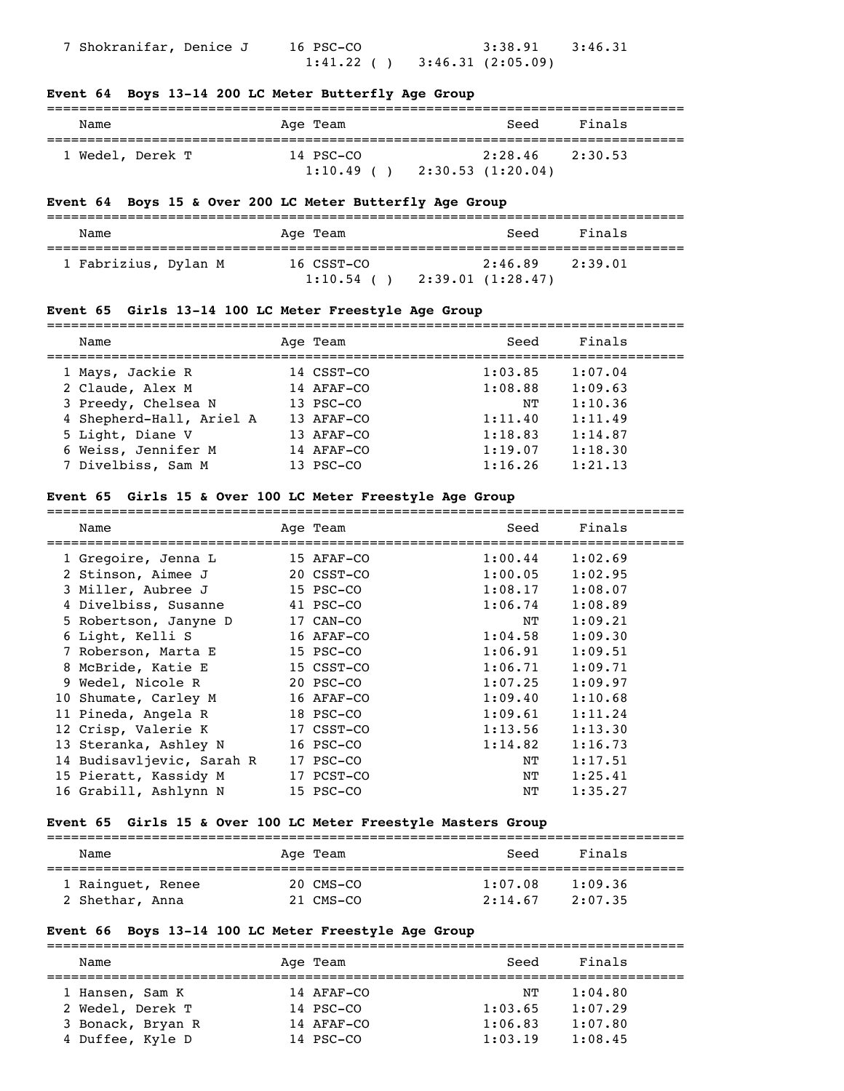7 Shokranifar, Denice J 16 PSC-CO 3:38.91 3:46.31  $1:41.22$  ( )  $3:46.31$  (2:05.09)

#### **Event 64 Boys 13-14 200 LC Meter Butterfly Age Group**

| Name             | Age Team             | Seed                        | Finals  |
|------------------|----------------------|-----------------------------|---------|
| 1 Wedel, Derek T | 14 PSC-CO<br>1:10.49 | 2:28.46<br>2:30.53(1:20.04) | 2:30.53 |

#### **Event 64 Boys 15 & Over 200 LC Meter Butterfly Age Group**

| Name                 | Age Team                  | Seed                        | Finals  |
|----------------------|---------------------------|-----------------------------|---------|
| 1 Fabrizius, Dylan M | 16 CSST-CO<br>$1:10.54$ ( | 2:46.89<br>2:39.01(1:28.47) | 2:39.01 |

### **Event 65 Girls 13-14 100 LC Meter Freestyle Age Group**

| Name                     | Age Team   | Seed    | Finals  |
|--------------------------|------------|---------|---------|
| 1 Mays, Jackie R         | 14 CSST-CO | 1:03.85 | 1:07.04 |
| 2 Claude, Alex M         | 14 AFAF-CO | 1:08.88 | 1:09.63 |
| 3 Preedy, Chelsea N      | 13 PSC-CO  | NΤ      | 1:10.36 |
| 4 Shepherd-Hall, Ariel A | 13 AFAF-CO | 1:11.40 | 1:11.49 |
| 5 Light, Diane V         | 13 AFAF-CO | 1:18.83 | 1:14.87 |
| 6 Weiss, Jennifer M      | 14 AFAF-CO | 1:19.07 | 1:18.30 |
| 7 Divelbiss, Sam M       | 13 PSC-CO  | 1:16.26 | 1:21.13 |
|                          |            |         |         |

#### **Event 65 Girls 15 & Over 100 LC Meter Freestyle Age Group**

| Name                      | Age Team   | Seed    | Finals  |
|---------------------------|------------|---------|---------|
| 1 Gregoire, Jenna L       | 15 AFAF-CO | 1:00.44 | 1:02.69 |
| 2 Stinson, Aimee J        | 20 CSST-CO | 1:00.05 | 1:02.95 |
| 3 Miller, Aubree J        | 15 PSC-CO  | 1:08.17 | 1:08.07 |
| 4 Divelbiss, Susanne      | 41 PSC-CO  | 1:06.74 | 1:08.89 |
| 5 Robertson, Janyne D     | 17 CAN-CO  | ΝT      | 1:09.21 |
| 6 Light, Kelli S          | 16 AFAF-CO | 1:04.58 | 1:09.30 |
| 7 Roberson, Marta E       | 15 PSC-CO  | 1:06.91 | 1:09.51 |
| 8 McBride, Katie E        | 15 CSST-CO | 1:06.71 | 1:09.71 |
| 9 Wedel, Nicole R         | 20 PSC-CO  | 1:07.25 | 1:09.97 |
| 10 Shumate, Carley M      | 16 AFAF-CO | 1:09.40 | 1:10.68 |
| 11 Pineda, Angela R       | 18 PSC-CO  | 1:09.61 | 1:11.24 |
| 12 Crisp, Valerie K       | 17 CSST-CO | 1:13.56 | 1:13.30 |
| 13 Steranka, Ashley N     | 16 PSC-CO  | 1:14.82 | 1:16.73 |
| 14 Budisavljevic, Sarah R | 17 PSC-CO  | ΝT      | 1:17.51 |
| 15 Pieratt, Kassidy M     | 17 PCST-CO | ΝT      | 1:25.41 |
| 16 Grabill, Ashlynn N     | 15 PSC-CO  | NΤ      | 1:35.27 |

#### **Event 65 Girls 15 & Over 100 LC Meter Freestyle Masters Group**

| Name              | Age Team  | Seed    | Finals  |  |
|-------------------|-----------|---------|---------|--|
| 1 Rainquet, Renee | 20 CMS-CO | 1:07.08 | 1:09.36 |  |
| 2 Shethar, Anna   | 21 CMS-CO | 2:14.67 | 2:07.35 |  |

### **Event 66 Boys 13-14 100 LC Meter Freestyle Age Group**

| Name              | Age Team   | Seed    | Finals  |
|-------------------|------------|---------|---------|
| 1 Hansen, Sam K   | 14 AFAF-CO | NТ      | 1:04.80 |
| 2 Wedel, Derek T  | 14 PSC-CO  | 1:03.65 | 1:07.29 |
| 3 Bonack, Bryan R | 14 AFAF-CO | 1:06.83 | 1:07.80 |
| 4 Duffee, Kyle D  | 14 PSC-CO  | 1:03.19 | 1:08.45 |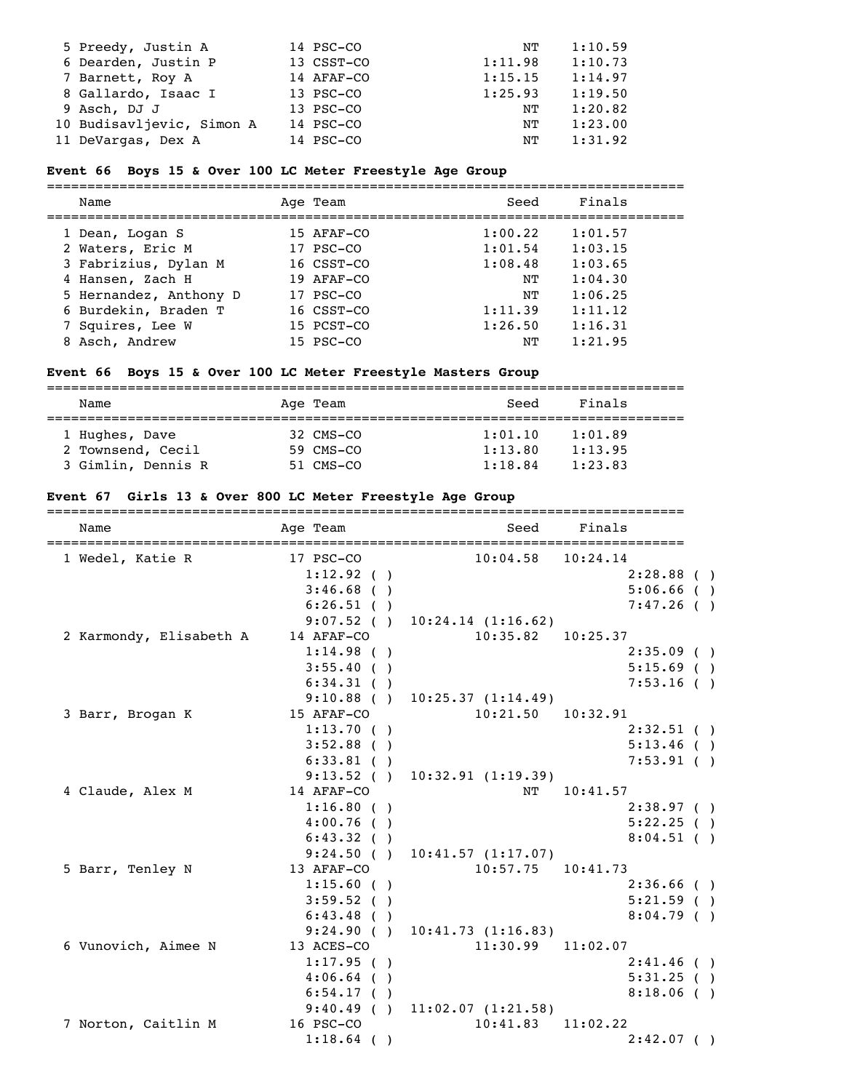| 5 Preedy, Justin A        | 14 PSC-CO  | NΤ      | 1:10.59 |
|---------------------------|------------|---------|---------|
| 6 Dearden, Justin P       | 13 CSST-CO | 1:11.98 | 1:10.73 |
| 7 Barnett, Roy A          | 14 AFAF-CO | 1:15.15 | 1:14.97 |
| 8 Gallardo, Isaac I       | 13 PSC-CO  | 1:25.93 | 1:19.50 |
| 9 Asch, DJ J              | 13 PSC-CO  | NΤ      | 1:20.82 |
| 10 Budisavljevic, Simon A | 14 PSC-CO  | NT      | 1:23.00 |
| 11 DeVargas, Dex A        | 14 PSC-CO  | NT      | 1:31.92 |

#### **Event 66 Boys 15 & Over 100 LC Meter Freestyle Age Group**

=============================================================================== Seed Finals

| Name                   | Age ream   | seea    | rınaıs  |
|------------------------|------------|---------|---------|
| 1 Dean, Logan S        | 15 AFAF-CO | 1:00.22 | 1:01.57 |
| 2 Waters, Eric M       | 17 PSC-CO  | 1:01.54 | 1:03.15 |
| 3 Fabrizius, Dylan M   | 16 CSST-CO | 1:08.48 | 1:03.65 |
| 4 Hansen, Zach H       | 19 AFAF-CO | NΤ      | 1:04.30 |
| 5 Hernandez, Anthony D | 17 PSC-CO  | NΤ      | 1:06.25 |
| 6 Burdekin, Braden T   | 16 CSST-CO | 1:11.39 | 1:11.12 |
| 7 Squires, Lee W       | 15 PCST-CO | 1:26.50 | 1:16.31 |
| 8 Asch, Andrew         | 15 PSC-CO  | NΤ      | 1:21.95 |

# **Event 66 Boys 15 & Over 100 LC Meter Freestyle Masters Group**

| Name                                                      | Age Team                            | Seed                          | Finals                        |  |  |
|-----------------------------------------------------------|-------------------------------------|-------------------------------|-------------------------------|--|--|
| 1 Hughes, Dave<br>2 Townsend, Cecil<br>3 Gimlin, Dennis R | 32 CMS-CO<br>59 CMS-CO<br>51 CMS-CO | 1:01.10<br>1:13.80<br>1:18.84 | 1:01.89<br>1:13.95<br>1:23.83 |  |  |

### **Event 67 Girls 13 & Over 800 LC Meter Freestyle Age Group**

| Name                       | ==============<br>Age Team |                                    | Seed Finals  |  |
|----------------------------|----------------------------|------------------------------------|--------------|--|
| 1 Wedel, Katie R 17 PSC-CO |                            | $10:04.58$ $10:24.14$              |              |  |
|                            | 1:12.92( )                 |                                    | $2:28.88$ () |  |
|                            | $3:46.68$ ()               |                                    | $5:06.66$ () |  |
|                            | $6:26.51$ ()               |                                    | 7:47.26( )   |  |
|                            |                            | $9:07.52$ ( ) $10:24.14$ (1:16.62) |              |  |
| 2 Karmondy, Elisabeth A    | 14 AFAF-CO                 | $10:35.82$ $10:25.37$              |              |  |
|                            | 1:14.98( )                 |                                    | $2:35.09$ () |  |
|                            | 3:55.40(                   |                                    | $5:15.69$ () |  |
|                            | 6:34.31( )                 |                                    | $7:53.16$ () |  |
|                            |                            | $9:10.88$ ( ) $10:25.37$ (1:14.49) |              |  |
| 3 Barr, Brogan K           | 15 AFAF-CO                 | $10:21.50$ $10:32.91$              |              |  |
|                            | 1:13.70(                   |                                    | $2:32.51$ () |  |
|                            | $3:52.88$ ()               |                                    | 5:13.46(     |  |
|                            | $6:33.81$ ()               |                                    | 7:53.91( )   |  |
|                            | 9:13.52()                  | 10:32.91(1:19.39)                  |              |  |
| 4 Claude, Alex M           | 14 AFAF-CO                 |                                    | NT 10:41.57  |  |
|                            | 1:16.80(                   |                                    | 2:38.97( )   |  |
|                            | $4:00.76$ ()               |                                    | 5:22.25( )   |  |
|                            | 6:43.32()                  |                                    | $8:04.51$ () |  |
|                            |                            | $9:24.50$ ( ) $10:41.57$ (1:17.07) |              |  |
| 5 Barr, Tenley N           | 13 AFAF-CO                 | $10:57.75$ $10:41.73$              |              |  |
|                            | 1:15.60(                   |                                    | $2:36.66$ () |  |
|                            | 3:59.52( )                 |                                    | $5:21.59$ () |  |
|                            | 6:43.48 ()                 |                                    | 8:04.79(     |  |
|                            |                            | $9:24.90$ ( ) $10:41.73$ (1:16.83) |              |  |
| 6 Vunovich, Aimee N        | 13 ACES-CO                 | $11:30.99$ $11:02.07$              |              |  |
|                            | 1:17.95( )                 |                                    | 2:41.46( )   |  |
|                            | $4:06.64$ ()               |                                    | 5:31.25( )   |  |
|                            | $6:54.17$ ()               |                                    | $8:18.06$ () |  |
|                            |                            | 9:40.49 ( ) 11:02.07 (1:21.58)     |              |  |
| 7 Norton, Caitlin M        | 16 PSC-CO                  | $10:41.83$ $11:02.22$              |              |  |
|                            | $1:18.64$ ( )              |                                    | $2:42.07$ () |  |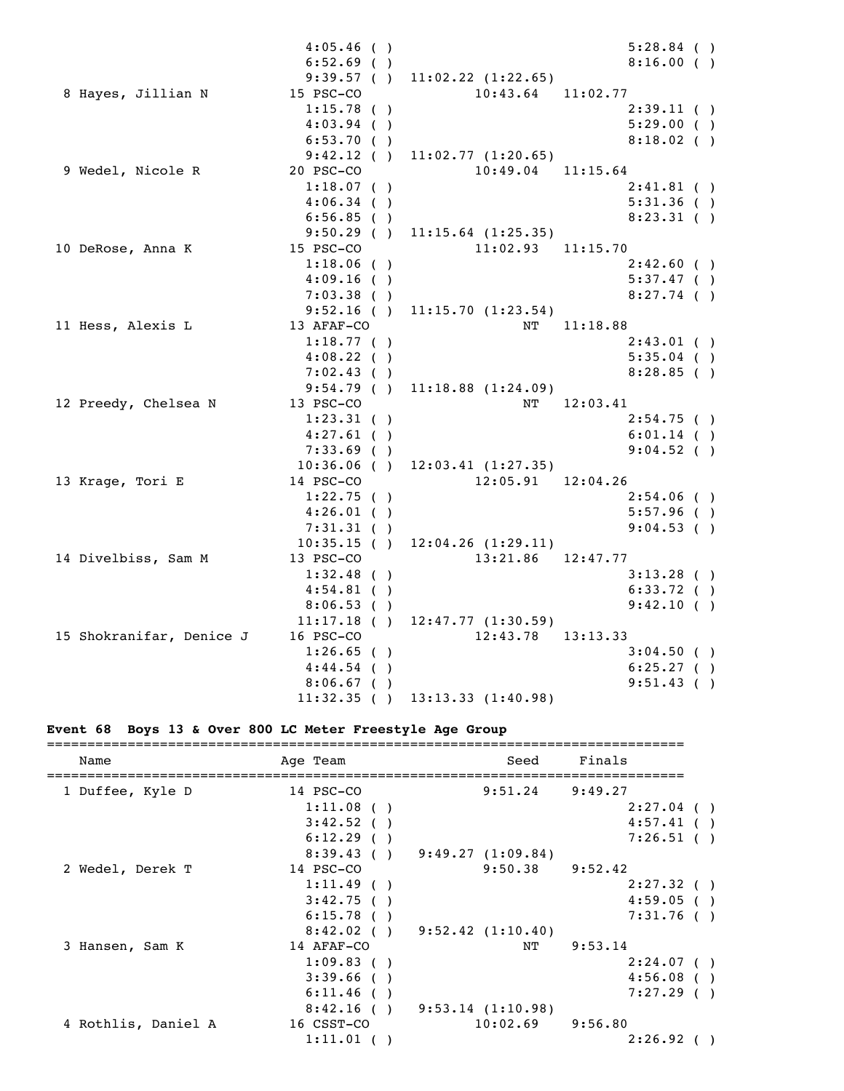|                          | $4:05.46$ ()  |                                     | $5:28.84$ () |  |
|--------------------------|---------------|-------------------------------------|--------------|--|
|                          | $6:52.69$ ()  |                                     | 8:16.00(     |  |
|                          |               | $9:39.57$ ( ) $11:02.22$ (1:22.65)  |              |  |
| 8 Hayes, Jillian N       | 15 PSC-CO     | $10:43.64$ $11:02.77$               |              |  |
|                          | 1:15.78()     |                                     | 2:39.11( )   |  |
|                          | $4:03.94$ ()  |                                     | 5:29.00( )   |  |
|                          | 6:53.70(      |                                     | $8:18.02$ () |  |
|                          | 9:42.12()     | 11:02.77(1:20.65)                   |              |  |
| 9 Wedel, Nicole R        | 20 PSC-CO     | $10:49.04$ $11:15.64$               |              |  |
|                          | $1:18.07$ ()  |                                     | $2:41.81$ () |  |
|                          | 4:06.34()     |                                     | 5:31.36()    |  |
|                          | $6:56.85$ ()  |                                     | $8:23.31$ () |  |
|                          |               | $9:50.29$ ( ) $11:15.64$ (1:25.35)  |              |  |
| 10 DeRose, Anna K        | 15 PSC-CO     | $11:02.93$ $11:15.70$               |              |  |
|                          | $1:18.06$ ()  |                                     | 2:42.60( )   |  |
|                          | 4:09.16(      |                                     | 5:37.47( )   |  |
|                          | 7:03.38()     |                                     | $8:27.74$ () |  |
|                          |               | $9:52.16$ ( ) $11:15.70$ (1:23.54)  |              |  |
| 11 Hess, Alexis L        | 13 AFAF-CO    |                                     | NT 11:18.88  |  |
|                          | 1:18.77( )    |                                     | $2:43.01$ () |  |
|                          | $4:08.22$ ()  |                                     | $5:35.04$ () |  |
|                          | 7:02.43( )    |                                     | $8:28.85$ () |  |
|                          | 9:54.79(      | 11:18.88(1:24.09)                   |              |  |
| 12 Preedy, Chelsea N     | 13 PSC-CO     | NT                                  | 12:03.41     |  |
|                          | $1:23.31$ ()  |                                     | $2:54.75$ () |  |
|                          | $4:27.61$ ()  |                                     | $6:01.14$ () |  |
|                          | 7:33.69(      |                                     | $9:04.52$ () |  |
|                          |               | $10:36.06$ ( ) $12:03.41$ (1:27.35) |              |  |
| 13 Krage, Tori E         | 14 PSC-CO     | 12:05.91 12:04.26                   |              |  |
|                          | $1:22.75$ ()  |                                     | $2:54.06$ () |  |
|                          | $4:26.01$ ()  |                                     | 5:57.96( )   |  |
|                          | 7:31.31()     |                                     | 9:04.53()    |  |
|                          | $10:35.15$ () | 12:04.26(1:29.11)                   |              |  |
| 14 Divelbiss, Sam M      | 13 PSC-CO     | 13:21.86 12:47.77                   |              |  |
|                          | 1:32.48( )    |                                     | $3:13.28$ () |  |
|                          | $4:54.81$ ()  |                                     | 6:33.72( )   |  |
|                          | 8:06.53()     |                                     | 9:42.10(     |  |
|                          | $11:17.18$ () | 12:47.77(1:30.59)                   |              |  |
| 15 Shokranifar, Denice J | 16 PSC-CO     | 12:43.78  13:13.33                  |              |  |
|                          | $1:26.65$ ()  |                                     | 3:04.50(     |  |
|                          | 4:44.54()     |                                     | $6:25.27$ () |  |
|                          | $8:06.67$ ()  |                                     | $9:51.43$ () |  |
|                          | 11:32.35()    | 13:13.33 (1:40.98)                  |              |  |

# **Event 68 Boys 13 & Over 800 LC Meter Freestyle Age Group**

| Name                | Age Team     | Seed                              | Finals              |  |
|---------------------|--------------|-----------------------------------|---------------------|--|
| 1 Duffee, Kyle D    | 14 PSC-CO    |                                   | $9:51.24$ $9:49.27$ |  |
|                     | 1:11.08()    |                                   | $2:27.04$ ()        |  |
|                     | 3:42.52()    |                                   | 4:57.41()           |  |
|                     | 6:12.29()    |                                   | $7:26.51$ ()        |  |
|                     |              | $8:39.43$ ( ) $9:49.27$ (1:09.84) |                     |  |
| 2 Wedel, Derek T    | 14 PSC-CO    | 9:50.38                           | 9:52.42             |  |
|                     | 1:11.49()    |                                   | 2:27.32( )          |  |
|                     | 3:42.75()    |                                   | 4:59.05( )          |  |
|                     | 6:15.78()    |                                   | 7:31.76(            |  |
|                     |              | $8:42.02$ () $9:52.42$ (1:10.40)  |                     |  |
| 3 Hansen, Sam K     | 14 AFAF-CO   | NT                                | 9:53.14             |  |
|                     | $1:09.83$ () |                                   | 2:24.07(            |  |
|                     | 3:39.66()    |                                   | 4:56.08(            |  |
|                     | 6:11.46(     |                                   | 7:27.29( )          |  |
|                     |              | $8:42.16$ ( ) $9:53.14$ (1:10.98) |                     |  |
| 4 Rothlis, Daniel A | 16 CSST-CO   | 10:02.69                          | 9:56.80             |  |
|                     | 1:11.01()    |                                   | 2:26.92( )          |  |
|                     |              |                                   |                     |  |